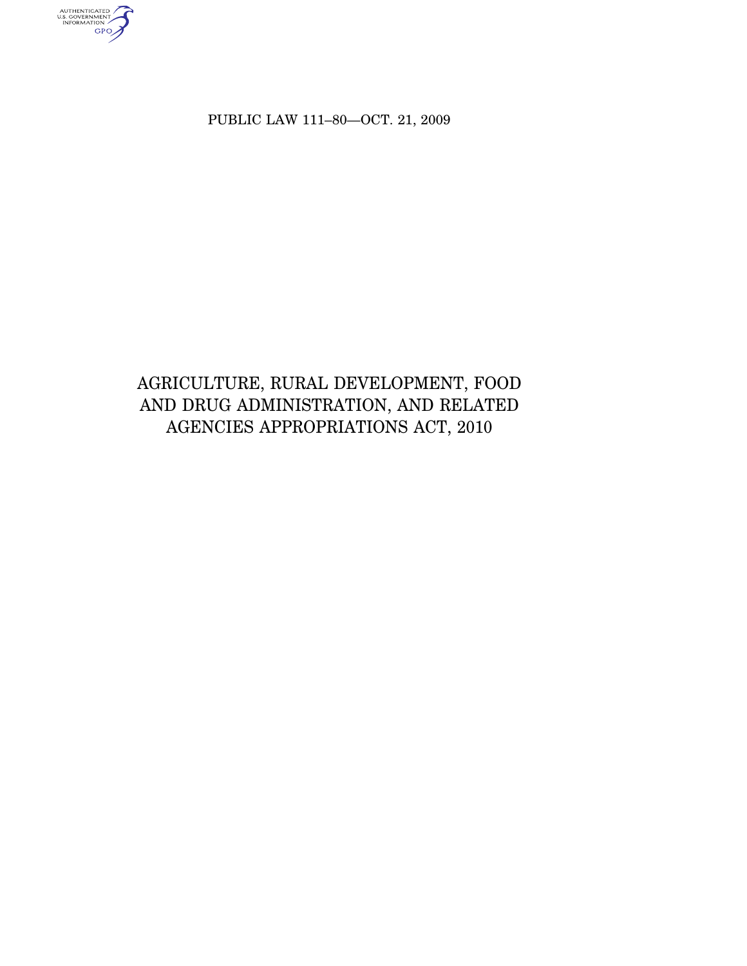PUBLIC LAW 111–80—OCT. 21, 2009

AUTHENTICATED<br>U.S. GOVERNMENT<br>INFORMATION

# AGRICULTURE, RURAL DEVELOPMENT, FOOD AND DRUG ADMINISTRATION, AND RELATED AGENCIES APPROPRIATIONS ACT, 2010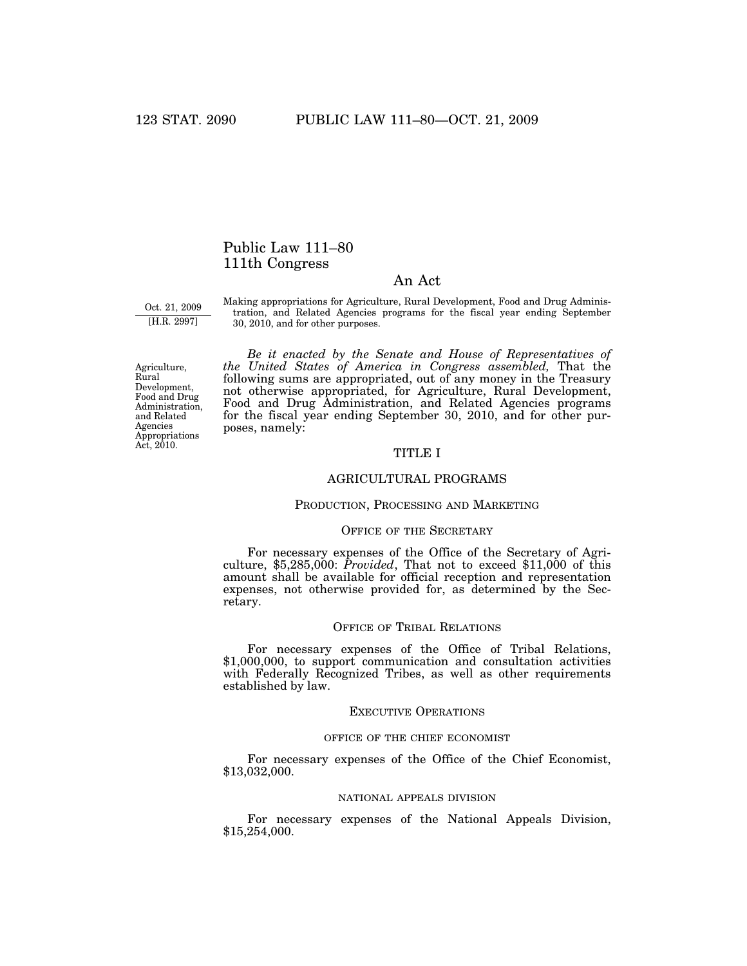# Public Law 111–80 111th Congress

# An Act

Oct. 21, 2009 [H.R. 2997]

Making appropriations for Agriculture, Rural Development, Food and Drug Administration, and Related Agencies programs for the fiscal year ending September 30, 2010, and for other purposes.

Agriculture, Rural Development, Food and Drug Administration, and Related Agencies Appropriations Act, 2010.

*Be it enacted by the Senate and House of Representatives of the United States of America in Congress assembled,* That the following sums are appropriated, out of any money in the Treasury not otherwise appropriated, for Agriculture, Rural Development, Food and Drug Administration, and Related Agencies programs for the fiscal year ending September 30, 2010, and for other purposes, namely:

## TITLE I

## AGRICULTURAL PROGRAMS

#### PRODUCTION, PROCESSING AND MARKETING

## OFFICE OF THE SECRETARY

For necessary expenses of the Office of the Secretary of Agriculture, \$5,285,000: *Provided*, That not to exceed \$11,000 of this amount shall be available for official reception and representation expenses, not otherwise provided for, as determined by the Secretary.

## OFFICE OF TRIBAL RELATIONS

For necessary expenses of the Office of Tribal Relations, \$1,000,000, to support communication and consultation activities with Federally Recognized Tribes, as well as other requirements established by law.

## EXECUTIVE OPERATIONS

#### OFFICE OF THE CHIEF ECONOMIST

For necessary expenses of the Office of the Chief Economist, \$13,032,000.

## NATIONAL APPEALS DIVISION

For necessary expenses of the National Appeals Division, \$15,254,000.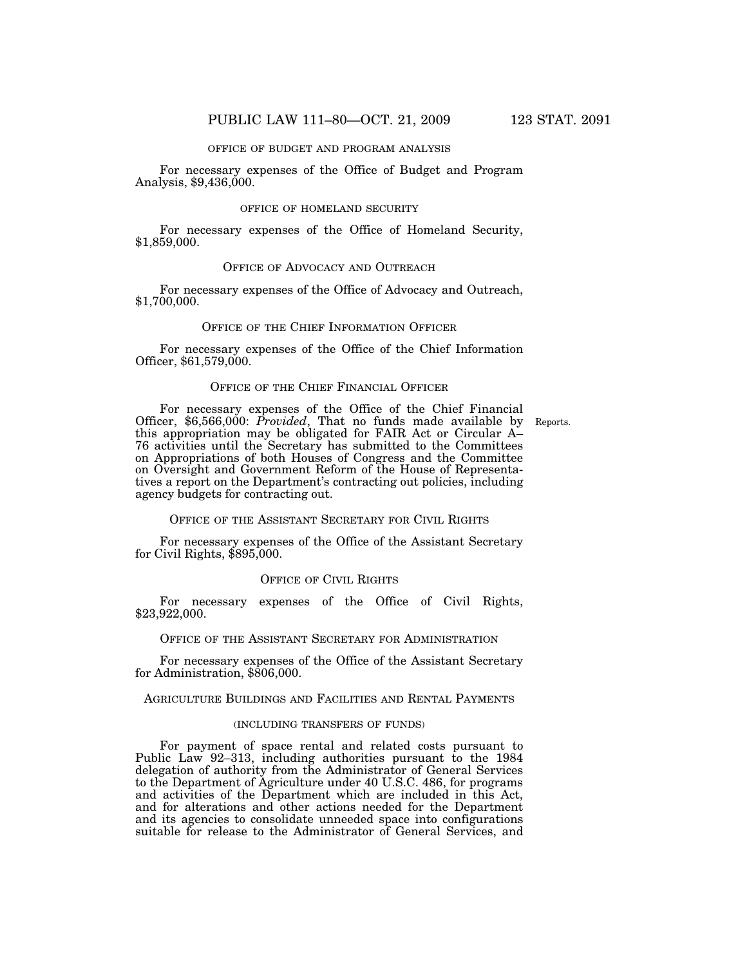## OFFICE OF BUDGET AND PROGRAM ANALYSIS

For necessary expenses of the Office of Budget and Program Analysis, \$9,436,000.

## OFFICE OF HOMELAND SECURITY

For necessary expenses of the Office of Homeland Security, \$1,859,000.

# OFFICE OF ADVOCACY AND OUTREACH

For necessary expenses of the Office of Advocacy and Outreach, \$1,700,000.

#### OFFICE OF THE CHIEF INFORMATION OFFICER

For necessary expenses of the Office of the Chief Information Officer, \$61,579,000.

#### OFFICE OF THE CHIEF FINANCIAL OFFICER

Reports.

For necessary expenses of the Office of the Chief Financial Officer, \$6,566,000: *Provided*, That no funds made available by this appropriation may be obligated for FAIR Act or Circular A– 76 activities until the Secretary has submitted to the Committees on Appropriations of both Houses of Congress and the Committee on Oversight and Government Reform of the House of Representatives a report on the Department's contracting out policies, including agency budgets for contracting out.

# OFFICE OF THE ASSISTANT SECRETARY FOR CIVIL RIGHTS

For necessary expenses of the Office of the Assistant Secretary for Civil Rights, \$895,000.

## OFFICE OF CIVIL RIGHTS

For necessary expenses of the Office of Civil Rights, \$23,922,000.

## OFFICE OF THE ASSISTANT SECRETARY FOR ADMINISTRATION

For necessary expenses of the Office of the Assistant Secretary for Administration, \$806,000.

## AGRICULTURE BUILDINGS AND FACILITIES AND RENTAL PAYMENTS

## (INCLUDING TRANSFERS OF FUNDS)

For payment of space rental and related costs pursuant to Public Law 92–313, including authorities pursuant to the 1984 delegation of authority from the Administrator of General Services to the Department of Agriculture under 40 U.S.C. 486, for programs and activities of the Department which are included in this Act, and for alterations and other actions needed for the Department and its agencies to consolidate unneeded space into configurations suitable for release to the Administrator of General Services, and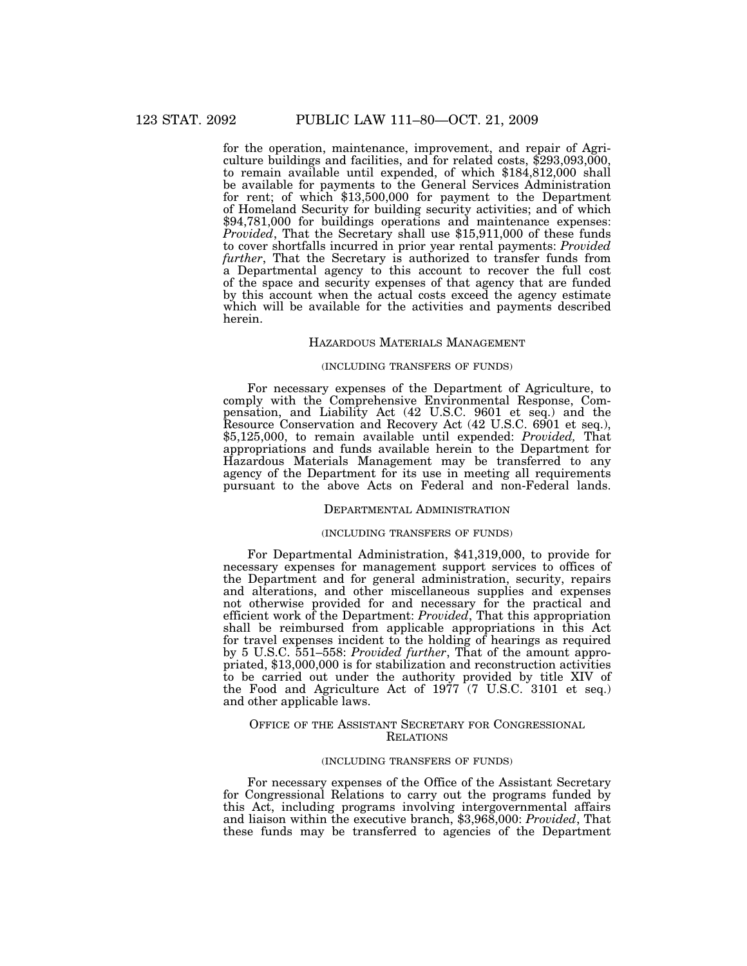for the operation, maintenance, improvement, and repair of Agriculture buildings and facilities, and for related costs, \$293,093,000, to remain available until expended, of which \$184,812,000 shall be available for payments to the General Services Administration for rent; of which \$13,500,000 for payment to the Department of Homeland Security for building security activities; and of which \$94,781,000 for buildings operations and maintenance expenses: *Provided*, That the Secretary shall use \$15,911,000 of these funds to cover shortfalls incurred in prior year rental payments: *Provided further*, That the Secretary is authorized to transfer funds from a Departmental agency to this account to recover the full cost of the space and security expenses of that agency that are funded by this account when the actual costs exceed the agency estimate which will be available for the activities and payments described herein.

# HAZARDOUS MATERIALS MANAGEMENT

## (INCLUDING TRANSFERS OF FUNDS)

For necessary expenses of the Department of Agriculture, to comply with the Comprehensive Environmental Response, Compensation, and Liability Act (42 U.S.C. 9601 et seq.) and the Resource Conservation and Recovery Act (42 U.S.C. 6901 et seq.), \$5,125,000, to remain available until expended: *Provided,* That appropriations and funds available herein to the Department for Hazardous Materials Management may be transferred to any agency of the Department for its use in meeting all requirements pursuant to the above Acts on Federal and non-Federal lands.

## DEPARTMENTAL ADMINISTRATION

#### (INCLUDING TRANSFERS OF FUNDS)

For Departmental Administration, \$41,319,000, to provide for necessary expenses for management support services to offices of the Department and for general administration, security, repairs and alterations, and other miscellaneous supplies and expenses not otherwise provided for and necessary for the practical and efficient work of the Department: *Provided*, That this appropriation shall be reimbursed from applicable appropriations in this Act for travel expenses incident to the holding of hearings as required by  $5 \text{ U.S.C. } 551-558$ : *Provided further*, That of the amount appropriated, \$13,000,000 is for stabilization and reconstruction activities to be carried out under the authority provided by title XIV of the Food and Agriculture Act of 1977 (7 U.S.C. 3101 et seq.) and other applicable laws.

# OFFICE OF THE ASSISTANT SECRETARY FOR CONGRESSIONAL RELATIONS

#### (INCLUDING TRANSFERS OF FUNDS)

For necessary expenses of the Office of the Assistant Secretary for Congressional Relations to carry out the programs funded by this Act, including programs involving intergovernmental affairs and liaison within the executive branch, \$3,968,000: *Provided*, That these funds may be transferred to agencies of the Department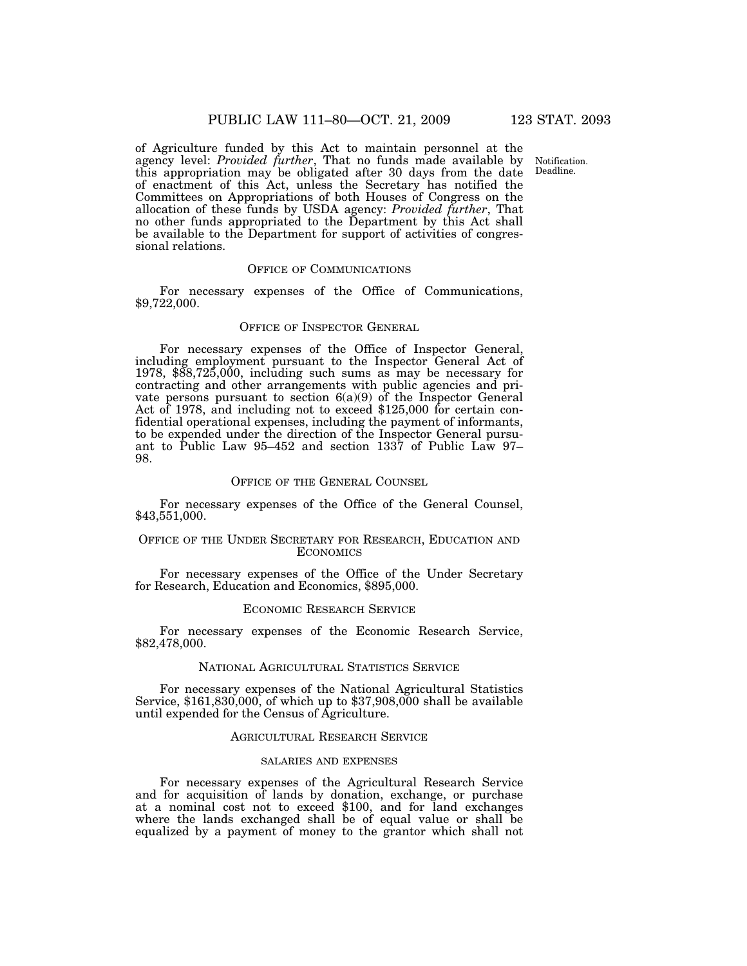Notification. Deadline.

of Agriculture funded by this Act to maintain personnel at the agency level: *Provided further*, That no funds made available by this appropriation may be obligated after 30 days from the date of enactment of this Act, unless the Secretary has notified the Committees on Appropriations of both Houses of Congress on the allocation of these funds by USDA agency: *Provided further*, That no other funds appropriated to the Department by this Act shall be available to the Department for support of activities of congressional relations.

## OFFICE OF COMMUNICATIONS

For necessary expenses of the Office of Communications, \$9,722,000.

## OFFICE OF INSPECTOR GENERAL

For necessary expenses of the Office of Inspector General, including employment pursuant to the Inspector General Act of 1978, \$88,725,000, including such sums as may be necessary for contracting and other arrangements with public agencies and private persons pursuant to section 6(a)(9) of the Inspector General Act of 1978, and including not to exceed \$125,000 for certain confidential operational expenses, including the payment of informants, to be expended under the direction of the Inspector General pursuant to Public Law 95–452 and section 1337 of Public Law 97– 98.

# OFFICE OF THE GENERAL COUNSEL

For necessary expenses of the Office of the General Counsel, \$43,551,000.

## OFFICE OF THE UNDER SECRETARY FOR RESEARCH, EDUCATION AND **ECONOMICS**

For necessary expenses of the Office of the Under Secretary for Research, Education and Economics, \$895,000.

## ECONOMIC RESEARCH SERVICE

For necessary expenses of the Economic Research Service, \$82,478,000.

## NATIONAL AGRICULTURAL STATISTICS SERVICE

For necessary expenses of the National Agricultural Statistics Service, \$161,830,000, of which up to \$37,908,000 shall be available until expended for the Census of Agriculture.

#### AGRICULTURAL RESEARCH SERVICE

#### SALARIES AND EXPENSES

For necessary expenses of the Agricultural Research Service and for acquisition of lands by donation, exchange, or purchase at a nominal cost not to exceed \$100, and for land exchanges where the lands exchanged shall be of equal value or shall be equalized by a payment of money to the grantor which shall not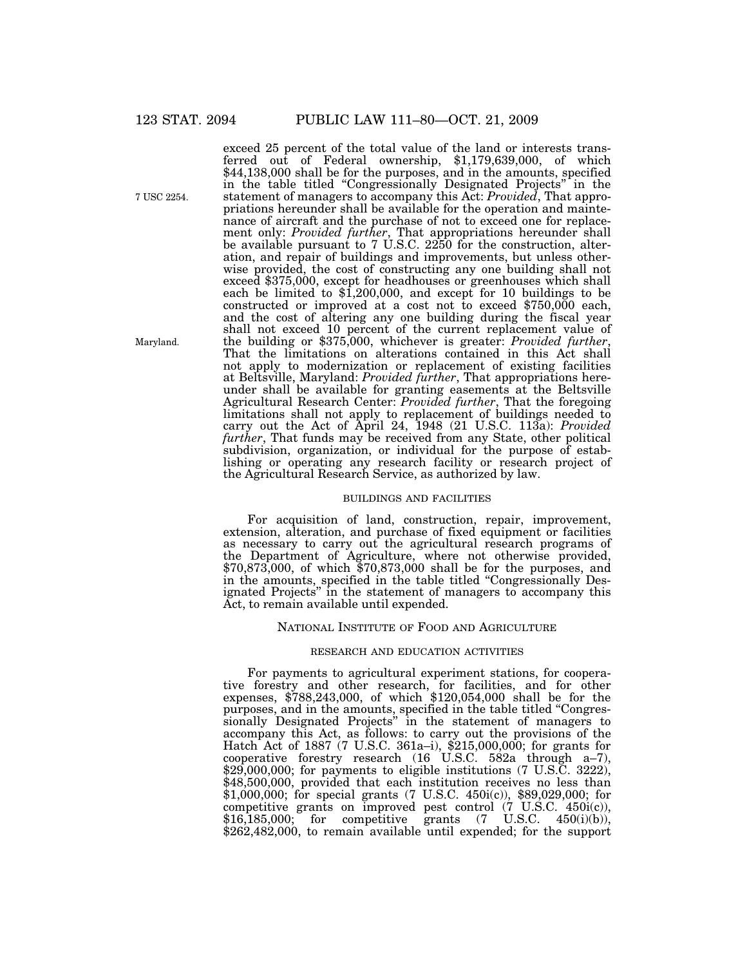exceed 25 percent of the total value of the land or interests transferred out of Federal ownership, \$1,179,639,000, of which \$44,138,000 shall be for the purposes, and in the amounts, specified in the table titled ''Congressionally Designated Projects'' in the statement of managers to accompany this Act: *Provided*, That appropriations hereunder shall be available for the operation and maintenance of aircraft and the purchase of not to exceed one for replacement only: *Provided further*, That appropriations hereunder shall be available pursuant to 7 U.S.C. 2250 for the construction, alteration, and repair of buildings and improvements, but unless otherwise provided, the cost of constructing any one building shall not exceed \$375,000, except for headhouses or greenhouses which shall each be limited to \$1,200,000, and except for 10 buildings to be constructed or improved at a cost not to exceed \$750,000 each, and the cost of altering any one building during the fiscal year shall not exceed 10 percent of the current replacement value of the building or \$375,000, whichever is greater: *Provided further*, That the limitations on alterations contained in this Act shall not apply to modernization or replacement of existing facilities at Beltsville, Maryland: *Provided further*, That appropriations hereunder shall be available for granting easements at the Beltsville Agricultural Research Center: *Provided further*, That the foregoing limitations shall not apply to replacement of buildings needed to carry out the Act of April 24, 1948 (21 U.S.C. 113a): *Provided further*, That funds may be received from any State, other political subdivision, organization, or individual for the purpose of establishing or operating any research facility or research project of the Agricultural Research Service, as authorized by law.

#### BUILDINGS AND FACILITIES

For acquisition of land, construction, repair, improvement, extension, alteration, and purchase of fixed equipment or facilities as necessary to carry out the agricultural research programs of the Department of Agriculture, where not otherwise provided, \$70,873,000, of which \$70,873,000 shall be for the purposes, and in the amounts, specified in the table titled ''Congressionally Designated Projects'' in the statement of managers to accompany this Act, to remain available until expended.

## NATIONAL INSTITUTE OF FOOD AND AGRICULTURE

## RESEARCH AND EDUCATION ACTIVITIES

For payments to agricultural experiment stations, for cooperative forestry and other research, for facilities, and for other expenses, \$788,243,000, of which \$120,054,000 shall be for the purposes, and in the amounts, specified in the table titled ''Congressionally Designated Projects'' in the statement of managers to accompany this Act, as follows: to carry out the provisions of the Hatch Act of 1887 (7 U.S.C. 361a–i), \$215,000,000; for grants for cooperative forestry research (16 U.S.C. 582a through a–7),  $$29,000,000;$  for payments to eligible institutions  $(7 \text{ U.S. C. } 3222)$ , \$48,500,000, provided that each institution receives no less than \$1,000,000; for special grants (7 U.S.C. 450i(c)), \$89,029,000; for competitive grants on improved pest control (7 U.S.C. 450i(c)), \$16,185,000; for competitive grants  $(7 \text{ U.S.C. } 450(i)(b))$ , \$262,482,000, to remain available until expended; for the support

7 USC 2254.

Maryland.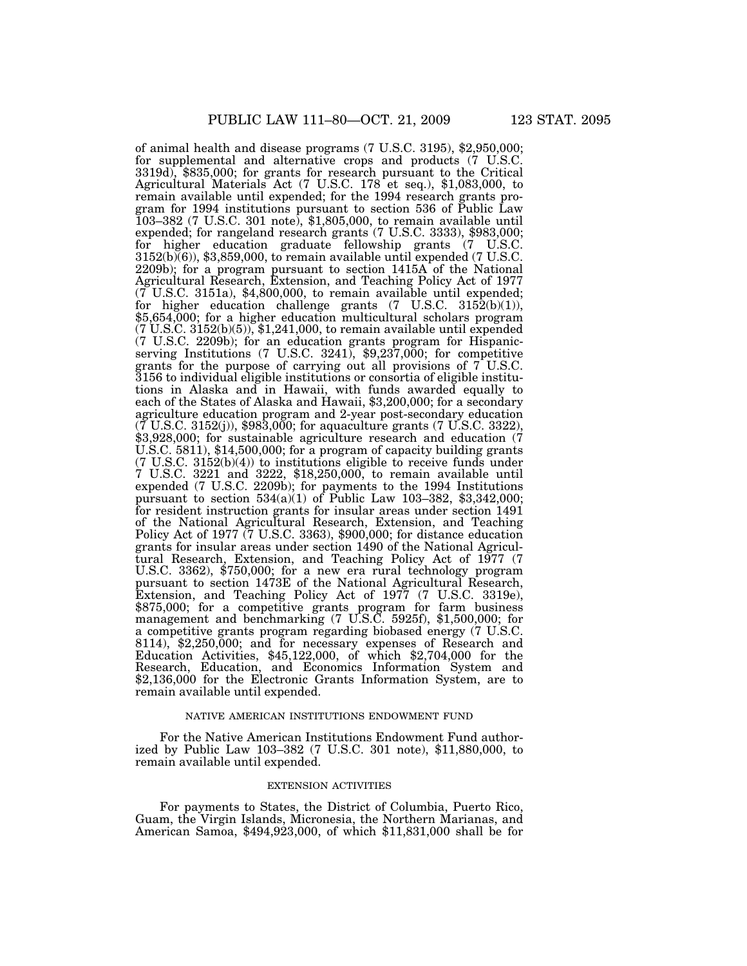of animal health and disease programs (7 U.S.C. 3195), \$2,950,000; for supplemental and alternative crops and products (7 U.S.C. 3319d), \$835,000; for grants for research pursuant to the Critical Agricultural Materials Act (7 U.S.C. 178 et seq.), \$1,083,000, to remain available until expended; for the 1994 research grants program for 1994 institutions pursuant to section 536 of Public Law 103–382 (7 U.S.C. 301 note), \$1,805,000, to remain available until expended; for rangeland research grants (7 U.S.C. 3333), \$983,000; for higher education graduate fellowship grants (7 U.S.C. 3152(b)(6)), \$3,859,000, to remain available until expended (7 U.S.C. 2209b); for a program pursuant to section 1415A of the National Agricultural Research, Extension, and Teaching Policy Act of 1977 (7 U.S.C. 3151a), \$4,800,000, to remain available until expended; for higher education challenge grants  $(7 \text{ U.S.C. } 3152(b)(1)),$ \$5,654,000; for a higher education multicultural scholars program  $(7 \text{ U.S.C. } 3152(b)(5)),$  \$1,241,000, to remain available until expended (7 U.S.C. 2209b); for an education grants program for Hispanicserving Institutions (7 U.S.C. 3241), \$9,237,000; for competitive grants for the purpose of carrying out all provisions of 7 U.S.C. 3156 to individual eligible institutions or consortia of eligible institutions in Alaska and in Hawaii, with funds awarded equally to each of the States of Alaska and Hawaii, \$3,200,000; for a secondary agriculture education program and 2-year post-secondary education  $(7 \text{ U.S.C. } 3152(j))$ , \$983,000; for aquaculture grants  $(7 \text{ U.S.C. } 3322)$ , \$3,928,000; for sustainable agriculture research and education (7) U.S.C. 5811), \$14,500,000; for a program of capacity building grants  $(7 \text{ U.S.C. } 3152(b)(4))$  to institutions eligible to receive funds under 7 U.S.C. 3221 and 3222, \$18,250,000, to remain available until expended (7 U.S.C. 2209b); for payments to the 1994 Institutions pursuant to section 534(a)(1) of Public Law 103–382, \$3,342,000; for resident instruction grants for insular areas under section 1491 of the National Agricultural Research, Extension, and Teaching Policy Act of 1977 (7 U.S.C. 3363), \$900,000; for distance education grants for insular areas under section 1490 of the National Agricultural Research, Extension, and Teaching Policy Act of 1977 (7 U.S.C. 3362), \$750,000; for a new era rural technology program pursuant to section 1473E of the National Agricultural Research, Extension, and Teaching Policy Act of 1977 (7 U.S.C. 3319e), \$875,000; for a competitive grants program for farm business management and benchmarking (7 U.S.C. 5925f), \$1,500,000; for a competitive grants program regarding biobased energy (7 U.S.C. 8114), \$2,250,000; and for necessary expenses of Research and Education Activities, \$45,122,000, of which \$2,704,000 for the Research, Education, and Economics Information System and \$2,136,000 for the Electronic Grants Information System, are to remain available until expended.

## NATIVE AMERICAN INSTITUTIONS ENDOWMENT FUND

For the Native American Institutions Endowment Fund authorized by Public Law 103–382 (7 U.S.C. 301 note), \$11,880,000, to remain available until expended.

## EXTENSION ACTIVITIES

For payments to States, the District of Columbia, Puerto Rico, Guam, the Virgin Islands, Micronesia, the Northern Marianas, and American Samoa, \$494,923,000, of which \$11,831,000 shall be for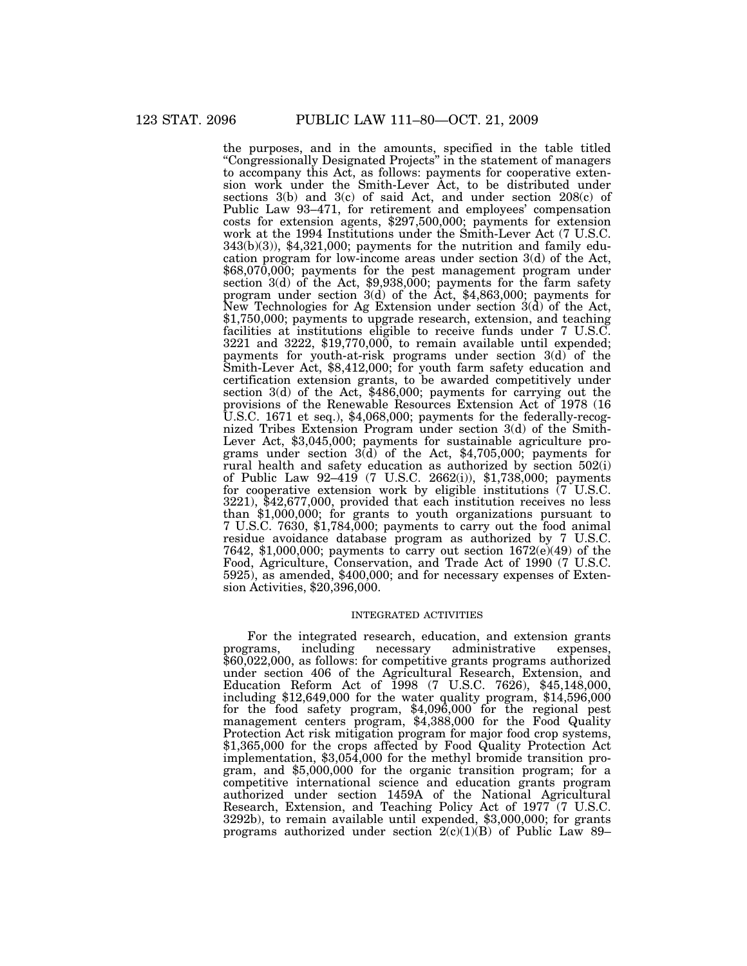the purposes, and in the amounts, specified in the table titled "Congressionally Designated Projects" in the statement of managers to accompany this Act, as follows: payments for cooperative extension work under the Smith-Lever Act, to be distributed under sections 3(b) and 3(c) of said Act, and under section 208(c) of Public Law 93–471, for retirement and employees' compensation costs for extension agents, \$297,500,000; payments for extension work at the 1994 Institutions under the Smith-Lever Act (7 U.S.C. 343(b)(3)), \$4,321,000; payments for the nutrition and family education program for low-income areas under section 3(d) of the Act, \$68,070,000; payments for the pest management program under section 3(d) of the Act, \$9,938,000; payments for the farm safety program under section  $3(d)$  of the Act, \$4,863,000; payments for New Technologies for Ag Extension under section  $3(\tilde{d})$  of the Act, \$1,750,000; payments to upgrade research, extension, and teaching facilities at institutions eligible to receive funds under 7 U.S.C. 3221 and 3222, \$19,770,000, to remain available until expended; payments for youth-at-risk programs under section 3(d) of the Smith-Lever Act, \$8,412,000; for youth farm safety education and certification extension grants, to be awarded competitively under section 3(d) of the Act, \$486,000; payments for carrying out the provisions of the Renewable Resources Extension Act of 1978 (16 U.S.C. 1671 et seq.), \$4,068,000; payments for the federally-recognized Tribes Extension Program under section 3(d) of the Smith-Lever Act, \$3,045,000; payments for sustainable agriculture programs under section 3(d) of the Act, \$4,705,000; payments for rural health and safety education as authorized by section 502(i) of Public Law 92–419 (7 U.S.C. 2662(i)), \$1,738,000; payments for cooperative extension work by eligible institutions (7 U.S.C. 3221), \$42,677,000, provided that each institution receives no less than \$1,000,000; for grants to youth organizations pursuant to 7 U.S.C. 7630, \$1,784,000; payments to carry out the food animal residue avoidance database program as authorized by 7 U.S.C. 7642, \$1,000,000; payments to carry out section 1672(e)(49) of the Food, Agriculture, Conservation, and Trade Act of 1990 (7 U.S.C. 5925), as amended, \$400,000; and for necessary expenses of Extension Activities, \$20,396,000.

## INTEGRATED ACTIVITIES

For the integrated research, education, and extension grants programs, including necessary administrative expenses. including necessary administrative expenses, \$60,022,000, as follows: for competitive grants programs authorized under section 406 of the Agricultural Research, Extension, and Education Reform Act of 1998 (7 U.S.C. 7626), \$45,148,000, including \$12,649,000 for the water quality program, \$14,596,000 for the food safety program, \$4,096,000 for the regional pest management centers program, \$4,388,000 for the Food Quality Protection Act risk mitigation program for major food crop systems, \$1,365,000 for the crops affected by Food Quality Protection Act implementation, \$3,054,000 for the methyl bromide transition program, and \$5,000,000 for the organic transition program; for a competitive international science and education grants program authorized under section 1459A of the National Agricultural Research, Extension, and Teaching Policy Act of 1977 (7 U.S.C. 3292b), to remain available until expended, \$3,000,000; for grants programs authorized under section  $2(c)(1)(B)$  of Public Law 89-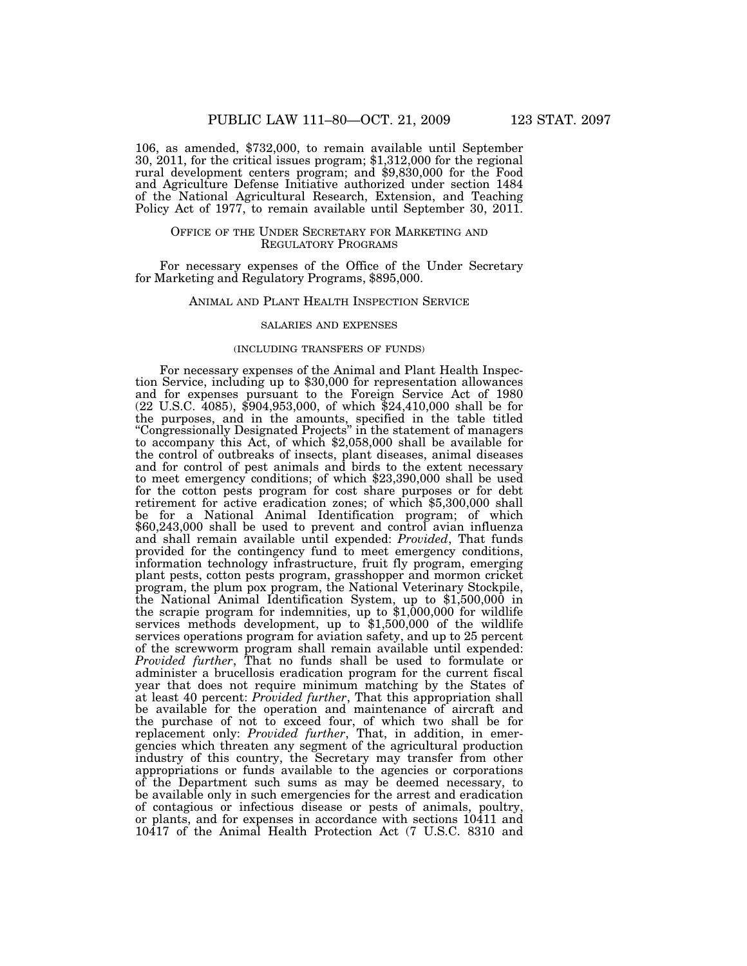106, as amended, \$732,000, to remain available until September 30, 2011, for the critical issues program; \$1,312,000 for the regional rural development centers program; and \$9,830,000 for the Food and Agriculture Defense Initiative authorized under section 1484 of the National Agricultural Research, Extension, and Teaching Policy Act of 1977, to remain available until September 30, 2011.

## OFFICE OF THE UNDER SECRETARY FOR MARKETING AND REGULATORY PROGRAMS

For necessary expenses of the Office of the Under Secretary for Marketing and Regulatory Programs, \$895,000.

## ANIMAL AND PLANT HEALTH INSPECTION SERVICE

### SALARIES AND EXPENSES

## (INCLUDING TRANSFERS OF FUNDS)

For necessary expenses of the Animal and Plant Health Inspection Service, including up to \$30,000 for representation allowances and for expenses pursuant to the Foreign Service Act of 1980 (22 U.S.C. 4085), \$904,953,000, of which \$24,410,000 shall be for the purposes, and in the amounts, specified in the table titled ''Congressionally Designated Projects'' in the statement of managers to accompany this Act, of which \$2,058,000 shall be available for the control of outbreaks of insects, plant diseases, animal diseases and for control of pest animals and birds to the extent necessary to meet emergency conditions; of which \$23,390,000 shall be used for the cotton pests program for cost share purposes or for debt retirement for active eradication zones; of which \$5,300,000 shall be for a National Animal Identification program; of which \$60,243,000 shall be used to prevent and control avian influenza and shall remain available until expended: *Provided*, That funds provided for the contingency fund to meet emergency conditions, information technology infrastructure, fruit fly program, emerging plant pests, cotton pests program, grasshopper and mormon cricket program, the plum pox program, the National Veterinary Stockpile, the National Animal Identification System, up to \$1,500,000 in the scrapie program for indemnities, up to \$1,000,000 for wildlife services methods development, up to \$1,500,000 of the wildlife services operations program for aviation safety, and up to 25 percent of the screwworm program shall remain available until expended: *Provided further*, That no funds shall be used to formulate or administer a brucellosis eradication program for the current fiscal year that does not require minimum matching by the States of at least 40 percent: *Provided further*, That this appropriation shall be available for the operation and maintenance of aircraft and the purchase of not to exceed four, of which two shall be for replacement only: *Provided further*, That, in addition, in emergencies which threaten any segment of the agricultural production industry of this country, the Secretary may transfer from other appropriations or funds available to the agencies or corporations of the Department such sums as may be deemed necessary, to be available only in such emergencies for the arrest and eradication of contagious or infectious disease or pests of animals, poultry, or plants, and for expenses in accordance with sections 10411 and 10417 of the Animal Health Protection Act (7 U.S.C. 8310 and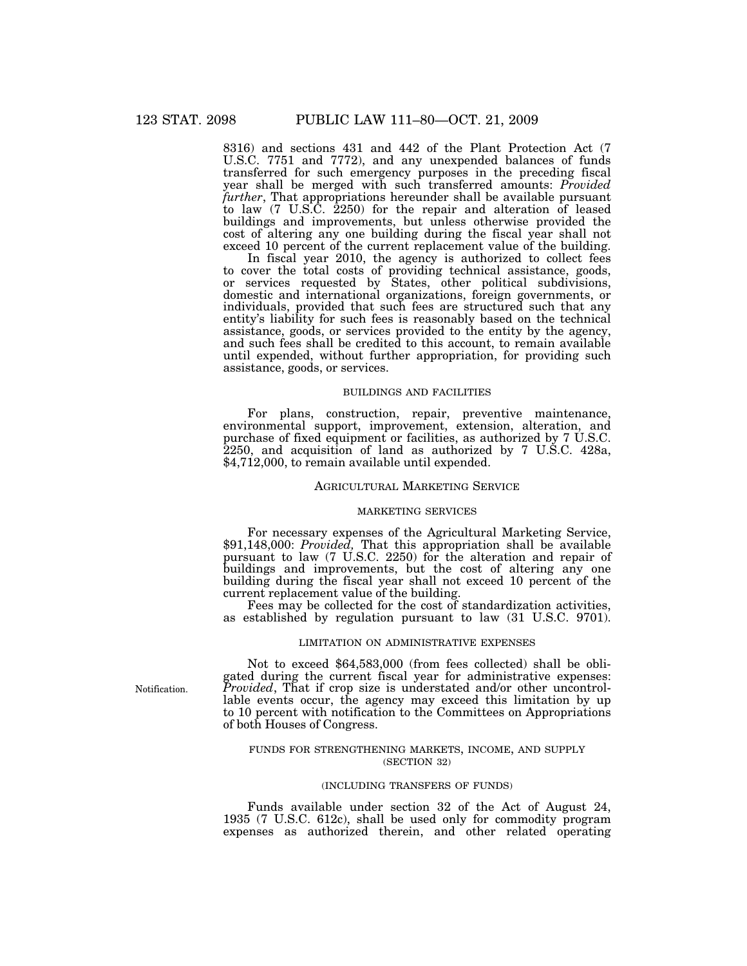8316) and sections 431 and 442 of the Plant Protection Act (7 U.S.C. 7751 and 7772), and any unexpended balances of funds transferred for such emergency purposes in the preceding fiscal year shall be merged with such transferred amounts: *Provided further*, That appropriations hereunder shall be available pursuant to law (7 U.S.C. 2250) for the repair and alteration of leased buildings and improvements, but unless otherwise provided the cost of altering any one building during the fiscal year shall not exceed 10 percent of the current replacement value of the building.

In fiscal year 2010, the agency is authorized to collect fees to cover the total costs of providing technical assistance, goods, or services requested by States, other political subdivisions, domestic and international organizations, foreign governments, or individuals, provided that such fees are structured such that any entity's liability for such fees is reasonably based on the technical assistance, goods, or services provided to the entity by the agency, and such fees shall be credited to this account, to remain available until expended, without further appropriation, for providing such assistance, goods, or services.

#### BUILDINGS AND FACILITIES

For plans, construction, repair, preventive maintenance, environmental support, improvement, extension, alteration, and purchase of fixed equipment or facilities, as authorized by 7 U.S.C. 2250, and acquisition of land as authorized by 7 U.S.C. 428a, \$4,712,000, to remain available until expended.

## AGRICULTURAL MARKETING SERVICE

## MARKETING SERVICES

For necessary expenses of the Agricultural Marketing Service, \$91,148,000: *Provided,* That this appropriation shall be available pursuant to law (7 U.S.C. 2250) for the alteration and repair of buildings and improvements, but the cost of altering any one building during the fiscal year shall not exceed 10 percent of the current replacement value of the building.

Fees may be collected for the cost of standardization activities, as established by regulation pursuant to law (31 U.S.C. 9701).

#### LIMITATION ON ADMINISTRATIVE EXPENSES

Not to exceed \$64,583,000 (from fees collected) shall be obligated during the current fiscal year for administrative expenses: *Provided*, That if crop size is understated and/or other uncontrollable events occur, the agency may exceed this limitation by up to 10 percent with notification to the Committees on Appropriations of both Houses of Congress.

## FUNDS FOR STRENGTHENING MARKETS, INCOME, AND SUPPLY (SECTION 32)

## (INCLUDING TRANSFERS OF FUNDS)

Funds available under section 32 of the Act of August 24, 1935 (7 U.S.C. 612c), shall be used only for commodity program expenses as authorized therein, and other related operating

Notification.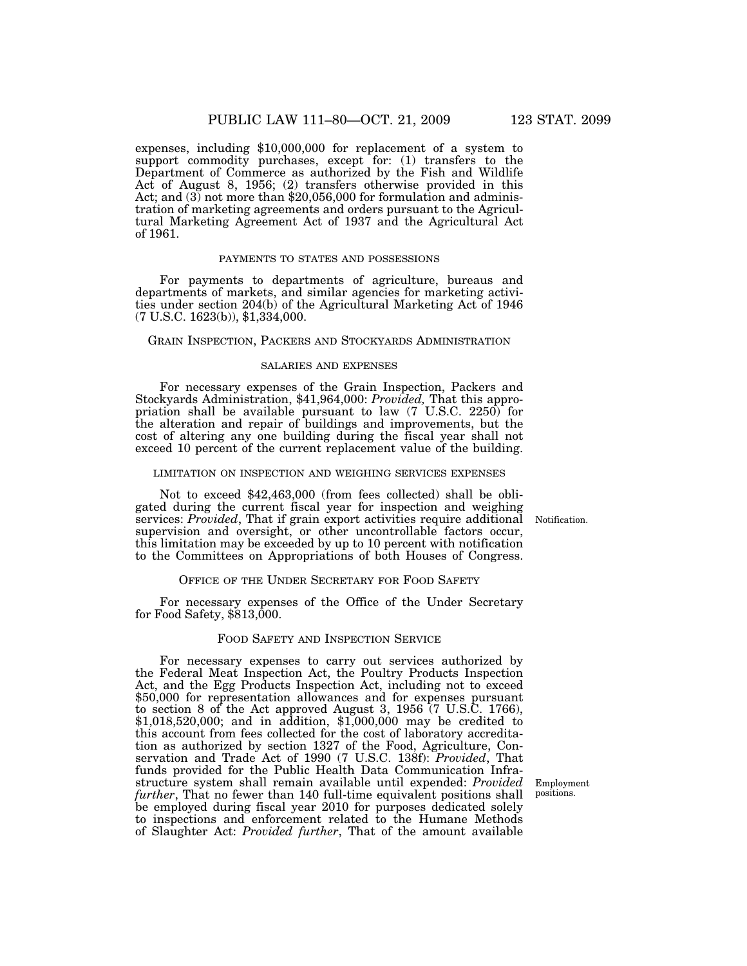expenses, including \$10,000,000 for replacement of a system to support commodity purchases, except for: (1) transfers to the Department of Commerce as authorized by the Fish and Wildlife Act of August 8, 1956; (2) transfers otherwise provided in this Act; and  $(3)$  not more than \$20,056,000 for formulation and administration of marketing agreements and orders pursuant to the Agricultural Marketing Agreement Act of 1937 and the Agricultural Act of 1961.

## PAYMENTS TO STATES AND POSSESSIONS

For payments to departments of agriculture, bureaus and departments of markets, and similar agencies for marketing activities under section 204(b) of the Agricultural Marketing Act of 1946 (7 U.S.C. 1623(b)), \$1,334,000.

## GRAIN INSPECTION, PACKERS AND STOCKYARDS ADMINISTRATION

## SALARIES AND EXPENSES

For necessary expenses of the Grain Inspection, Packers and Stockyards Administration, \$41,964,000: *Provided,* That this appropriation shall be available pursuant to law (7 U.S.C. 2250) for the alteration and repair of buildings and improvements, but the cost of altering any one building during the fiscal year shall not exceed 10 percent of the current replacement value of the building.

#### LIMITATION ON INSPECTION AND WEIGHING SERVICES EXPENSES

Not to exceed \$42,463,000 (from fees collected) shall be obligated during the current fiscal year for inspection and weighing services: *Provided*, That if grain export activities require additional Notification. supervision and oversight, or other uncontrollable factors occur, this limitation may be exceeded by up to 10 percent with notification to the Committees on Appropriations of both Houses of Congress.

#### OFFICE OF THE UNDER SECRETARY FOR FOOD SAFETY

For necessary expenses of the Office of the Under Secretary for Food Safety, \$813,000.

## FOOD SAFETY AND INSPECTION SERVICE

For necessary expenses to carry out services authorized by the Federal Meat Inspection Act, the Poultry Products Inspection Act, and the Egg Products Inspection Act, including not to exceed \$50,000 for representation allowances and for expenses pursuant to section 8 of the Act approved August 3, 1956 (7 U.S.C. 1766), \$1,018,520,000; and in addition, \$1,000,000 may be credited to this account from fees collected for the cost of laboratory accreditation as authorized by section 1327 of the Food, Agriculture, Conservation and Trade Act of 1990 (7 U.S.C. 138f): *Provided*, That funds provided for the Public Health Data Communication Infrastructure system shall remain available until expended: *Provided further*, That no fewer than 140 full-time equivalent positions shall be employed during fiscal year 2010 for purposes dedicated solely to inspections and enforcement related to the Humane Methods of Slaughter Act: *Provided further*, That of the amount available

Employment positions.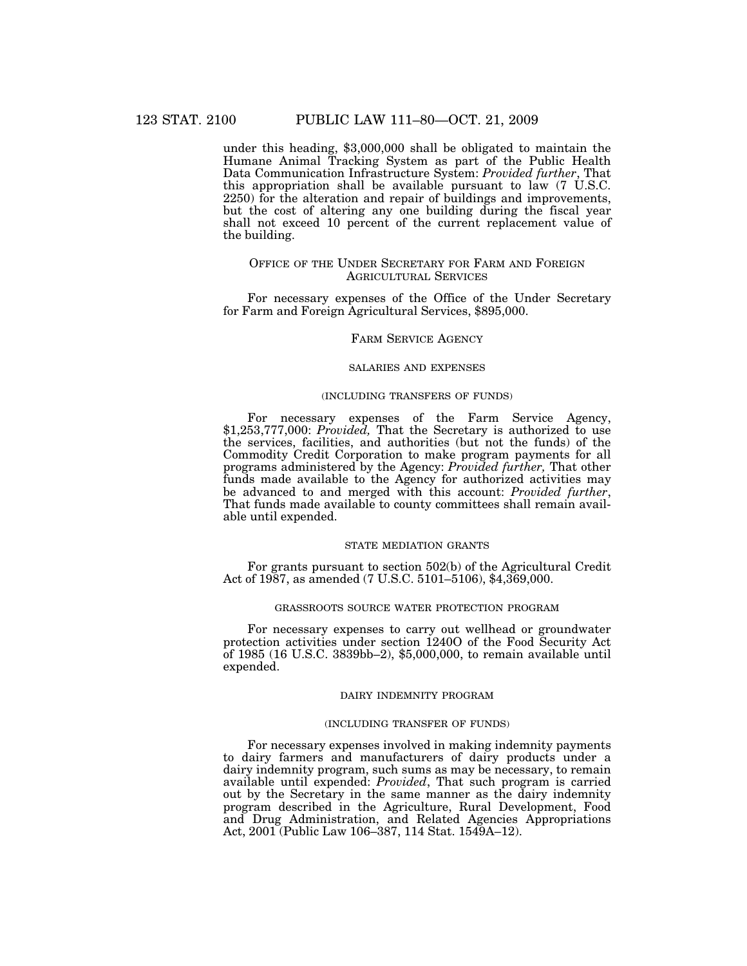under this heading, \$3,000,000 shall be obligated to maintain the Humane Animal Tracking System as part of the Public Health Data Communication Infrastructure System: *Provided further*, That this appropriation shall be available pursuant to law  $(7 \text{ U.S.C.})$ 2250) for the alteration and repair of buildings and improvements, but the cost of altering any one building during the fiscal year shall not exceed 10 percent of the current replacement value of the building.

## OFFICE OF THE UNDER SECRETARY FOR FARM AND FOREIGN AGRICULTURAL SERVICES

For necessary expenses of the Office of the Under Secretary for Farm and Foreign Agricultural Services, \$895,000.

## FARM SERVICE AGENCY

## SALARIES AND EXPENSES

## (INCLUDING TRANSFERS OF FUNDS)

For necessary expenses of the Farm Service Agency, \$1,253,777,000: *Provided,* That the Secretary is authorized to use the services, facilities, and authorities (but not the funds) of the Commodity Credit Corporation to make program payments for all programs administered by the Agency: *Provided further,* That other funds made available to the Agency for authorized activities may be advanced to and merged with this account: *Provided further*, That funds made available to county committees shall remain available until expended.

## STATE MEDIATION GRANTS

For grants pursuant to section 502(b) of the Agricultural Credit Act of 1987, as amended (7 U.S.C. 5101–5106), \$4,369,000.

#### GRASSROOTS SOURCE WATER PROTECTION PROGRAM

For necessary expenses to carry out wellhead or groundwater protection activities under section 1240O of the Food Security Act of 1985 (16 U.S.C. 3839bb–2), \$5,000,000, to remain available until expended.

#### DAIRY INDEMNITY PROGRAM

#### (INCLUDING TRANSFER OF FUNDS)

For necessary expenses involved in making indemnity payments to dairy farmers and manufacturers of dairy products under a dairy indemnity program, such sums as may be necessary, to remain available until expended: *Provided*, That such program is carried out by the Secretary in the same manner as the dairy indemnity program described in the Agriculture, Rural Development, Food and Drug Administration, and Related Agencies Appropriations Act, 2001 (Public Law 106–387, 114 Stat. 1549A–12).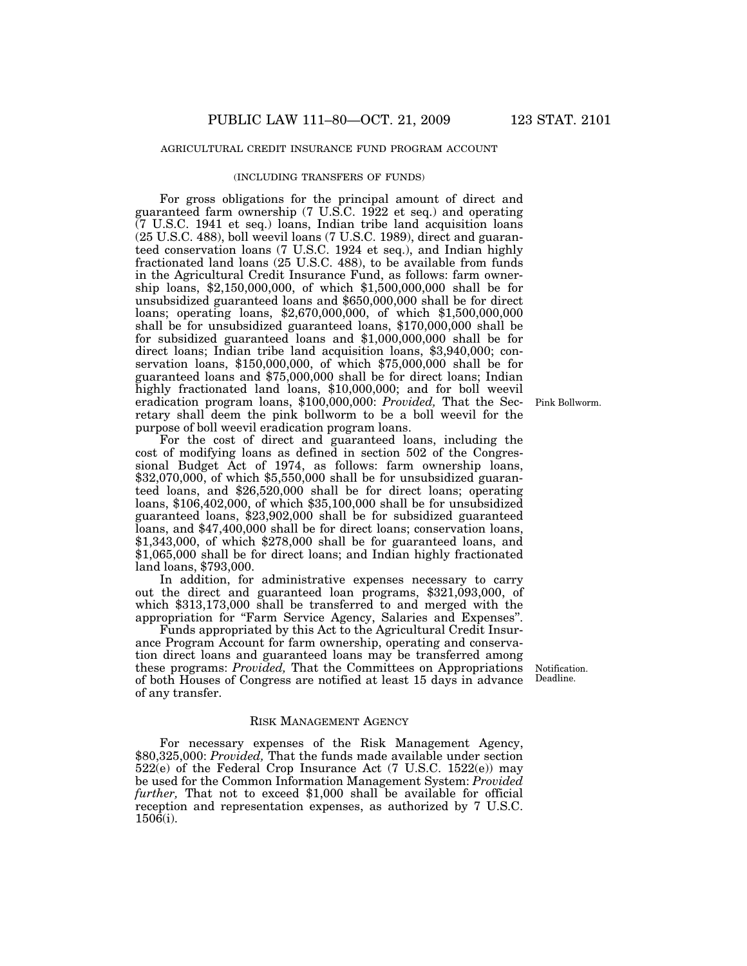## AGRICULTURAL CREDIT INSURANCE FUND PROGRAM ACCOUNT

#### (INCLUDING TRANSFERS OF FUNDS)

For gross obligations for the principal amount of direct and guaranteed farm ownership (7 U.S.C. 1922 et seq.) and operating (7 U.S.C. 1941 et seq.) loans, Indian tribe land acquisition loans (25 U.S.C. 488), boll weevil loans (7 U.S.C. 1989), direct and guaranteed conservation loans (7 U.S.C. 1924 et seq.), and Indian highly fractionated land loans (25 U.S.C. 488), to be available from funds in the Agricultural Credit Insurance Fund, as follows: farm ownership loans, \$2,150,000,000, of which \$1,500,000,000 shall be for unsubsidized guaranteed loans and \$650,000,000 shall be for direct loans; operating loans, \$2,670,000,000, of which \$1,500,000,000 shall be for unsubsidized guaranteed loans, \$170,000,000 shall be for subsidized guaranteed loans and \$1,000,000,000 shall be for direct loans; Indian tribe land acquisition loans, \$3,940,000; conservation loans, \$150,000,000, of which \$75,000,000 shall be for guaranteed loans and \$75,000,000 shall be for direct loans; Indian highly fractionated land loans, \$10,000,000; and for boll weevil eradication program loans, \$100,000,000: *Provided,* That the Secretary shall deem the pink bollworm to be a boll weevil for the purpose of boll weevil eradication program loans.

For the cost of direct and guaranteed loans, including the cost of modifying loans as defined in section 502 of the Congressional Budget Act of 1974, as follows: farm ownership loans,  $$32,070,000$ , of which  $$5,550,000$  shall be for unsubsidized guaranteed loans, and \$26,520,000 shall be for direct loans; operating loans, \$106,402,000, of which \$35,100,000 shall be for unsubsidized guaranteed loans, \$23,902,000 shall be for subsidized guaranteed loans, and \$47,400,000 shall be for direct loans; conservation loans, \$1,343,000, of which \$278,000 shall be for guaranteed loans, and \$1,065,000 shall be for direct loans; and Indian highly fractionated land loans, \$793,000.

In addition, for administrative expenses necessary to carry out the direct and guaranteed loan programs, \$321,093,000, of which \$313,173,000 shall be transferred to and merged with the appropriation for ''Farm Service Agency, Salaries and Expenses''.

Funds appropriated by this Act to the Agricultural Credit Insurance Program Account for farm ownership, operating and conservation direct loans and guaranteed loans may be transferred among these programs: *Provided,* That the Committees on Appropriations of both Houses of Congress are notified at least 15 days in advance of any transfer.

## RISK MANAGEMENT AGENCY

For necessary expenses of the Risk Management Agency, \$80,325,000: *Provided,* That the funds made available under section 522(e) of the Federal Crop Insurance Act (7 U.S.C. 1522(e)) may be used for the Common Information Management System: *Provided further,* That not to exceed \$1,000 shall be available for official reception and representation expenses, as authorized by 7 U.S.C. 1506(i).

Pink Bollworm.

**Notification** Deadline.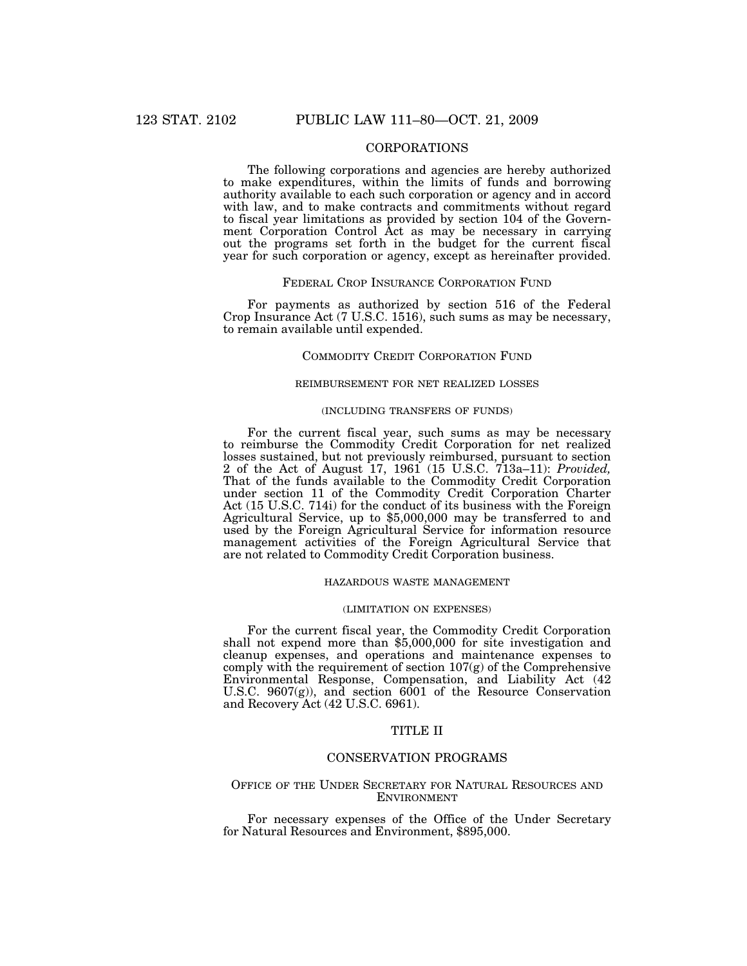# CORPORATIONS

The following corporations and agencies are hereby authorized to make expenditures, within the limits of funds and borrowing authority available to each such corporation or agency and in accord with law, and to make contracts and commitments without regard to fiscal year limitations as provided by section 104 of the Government Corporation Control Act as may be necessary in carrying out the programs set forth in the budget for the current fiscal year for such corporation or agency, except as hereinafter provided.

#### FEDERAL CROP INSURANCE CORPORATION FUND

For payments as authorized by section 516 of the Federal Crop Insurance Act (7 U.S.C. 1516), such sums as may be necessary, to remain available until expended.

# COMMODITY CREDIT CORPORATION FUND

# REIMBURSEMENT FOR NET REALIZED LOSSES

## (INCLUDING TRANSFERS OF FUNDS)

For the current fiscal year, such sums as may be necessary to reimburse the Commodity Credit Corporation for net realized losses sustained, but not previously reimbursed, pursuant to section 2 of the Act of August 17, 1961 (15 U.S.C. 713a–11): *Provided,*  That of the funds available to the Commodity Credit Corporation under section 11 of the Commodity Credit Corporation Charter Act (15 U.S.C. 714i) for the conduct of its business with the Foreign Agricultural Service, up to \$5,000,000 may be transferred to and used by the Foreign Agricultural Service for information resource management activities of the Foreign Agricultural Service that are not related to Commodity Credit Corporation business.

## HAZARDOUS WASTE MANAGEMENT

#### (LIMITATION ON EXPENSES)

For the current fiscal year, the Commodity Credit Corporation shall not expend more than \$5,000,000 for site investigation and cleanup expenses, and operations and maintenance expenses to comply with the requirement of section 107(g) of the Comprehensive Environmental Response, Compensation, and Liability Act (42 U.S.C.  $9607(g)$ , and section  $6001$  of the Resource Conservation and Recovery Act (42 U.S.C. 6961).

# TITLE II

# CONSERVATION PROGRAMS

## OFFICE OF THE UNDER SECRETARY FOR NATURAL RESOURCES AND ENVIRONMENT

For necessary expenses of the Office of the Under Secretary for Natural Resources and Environment, \$895,000.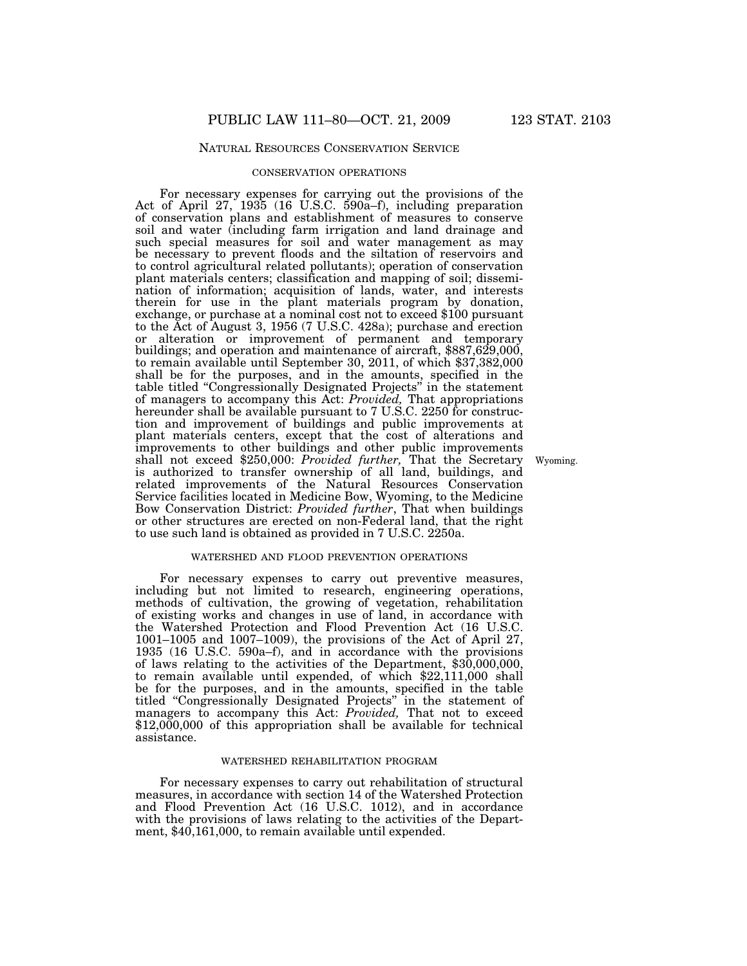## NATURAL RESOURCES CONSERVATION SERVICE

#### CONSERVATION OPERATIONS

For necessary expenses for carrying out the provisions of the Act of April 27, 1935 (16 U.S.C. 590a–f), including preparation of conservation plans and establishment of measures to conserve soil and water (including farm irrigation and land drainage and such special measures for soil and water management as may be necessary to prevent floods and the siltation of reservoirs and to control agricultural related pollutants); operation of conservation plant materials centers; classification and mapping of soil; dissemination of information; acquisition of lands, water, and interests therein for use in the plant materials program by donation, exchange, or purchase at a nominal cost not to exceed \$100 pursuant to the Act of August 3, 1956 (7 U.S.C. 428a); purchase and erection or alteration or improvement of permanent and temporary buildings; and operation and maintenance of aircraft, \$887,629,000, to remain available until September 30, 2011, of which \$37,382,000 shall be for the purposes, and in the amounts, specified in the table titled ''Congressionally Designated Projects'' in the statement of managers to accompany this Act: *Provided,* That appropriations hereunder shall be available pursuant to 7 U.S.C. 2250 for construction and improvement of buildings and public improvements at plant materials centers, except that the cost of alterations and improvements to other buildings and other public improvements shall not exceed \$250,000: *Provided further,* That the Secretary is authorized to transfer ownership of all land, buildings, and related improvements of the Natural Resources Conservation Service facilities located in Medicine Bow, Wyoming, to the Medicine Bow Conservation District: *Provided further*, That when buildings or other structures are erected on non-Federal land, that the right to use such land is obtained as provided in 7 U.S.C. 2250a.

## WATERSHED AND FLOOD PREVENTION OPERATIONS

For necessary expenses to carry out preventive measures, including but not limited to research, engineering operations, methods of cultivation, the growing of vegetation, rehabilitation of existing works and changes in use of land, in accordance with the Watershed Protection and Flood Prevention Act (16 U.S.C. 1001–1005 and 1007–1009), the provisions of the Act of April 27, 1935 (16 U.S.C. 590a–f), and in accordance with the provisions of laws relating to the activities of the Department, \$30,000,000, to remain available until expended, of which \$22,111,000 shall be for the purposes, and in the amounts, specified in the table titled ''Congressionally Designated Projects'' in the statement of managers to accompany this Act: *Provided,* That not to exceed \$12,000,000 of this appropriation shall be available for technical assistance.

#### WATERSHED REHABILITATION PROGRAM

For necessary expenses to carry out rehabilitation of structural measures, in accordance with section 14 of the Watershed Protection and Flood Prevention Act (16 U.S.C. 1012), and in accordance with the provisions of laws relating to the activities of the Department, \$40,161,000, to remain available until expended.

Wyoming.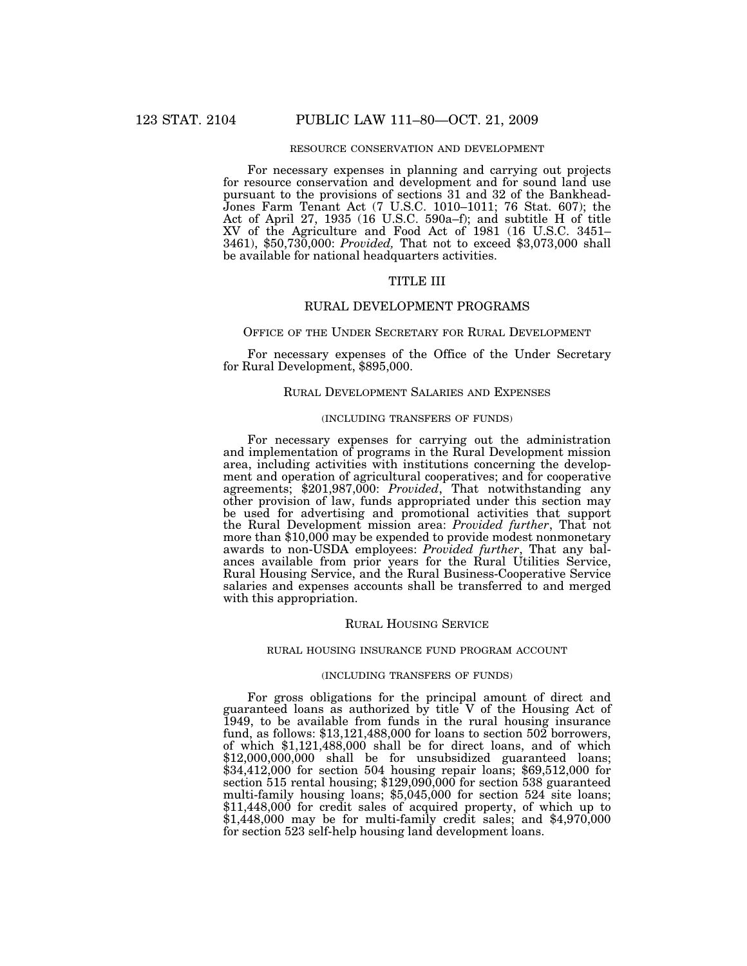# RESOURCE CONSERVATION AND DEVELOPMENT

For necessary expenses in planning and carrying out projects for resource conservation and development and for sound land use pursuant to the provisions of sections 31 and 32 of the Bankhead-Jones Farm Tenant Act (7 U.S.C. 1010–1011; 76 Stat. 607); the Act of April 27, 1935 (16 U.S.C. 590a–f); and subtitle H of title XV of the Agriculture and Food Act of 1981 (16 U.S.C. 3451– 3461), \$50,730,000: *Provided,* That not to exceed \$3,073,000 shall be available for national headquarters activities.

# TITLE III

## RURAL DEVELOPMENT PROGRAMS

## OFFICE OF THE UNDER SECRETARY FOR RURAL DEVELOPMENT

For necessary expenses of the Office of the Under Secretary for Rural Development, \$895,000.

## RURAL DEVELOPMENT SALARIES AND EXPENSES

#### (INCLUDING TRANSFERS OF FUNDS)

For necessary expenses for carrying out the administration and implementation of programs in the Rural Development mission area, including activities with institutions concerning the development and operation of agricultural cooperatives; and for cooperative agreements; \$201,987,000: *Provided*, That notwithstanding any other provision of law, funds appropriated under this section may be used for advertising and promotional activities that support the Rural Development mission area: *Provided further*, That not more than \$10,000 may be expended to provide modest nonmonetary awards to non-USDA employees: *Provided further*, That any balances available from prior years for the Rural Utilities Service, Rural Housing Service, and the Rural Business-Cooperative Service salaries and expenses accounts shall be transferred to and merged with this appropriation.

## RURAL HOUSING SERVICE

#### RURAL HOUSING INSURANCE FUND PROGRAM ACCOUNT

## (INCLUDING TRANSFERS OF FUNDS)

For gross obligations for the principal amount of direct and guaranteed loans as authorized by title V of the Housing Act of 1949, to be available from funds in the rural housing insurance fund, as follows: \$13,121,488,000 for loans to section 502 borrowers, of which \$1,121,488,000 shall be for direct loans, and of which \$12,000,000,000 shall be for unsubsidized guaranteed loans; \$34,412,000 for section 504 housing repair loans; \$69,512,000 for section 515 rental housing; \$129,090,000 for section 538 guaranteed multi-family housing loans; \$5,045,000 for section 524 site loans; \$11,448,000 for credit sales of acquired property, of which up to \$1,448,000 may be for multi-family credit sales; and \$4,970,000 for section 523 self-help housing land development loans.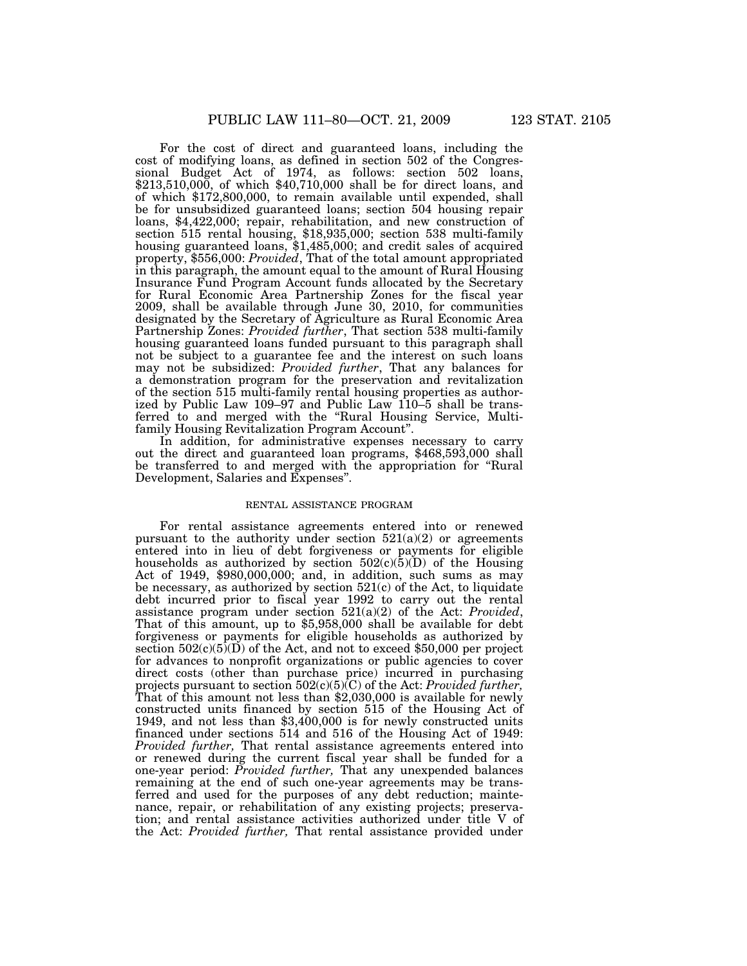For the cost of direct and guaranteed loans, including the cost of modifying loans, as defined in section 502 of the Congressional Budget Act of 1974, as follows: section 502 loans,  $$213,510,000$ , of which  $$40,710,000$  shall be for direct loans, and of which \$172,800,000, to remain available until expended, shall be for unsubsidized guaranteed loans; section 504 housing repair loans, \$4,422,000; repair, rehabilitation, and new construction of section 515 rental housing, \$18,935,000; section 538 multi-family housing guaranteed loans, \$1,485,000; and credit sales of acquired property, \$556,000: *Provided*, That of the total amount appropriated in this paragraph, the amount equal to the amount of Rural Housing Insurance Fund Program Account funds allocated by the Secretary for Rural Economic Area Partnership Zones for the fiscal year 2009, shall be available through June 30, 2010, for communities designated by the Secretary of Agriculture as Rural Economic Area Partnership Zones: *Provided further*, That section 538 multi-family housing guaranteed loans funded pursuant to this paragraph shall not be subject to a guarantee fee and the interest on such loans may not be subsidized: *Provided further*, That any balances for a demonstration program for the preservation and revitalization of the section 515 multi-family rental housing properties as authorized by Public Law 109–97 and Public Law 110–5 shall be transferred to and merged with the "Rural Housing Service, Multifamily Housing Revitalization Program Account''.

In addition, for administrative expenses necessary to carry out the direct and guaranteed loan programs, \$468,593,000 shall be transferred to and merged with the appropriation for ''Rural Development, Salaries and Expenses''.

#### RENTAL ASSISTANCE PROGRAM

For rental assistance agreements entered into or renewed pursuant to the authority under section  $521(a)(2)$  or agreements entered into in lieu of debt forgiveness or payments for eligible households as authorized by section  $502(c)(5)(D)$  of the Housing Act of 1949, \$980,000,000; and, in addition, such sums as may be necessary, as authorized by section  $521(c)$  of the Act, to liquidate debt incurred prior to fiscal year 1992 to carry out the rental assistance program under section 521(a)(2) of the Act: *Provided*, That of this amount, up to \$5,958,000 shall be available for debt forgiveness or payments for eligible households as authorized by section  $502(c)(5)(D)$  of the Act, and not to exceed \$50,000 per project for advances to nonprofit organizations or public agencies to cover direct costs (other than purchase price) incurred in purchasing projects pursuant to section 502(c)(5)(C) of the Act: *Provided further,*  That of this amount not less than \$2,030,000 is available for newly constructed units financed by section 515 of the Housing Act of 1949, and not less than \$3,400,000 is for newly constructed units financed under sections 514 and 516 of the Housing Act of 1949: *Provided further,* That rental assistance agreements entered into or renewed during the current fiscal year shall be funded for a one-year period: *Provided further,* That any unexpended balances remaining at the end of such one-year agreements may be transferred and used for the purposes of any debt reduction; maintenance, repair, or rehabilitation of any existing projects; preservation; and rental assistance activities authorized under title V of the Act: *Provided further,* That rental assistance provided under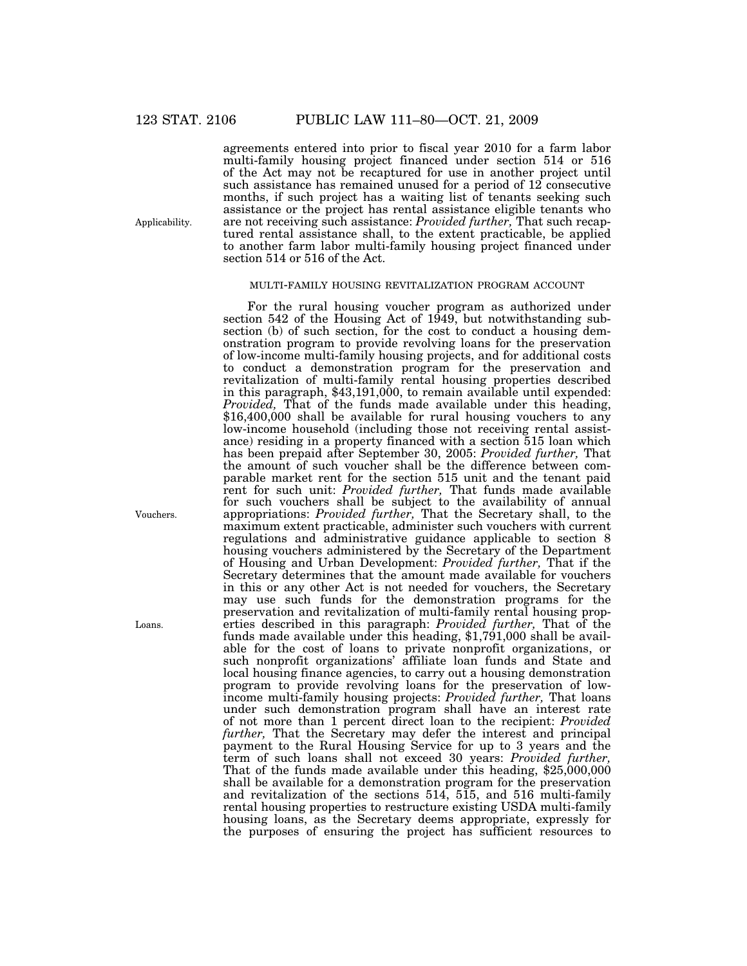agreements entered into prior to fiscal year 2010 for a farm labor multi-family housing project financed under section 514 or 516 of the Act may not be recaptured for use in another project until such assistance has remained unused for a period of 12 consecutive months, if such project has a waiting list of tenants seeking such assistance or the project has rental assistance eligible tenants who are not receiving such assistance: *Provided further,* That such recaptured rental assistance shall, to the extent practicable, be applied to another farm labor multi-family housing project financed under section 514 or 516 of the Act.

## MULTI-FAMILY HOUSING REVITALIZATION PROGRAM ACCOUNT

For the rural housing voucher program as authorized under section 542 of the Housing Act of 1949, but notwithstanding subsection (b) of such section, for the cost to conduct a housing demonstration program to provide revolving loans for the preservation of low-income multi-family housing projects, and for additional costs to conduct a demonstration program for the preservation and revitalization of multi-family rental housing properties described in this paragraph, \$43,191,000, to remain available until expended: *Provided,* That of the funds made available under this heading, \$16,400,000 shall be available for rural housing vouchers to any low-income household (including those not receiving rental assistance) residing in a property financed with a section 515 loan which has been prepaid after September 30, 2005: *Provided further,* That the amount of such voucher shall be the difference between comparable market rent for the section 515 unit and the tenant paid rent for such unit: *Provided further,* That funds made available for such vouchers shall be subject to the availability of annual appropriations: *Provided further,* That the Secretary shall, to the maximum extent practicable, administer such vouchers with current regulations and administrative guidance applicable to section 8 housing vouchers administered by the Secretary of the Department of Housing and Urban Development: *Provided further,* That if the Secretary determines that the amount made available for vouchers in this or any other Act is not needed for vouchers, the Secretary may use such funds for the demonstration programs for the preservation and revitalization of multi-family rental housing properties described in this paragraph: *Provided further,* That of the funds made available under this heading, \$1,791,000 shall be available for the cost of loans to private nonprofit organizations, or such nonprofit organizations' affiliate loan funds and State and local housing finance agencies, to carry out a housing demonstration program to provide revolving loans for the preservation of lowincome multi-family housing projects: *Provided further,* That loans under such demonstration program shall have an interest rate of not more than 1 percent direct loan to the recipient: *Provided further,* That the Secretary may defer the interest and principal payment to the Rural Housing Service for up to 3 years and the term of such loans shall not exceed 30 years: *Provided further,*  That of the funds made available under this heading, \$25,000,000 shall be available for a demonstration program for the preservation and revitalization of the sections 514, 515, and 516 multi-family rental housing properties to restructure existing USDA multi-family housing loans, as the Secretary deems appropriate, expressly for the purposes of ensuring the project has sufficient resources to

Applicability.

Vouchers.

Loans.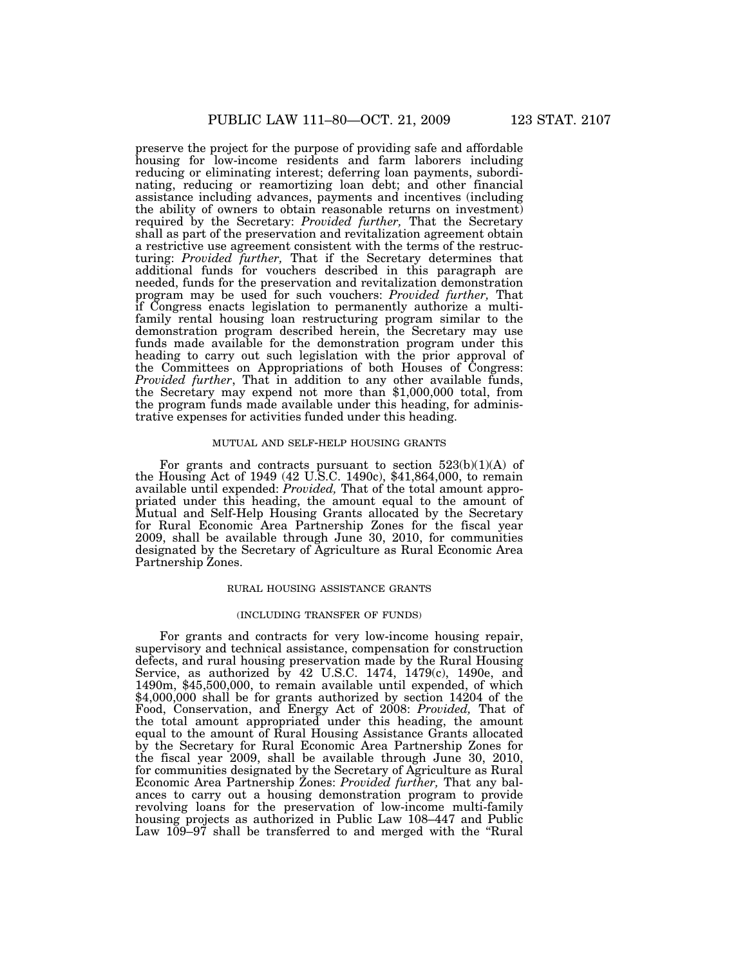preserve the project for the purpose of providing safe and affordable housing for low-income residents and farm laborers including reducing or eliminating interest; deferring loan payments, subordinating, reducing or reamortizing loan debt; and other financial assistance including advances, payments and incentives (including the ability of owners to obtain reasonable returns on investment) required by the Secretary: *Provided further,* That the Secretary shall as part of the preservation and revitalization agreement obtain a restrictive use agreement consistent with the terms of the restructuring: *Provided further,* That if the Secretary determines that additional funds for vouchers described in this paragraph are needed, funds for the preservation and revitalization demonstration program may be used for such vouchers: *Provided further,* That if Congress enacts legislation to permanently authorize a multifamily rental housing loan restructuring program similar to the demonstration program described herein, the Secretary may use funds made available for the demonstration program under this heading to carry out such legislation with the prior approval of the Committees on Appropriations of both Houses of Congress: *Provided further*, That in addition to any other available funds, the Secretary may expend not more than \$1,000,000 total, from the program funds made available under this heading, for administrative expenses for activities funded under this heading.

#### MUTUAL AND SELF-HELP HOUSING GRANTS

For grants and contracts pursuant to section 523(b)(1)(A) of the Housing Act of 1949 (42 U.S.C. 1490c), \$41,864,000, to remain available until expended: *Provided,* That of the total amount appropriated under this heading, the amount equal to the amount of Mutual and Self-Help Housing Grants allocated by the Secretary for Rural Economic Area Partnership Zones for the fiscal year 2009, shall be available through June 30, 2010, for communities designated by the Secretary of Agriculture as Rural Economic Area Partnership Zones.

## RURAL HOUSING ASSISTANCE GRANTS

#### (INCLUDING TRANSFER OF FUNDS)

For grants and contracts for very low-income housing repair, supervisory and technical assistance, compensation for construction defects, and rural housing preservation made by the Rural Housing Service, as authorized by 42 U.S.C. 1474, 1479(c), 1490e, and 1490m, \$45,500,000, to remain available until expended, of which \$4,000,000 shall be for grants authorized by section 14204 of the Food, Conservation, and Energy Act of 2008: *Provided,* That of the total amount appropriated under this heading, the amount equal to the amount of Rural Housing Assistance Grants allocated by the Secretary for Rural Economic Area Partnership Zones for the fiscal year 2009, shall be available through June 30, 2010, for communities designated by the Secretary of Agriculture as Rural Economic Area Partnership Zones: *Provided further,* That any balances to carry out a housing demonstration program to provide revolving loans for the preservation of low-income multi-family housing projects as authorized in Public Law 108–447 and Public Law  $109-97$  shall be transferred to and merged with the "Rural"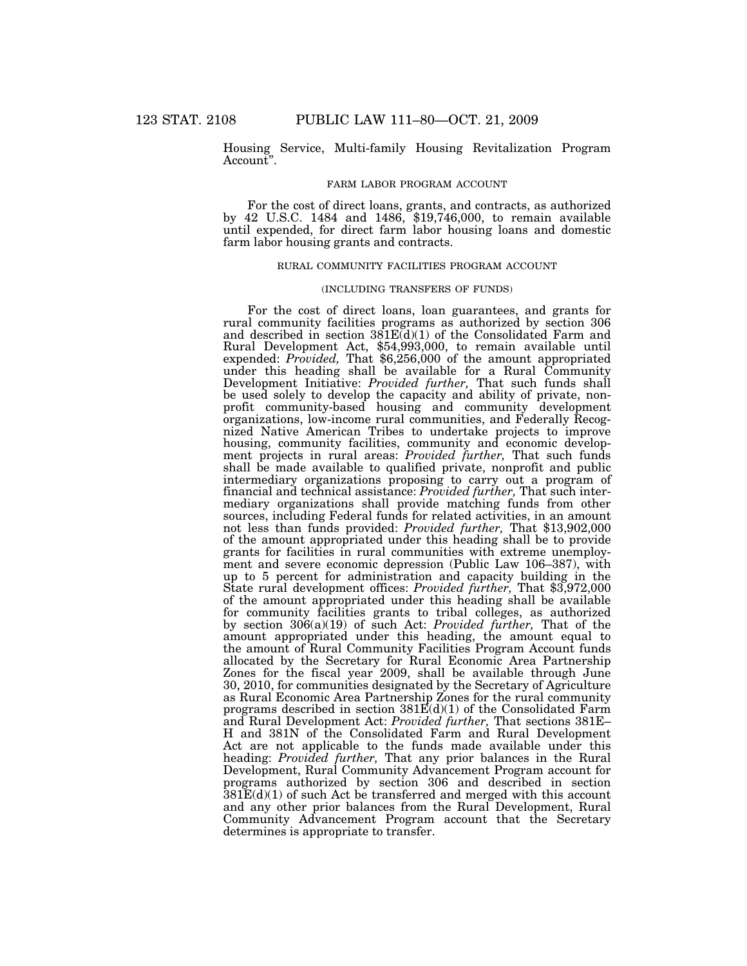Housing Service, Multi-family Housing Revitalization Program Account''.

## FARM LABOR PROGRAM ACCOUNT

For the cost of direct loans, grants, and contracts, as authorized by 42 U.S.C. 1484 and 1486, \$19,746,000, to remain available until expended, for direct farm labor housing loans and domestic farm labor housing grants and contracts.

# RURAL COMMUNITY FACILITIES PROGRAM ACCOUNT

#### (INCLUDING TRANSFERS OF FUNDS)

For the cost of direct loans, loan guarantees, and grants for rural community facilities programs as authorized by section 306 and described in section  $381E(d)(1)$  of the Consolidated Farm and Rural Development Act, \$54,993,000, to remain available until expended: *Provided,* That \$6,256,000 of the amount appropriated under this heading shall be available for a Rural Community Development Initiative: *Provided further,* That such funds shall be used solely to develop the capacity and ability of private, nonprofit community-based housing and community development organizations, low-income rural communities, and Federally Recognized Native American Tribes to undertake projects to improve housing, community facilities, community and economic development projects in rural areas: *Provided further,* That such funds shall be made available to qualified private, nonprofit and public intermediary organizations proposing to carry out a program of financial and technical assistance: *Provided further,* That such intermediary organizations shall provide matching funds from other sources, including Federal funds for related activities, in an amount not less than funds provided: *Provided further,* That \$13,902,000 of the amount appropriated under this heading shall be to provide grants for facilities in rural communities with extreme unemployment and severe economic depression (Public Law 106–387), with up to 5 percent for administration and capacity building in the State rural development offices: *Provided further,* That \$3,972,000 of the amount appropriated under this heading shall be available for community facilities grants to tribal colleges, as authorized by section 306(a)(19) of such Act: *Provided further,* That of the amount appropriated under this heading, the amount equal to the amount of Rural Community Facilities Program Account funds allocated by the Secretary for Rural Economic Area Partnership Zones for the fiscal year 2009, shall be available through June 30, 2010, for communities designated by the Secretary of Agriculture as Rural Economic Area Partnership Zones for the rural community programs described in section 381E(d)(1) of the Consolidated Farm and Rural Development Act: *Provided further,* That sections 381E– H and 381N of the Consolidated Farm and Rural Development Act are not applicable to the funds made available under this heading: *Provided further,* That any prior balances in the Rural Development, Rural Community Advancement Program account for programs authorized by section 306 and described in section  $381E(d)(1)$  of such Act be transferred and merged with this account and any other prior balances from the Rural Development, Rural Community Advancement Program account that the Secretary determines is appropriate to transfer.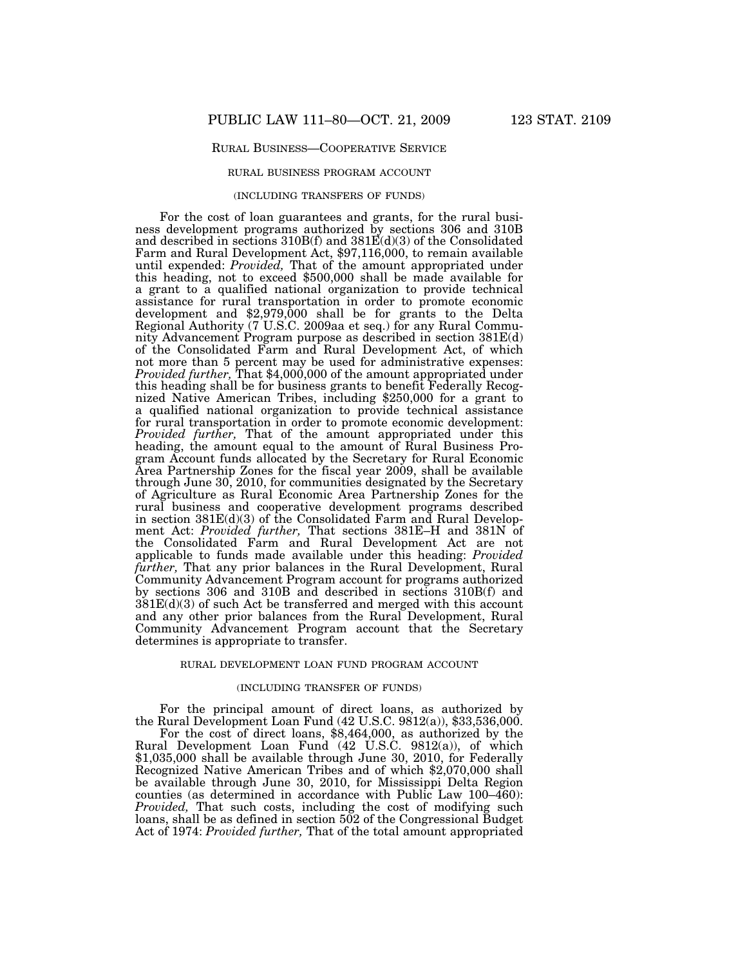## RURAL BUSINESS—COOPERATIVE SERVICE

## RURAL BUSINESS PROGRAM ACCOUNT

## (INCLUDING TRANSFERS OF FUNDS)

For the cost of loan guarantees and grants, for the rural business development programs authorized by sections 306 and 310B and described in sections 310B(f) and 381E(d)(3) of the Consolidated Farm and Rural Development Act, \$97,116,000, to remain available until expended: *Provided*, That of the amount appropriated under this heading, not to exceed \$500,000 shall be made available for a grant to a qualified national organization to provide technical assistance for rural transportation in order to promote economic development and \$2,979,000 shall be for grants to the Delta Regional Authority (7 U.S.C. 2009aa et seq.) for any Rural Community Advancement Program purpose as described in section 381E(d) of the Consolidated Farm and Rural Development Act, of which not more than 5 percent may be used for administrative expenses: *Provided further,* That \$4,000,000 of the amount appropriated under this heading shall be for business grants to benefit Federally Recognized Native American Tribes, including \$250,000 for a grant to a qualified national organization to provide technical assistance for rural transportation in order to promote economic development: *Provided further,* That of the amount appropriated under this heading, the amount equal to the amount of Rural Business Program Account funds allocated by the Secretary for Rural Economic Area Partnership Zones for the fiscal year 2009, shall be available through June 30, 2010, for communities designated by the Secretary of Agriculture as Rural Economic Area Partnership Zones for the rural business and cooperative development programs described in section  $381E(d)(3)$  of the Consolidated Farm and Rural Development Act: *Provided further,* That sections 381E–H and 381N of the Consolidated Farm and Rural Development Act are not applicable to funds made available under this heading: *Provided further,* That any prior balances in the Rural Development, Rural Community Advancement Program account for programs authorized by sections 306 and 310B and described in sections 310B(f) and  $381E(d)(3)$  of such Act be transferred and merged with this account and any other prior balances from the Rural Development, Rural Community Advancement Program account that the Secretary determines is appropriate to transfer.

## RURAL DEVELOPMENT LOAN FUND PROGRAM ACCOUNT

### (INCLUDING TRANSFER OF FUNDS)

For the principal amount of direct loans, as authorized by the Rural Development Loan Fund (42 U.S.C. 9812(a)), \$33,536,000.

For the cost of direct loans, \$8,464,000, as authorized by the Rural Development Loan Fund (42 U.S.C. 9812(a)), of which \$1,035,000 shall be available through June 30, 2010, for Federally Recognized Native American Tribes and of which \$2,070,000 shall be available through June 30, 2010, for Mississippi Delta Region counties (as determined in accordance with Public Law 100–460): *Provided,* That such costs, including the cost of modifying such loans, shall be as defined in section 502 of the Congressional Budget Act of 1974: *Provided further,* That of the total amount appropriated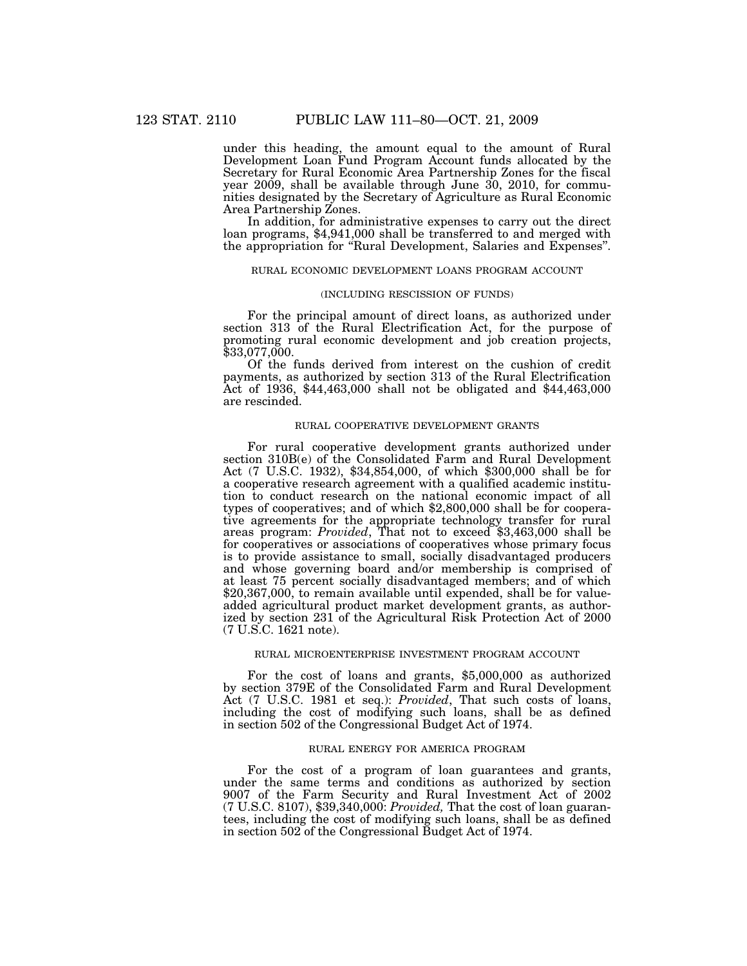under this heading, the amount equal to the amount of Rural Development Loan Fund Program Account funds allocated by the Secretary for Rural Economic Area Partnership Zones for the fiscal year 2009, shall be available through June 30, 2010, for communities designated by the Secretary of Agriculture as Rural Economic Area Partnership Zones.

In addition, for administrative expenses to carry out the direct loan programs, \$4,941,000 shall be transferred to and merged with the appropriation for ''Rural Development, Salaries and Expenses''.

#### RURAL ECONOMIC DEVELOPMENT LOANS PROGRAM ACCOUNT

#### (INCLUDING RESCISSION OF FUNDS)

For the principal amount of direct loans, as authorized under section 313 of the Rural Electrification Act, for the purpose of promoting rural economic development and job creation projects, \$33,077,000.

Of the funds derived from interest on the cushion of credit payments, as authorized by section 313 of the Rural Electrification Act of 1936, \$44,463,000 shall not be obligated and \$44,463,000 are rescinded.

## RURAL COOPERATIVE DEVELOPMENT GRANTS

For rural cooperative development grants authorized under section 310B(e) of the Consolidated Farm and Rural Development Act (7 U.S.C. 1932), \$34,854,000, of which \$300,000 shall be for a cooperative research agreement with a qualified academic institution to conduct research on the national economic impact of all types of cooperatives; and of which \$2,800,000 shall be for cooperative agreements for the appropriate technology transfer for rural areas program: *Provided*, That not to exceed \$3,463,000 shall be for cooperatives or associations of cooperatives whose primary focus is to provide assistance to small, socially disadvantaged producers and whose governing board and/or membership is comprised of at least 75 percent socially disadvantaged members; and of which \$20,367,000, to remain available until expended, shall be for valueadded agricultural product market development grants, as authorized by section 231 of the Agricultural Risk Protection Act of 2000 (7 U.S.C. 1621 note).

## RURAL MICROENTERPRISE INVESTMENT PROGRAM ACCOUNT

For the cost of loans and grants, \$5,000,000 as authorized by section 379E of the Consolidated Farm and Rural Development Act (7 U.S.C. 1981 et seq.): *Provided*, That such costs of loans, including the cost of modifying such loans, shall be as defined in section 502 of the Congressional Budget Act of 1974.

## RURAL ENERGY FOR AMERICA PROGRAM

For the cost of a program of loan guarantees and grants, under the same terms and conditions as authorized by section 9007 of the Farm Security and Rural Investment Act of 2002 (7 U.S.C. 8107), \$39,340,000: *Provided,* That the cost of loan guarantees, including the cost of modifying such loans, shall be as defined in section 502 of the Congressional Budget Act of 1974.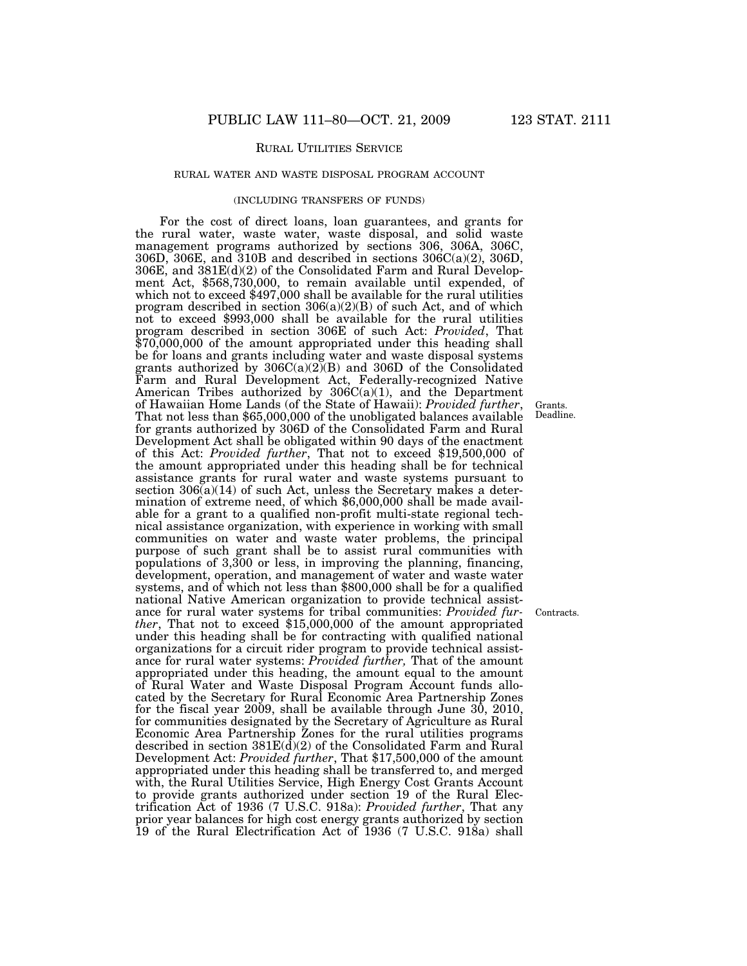## RURAL UTILITIES SERVICE

## RURAL WATER AND WASTE DISPOSAL PROGRAM ACCOUNT

## (INCLUDING TRANSFERS OF FUNDS)

For the cost of direct loans, loan guarantees, and grants for the rural water, waste water, waste disposal, and solid waste management programs authorized by sections 306, 306A, 306C, 306D, 306E, and 310B and described in sections 306C(a)(2), 306D, 306E, and 381E(d)(2) of the Consolidated Farm and Rural Development Act, \$568,730,000, to remain available until expended, of which not to exceed \$497,000 shall be available for the rural utilities program described in section  $306(a)(2)(B)$  of such Act, and of which not to exceed \$993,000 shall be available for the rural utilities program described in section 306E of such Act: *Provided*, That \$70,000,000 of the amount appropriated under this heading shall be for loans and grants including water and waste disposal systems grants authorized by  $306C(a)(2)(B)$  and  $306D$  of the Consolidated Farm and Rural Development Act, Federally-recognized Native American Tribes authorized by  $306C(a)(1)$ , and the Department of Hawaiian Home Lands (of the State of Hawaii): *Provided further*, That not less than \$65,000,000 of the unobligated balances available for grants authorized by 306D of the Consolidated Farm and Rural Development Act shall be obligated within 90 days of the enactment of this Act: *Provided further*, That not to exceed \$19,500,000 of the amount appropriated under this heading shall be for technical assistance grants for rural water and waste systems pursuant to section  $306(a)(14)$  of such Act, unless the Secretary makes a determination of extreme need, of which \$6,000,000 shall be made available for a grant to a qualified non-profit multi-state regional technical assistance organization, with experience in working with small communities on water and waste water problems, the principal purpose of such grant shall be to assist rural communities with populations of 3,300 or less, in improving the planning, financing, development, operation, and management of water and waste water systems, and of which not less than \$800,000 shall be for a qualified national Native American organization to provide technical assistance for rural water systems for tribal communities: *Provided further*, That not to exceed \$15,000,000 of the amount appropriated under this heading shall be for contracting with qualified national organizations for a circuit rider program to provide technical assistance for rural water systems: *Provided further,* That of the amount appropriated under this heading, the amount equal to the amount of Rural Water and Waste Disposal Program Account funds allocated by the Secretary for Rural Economic Area Partnership Zones for the fiscal year 2009, shall be available through June 30, 2010, for communities designated by the Secretary of Agriculture as Rural Economic Area Partnership Zones for the rural utilities programs described in section 381E(d)(2) of the Consolidated Farm and Rural Development Act: *Provided further*, That \$17,500,000 of the amount appropriated under this heading shall be transferred to, and merged with, the Rural Utilities Service, High Energy Cost Grants Account to provide grants authorized under section 19 of the Rural Electrification Act of 1936 (7 U.S.C. 918a): *Provided further*, That any prior year balances for high cost energy grants authorized by section 19 of the Rural Electrification Act of 1936 (7 U.S.C. 918a) shall

Grants. Deadline.

Contracts.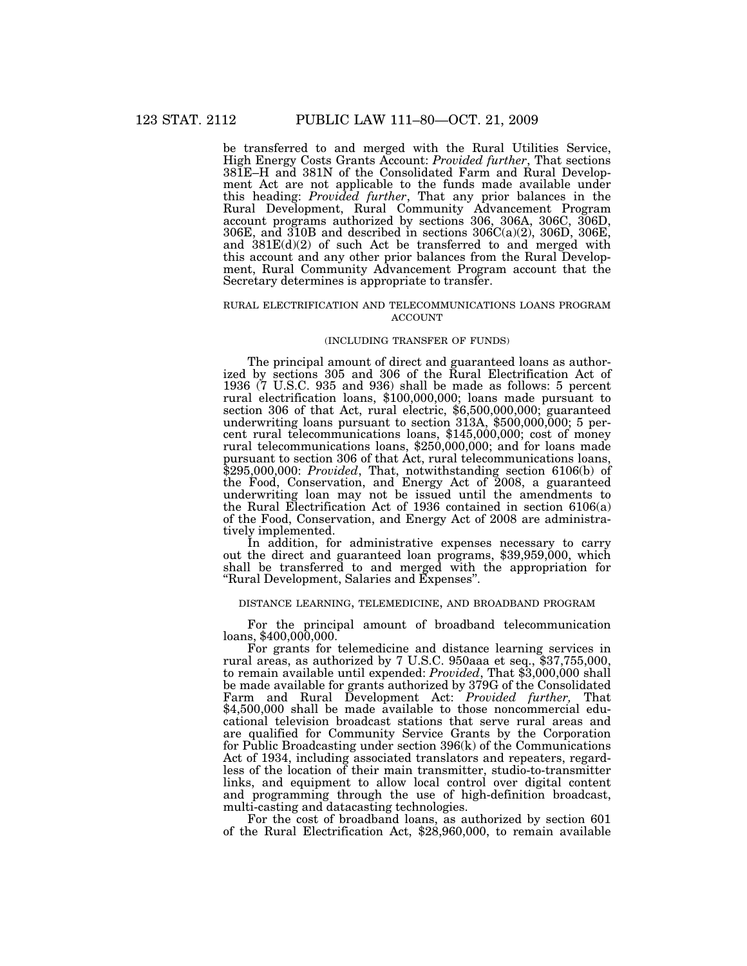be transferred to and merged with the Rural Utilities Service, High Energy Costs Grants Account: *Provided further*, That sections 381E–H and 381N of the Consolidated Farm and Rural Development Act are not applicable to the funds made available under this heading: *Provided further*, That any prior balances in the Rural Development, Rural Community Advancement Program account programs authorized by sections 306, 306A, 306C, 306D, 306E, and 310B and described in sections  $306C(a)(2)$ ,  $306D$ ,  $306E$ , and 381E(d)(2) of such Act be transferred to and merged with this account and any other prior balances from the Rural Development, Rural Community Advancement Program account that the Secretary determines is appropriate to transfer.

#### RURAL ELECTRIFICATION AND TELECOMMUNICATIONS LOANS PROGRAM ACCOUNT

## (INCLUDING TRANSFER OF FUNDS)

The principal amount of direct and guaranteed loans as authorized by sections 305 and 306 of the Rural Electrification Act of 1936 (7 U.S.C. 935 and 936) shall be made as follows: 5 percent rural electrification loans, \$100,000,000; loans made pursuant to section 306 of that Act, rural electric, \$6,500,000,000; guaranteed underwriting loans pursuant to section 313A, \$500,000,000; 5 percent rural telecommunications loans, \$145,000,000; cost of money rural telecommunications loans, \$250,000,000; and for loans made pursuant to section 306 of that Act, rural telecommunications loans, \$295,000,000: *Provided*, That, notwithstanding section 6106(b) of the Food, Conservation, and Energy Act of 2008, a guaranteed underwriting loan may not be issued until the amendments to the Rural Electrification Act of 1936 contained in section 6106(a) of the Food, Conservation, and Energy Act of 2008 are administratively implemented.<br>In addition, for administrative expenses necessary to carry

out the direct and guaranteed loan programs, \$39,959,000, which shall be transferred to and merged with the appropriation for ''Rural Development, Salaries and Expenses''.

## DISTANCE LEARNING, TELEMEDICINE, AND BROADBAND PROGRAM

For the principal amount of broadband telecommunication loans, \$400,000,000.<br>For grants for telemedicine and distance learning services in

For grants for telemedicine and distance learning services in rural areas, as authorized by 7 U.S.C. 950aaa et seq., \$37,755,000, to remain available until expended: *Provided*, That \$3,000,000 shall be made available for grants authorized by 379G of the Consolidated Farm and Rural Development Act: *Provided further,* That \$4,500,000 shall be made available to those noncommercial educational television broadcast stations that serve rural areas and are qualified for Community Service Grants by the Corporation for Public Broadcasting under section 396(k) of the Communications Act of 1934, including associated translators and repeaters, regardless of the location of their main transmitter, studio-to-transmitter links, and equipment to allow local control over digital content and programming through the use of high-definition broadcast, multi-casting and datacasting technologies.

For the cost of broadband loans, as authorized by section 601 of the Rural Electrification Act, \$28,960,000, to remain available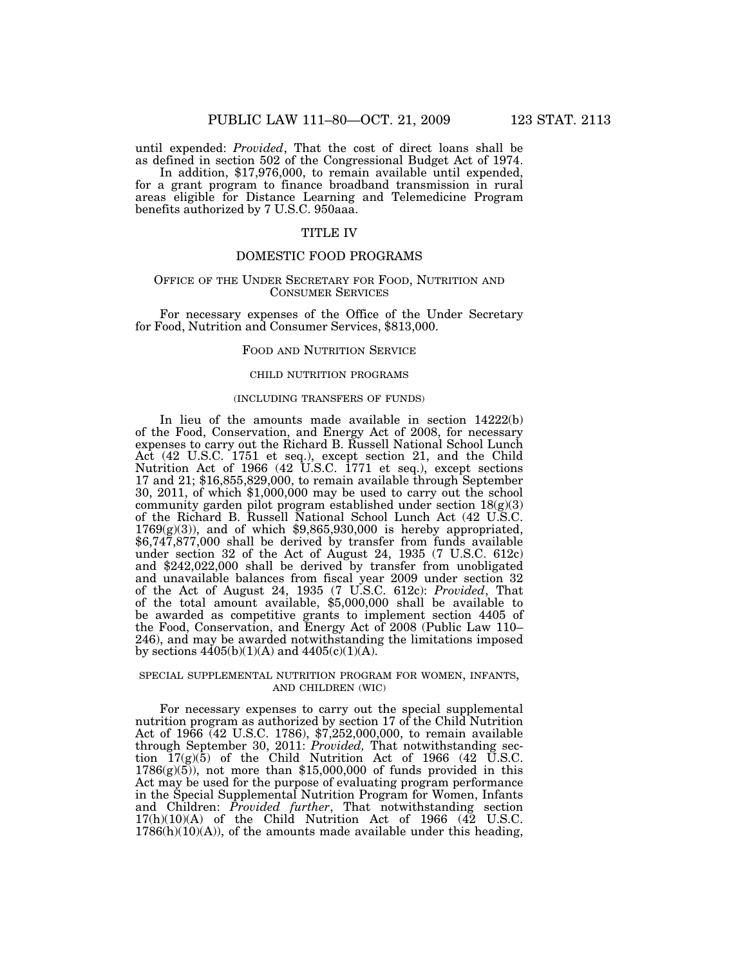until expended: *Provided*, That the cost of direct loans shall be as defined in section 502 of the Congressional Budget Act of 1974. In addition, \$17,976,000, to remain available until expended,

for a grant program to finance broadband transmission in rural areas eligible for Distance Learning and Telemedicine Program benefits authorized by 7 U.S.C. 950aaa.

## TITLE IV

## DOMESTIC FOOD PROGRAMS

## OFFICE OF THE UNDER SECRETARY FOR FOOD, NUTRITION AND CONSUMER SERVICES

For necessary expenses of the Office of the Under Secretary for Food, Nutrition and Consumer Services, \$813,000.

# FOOD AND NUTRITION SERVICE

## CHILD NUTRITION PROGRAMS

#### (INCLUDING TRANSFERS OF FUNDS)

In lieu of the amounts made available in section 14222(b) of the Food, Conservation, and Energy Act of 2008, for necessary expenses to carry out the Richard B. Russell National School Lunch Act (42 U.S.C. 1751 et seq.), except section 21, and the Child Nutrition Act of 1966 (42 U.S.C. 1771 et seq.), except sections 17 and 21; \$16,855,829,000, to remain available through September 30, 2011, of which \$1,000,000 may be used to carry out the school community garden pilot program established under section 18(g)(3) of the Richard B. Russell National School Lunch Act (42 U.S.C. 1769(g)(3)), and of which \$9,865,930,000 is hereby appropriated, \$6,747,877,000 shall be derived by transfer from funds available under section 32 of the Act of August 24, 1935 (7 U.S.C. 612c) and \$242,022,000 shall be derived by transfer from unobligated and unavailable balances from fiscal year 2009 under section 32 of the Act of August 24, 1935 (7 U.S.C. 612c): *Provided*, That of the total amount available, \$5,000,000 shall be available to be awarded as competitive grants to implement section 4405 of the Food, Conservation, and Energy Act of 2008 (Public Law 110– 246), and may be awarded notwithstanding the limitations imposed by sections  $4405(b)(1)(A)$  and  $4405(c)(1)(A)$ .

# SPECIAL SUPPLEMENTAL NUTRITION PROGRAM FOR WOMEN, INFANTS, AND CHILDREN (WIC)

For necessary expenses to carry out the special supplemental nutrition program as authorized by section 17 of the Child Nutrition Act of 1966 (42 U.S.C. 1786), \$7,252,000,000, to remain available through September 30, 2011: *Provided,* That notwithstanding section  $17(g)(5)$  of the Child Nutrition Act of 1966 (42 U.S.C.  $1786(g)(5)$ , not more than \$15,000,000 of funds provided in this Act may be used for the purpose of evaluating program performance in the Special Supplemental Nutrition Program for Women, Infants and Children: *Provided further*, That notwithstanding section 17(h)(10)(A) of the Child Nutrition Act of 1966 (42 U.S.C.  $1786(h)(10)(A)$ , of the amounts made available under this heading,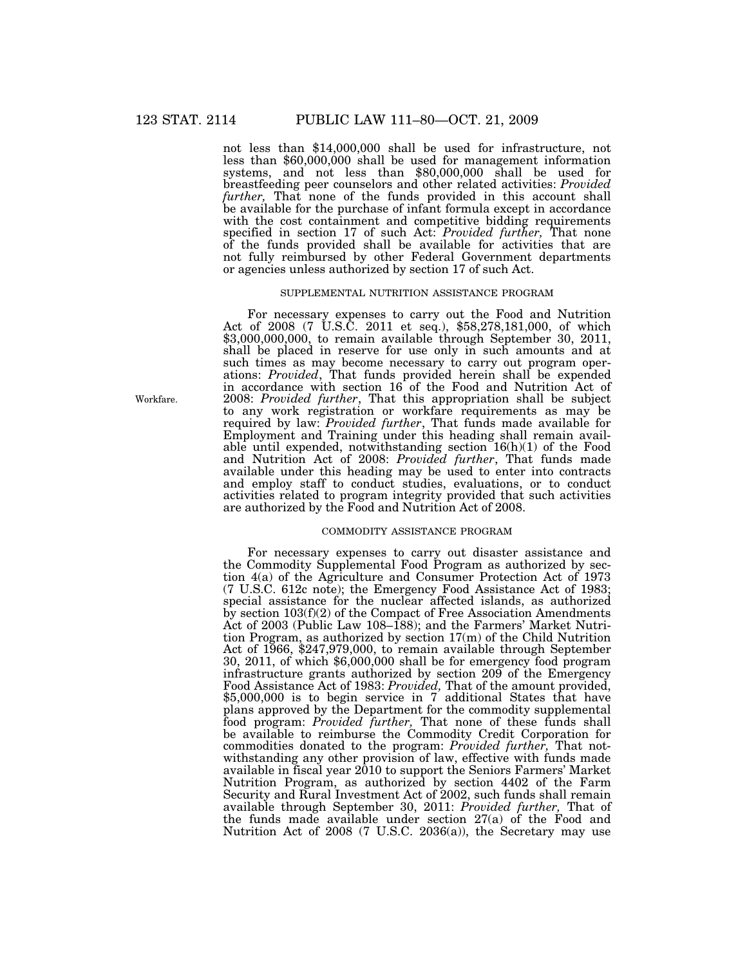not less than \$14,000,000 shall be used for infrastructure, not less than \$60,000,000 shall be used for management information systems, and not less than \$80,000,000 shall be used for breastfeeding peer counselors and other related activities: *Provided further*, That none of the funds provided in this account shall be available for the purchase of infant formula except in accordance with the cost containment and competitive bidding requirements specified in section 17 of such Act: *Provided further,* That none of the funds provided shall be available for activities that are not fully reimbursed by other Federal Government departments or agencies unless authorized by section 17 of such Act.

#### SUPPLEMENTAL NUTRITION ASSISTANCE PROGRAM

For necessary expenses to carry out the Food and Nutrition Act of 2008 (7 U.S.C. 2011 et seq.), \$58,278,181,000, of which \$3,000,000,000, to remain available through September 30, 2011, shall be placed in reserve for use only in such amounts and at such times as may become necessary to carry out program operations: *Provided*, That funds provided herein shall be expended in accordance with section 16 of the Food and Nutrition Act of 2008: *Provided further*, That this appropriation shall be subject to any work registration or workfare requirements as may be required by law: *Provided further*, That funds made available for Employment and Training under this heading shall remain available until expended, notwithstanding section 16(h)(1) of the Food and Nutrition Act of 2008: *Provided further*, That funds made available under this heading may be used to enter into contracts and employ staff to conduct studies, evaluations, or to conduct activities related to program integrity provided that such activities are authorized by the Food and Nutrition Act of 2008.

## COMMODITY ASSISTANCE PROGRAM

For necessary expenses to carry out disaster assistance and the Commodity Supplemental Food Program as authorized by section 4(a) of the Agriculture and Consumer Protection Act of 1973 (7 U.S.C. 612c note); the Emergency Food Assistance Act of 1983; special assistance for the nuclear affected islands, as authorized by section 103(f)(2) of the Compact of Free Association Amendments Act of 2003 (Public Law 108–188); and the Farmers' Market Nutrition Program, as authorized by section 17(m) of the Child Nutrition Act of 1966, \$247,979,000, to remain available through September 30, 2011, of which \$6,000,000 shall be for emergency food program infrastructure grants authorized by section 209 of the Emergency Food Assistance Act of 1983: Provided, That of the amount provided, \$5,000,000 is to begin service in 7 additional States that have plans approved by the Department for the commodity supplemental food program: *Provided further,* That none of these funds shall be available to reimburse the Commodity Credit Corporation for commodities donated to the program: *Provided further,* That notwithstanding any other provision of law, effective with funds made available in fiscal year 2010 to support the Seniors Farmers' Market Nutrition Program, as authorized by section 4402 of the Farm Security and Rural Investment Act of 2002, such funds shall remain available through September 30, 2011: *Provided further,* That of the funds made available under section 27(a) of the Food and Nutrition Act of 2008 (7 U.S.C. 2036(a)), the Secretary may use

Workfare.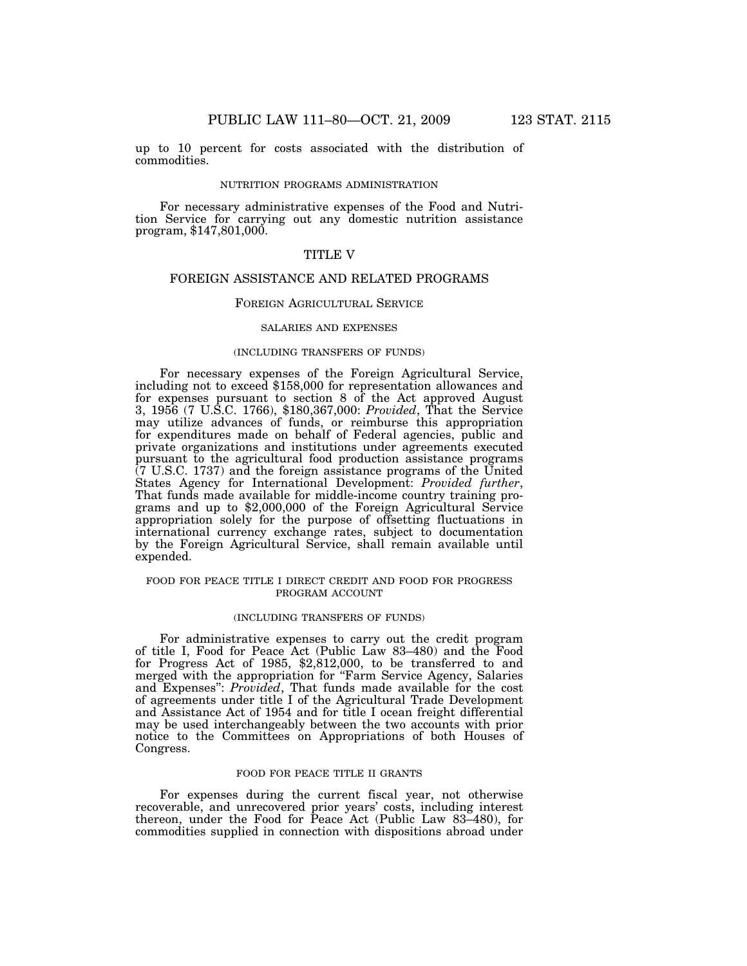up to 10 percent for costs associated with the distribution of commodities.

## NUTRITION PROGRAMS ADMINISTRATION

For necessary administrative expenses of the Food and Nutrition Service for carrying out any domestic nutrition assistance program, \$147,801,000.

# TITLE V

## FOREIGN ASSISTANCE AND RELATED PROGRAMS

## FOREIGN AGRICULTURAL SERVICE

## SALARIES AND EXPENSES

## (INCLUDING TRANSFERS OF FUNDS)

For necessary expenses of the Foreign Agricultural Service, including not to exceed \$158,000 for representation allowances and for expenses pursuant to section 8 of the Act approved August 3, 1956 (7 U.S.C. 1766), \$180,367,000: *Provided*, That the Service may utilize advances of funds, or reimburse this appropriation for expenditures made on behalf of Federal agencies, public and private organizations and institutions under agreements executed pursuant to the agricultural food production assistance programs (7 U.S.C. 1737) and the foreign assistance programs of the United States Agency for International Development: *Provided further*, That funds made available for middle-income country training programs and up to \$2,000,000 of the Foreign Agricultural Service appropriation solely for the purpose of offsetting fluctuations in international currency exchange rates, subject to documentation by the Foreign Agricultural Service, shall remain available until expended.

## FOOD FOR PEACE TITLE I DIRECT CREDIT AND FOOD FOR PROGRESS PROGRAM ACCOUNT

## (INCLUDING TRANSFERS OF FUNDS)

For administrative expenses to carry out the credit program of title I, Food for Peace Act (Public Law 83–480) and the Food for Progress Act of 1985, \$2,812,000, to be transferred to and merged with the appropriation for ''Farm Service Agency, Salaries and Expenses'': *Provided*, That funds made available for the cost of agreements under title I of the Agricultural Trade Development and Assistance Act of 1954 and for title I ocean freight differential may be used interchangeably between the two accounts with prior notice to the Committees on Appropriations of both Houses of Congress.

## FOOD FOR PEACE TITLE II GRANTS

For expenses during the current fiscal year, not otherwise recoverable, and unrecovered prior years' costs, including interest thereon, under the Food for Peace Act (Public Law 83–480), for commodities supplied in connection with dispositions abroad under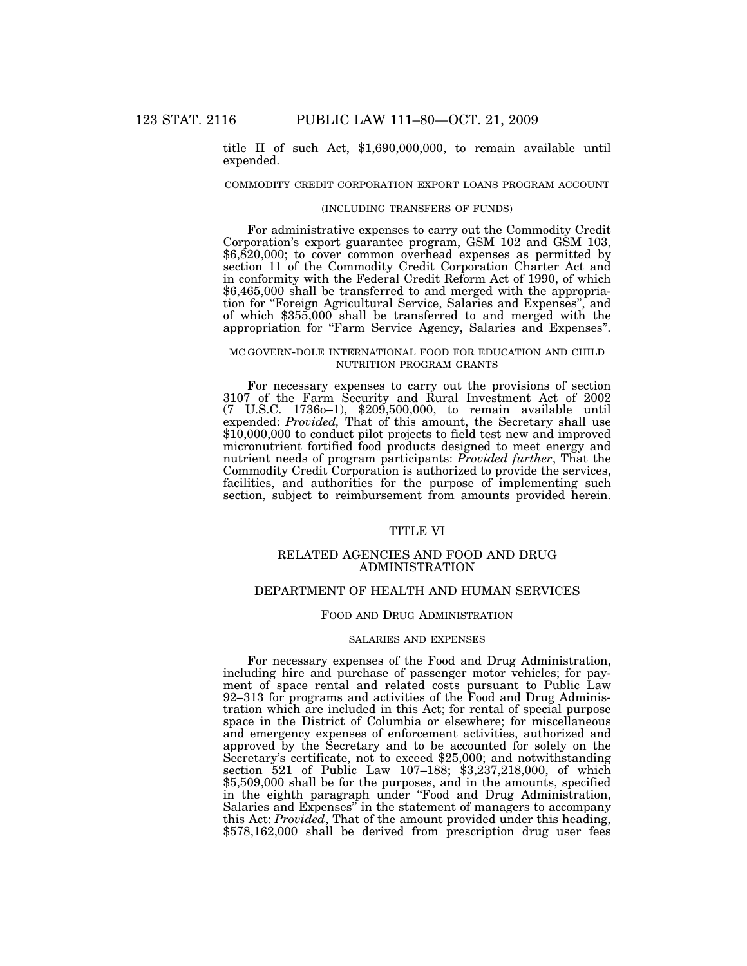title II of such Act, \$1,690,000,000, to remain available until expended.

## COMMODITY CREDIT CORPORATION EXPORT LOANS PROGRAM ACCOUNT

#### (INCLUDING TRANSFERS OF FUNDS)

For administrative expenses to carry out the Commodity Credit Corporation's export guarantee program, GSM 102 and GSM 103, \$6,820,000; to cover common overhead expenses as permitted by section 11 of the Commodity Credit Corporation Charter Act and in conformity with the Federal Credit Reform Act of 1990, of which \$6,465,000 shall be transferred to and merged with the appropriation for ''Foreign Agricultural Service, Salaries and Expenses'', and of which \$355,000 shall be transferred to and merged with the appropriation for ''Farm Service Agency, Salaries and Expenses''.

## MC GOVERN-DOLE INTERNATIONAL FOOD FOR EDUCATION AND CHILD NUTRITION PROGRAM GRANTS

For necessary expenses to carry out the provisions of section 3107 of the Farm Security and Rural Investment Act of 2002 (7 U.S.C. 1736o–1), \$209,500,000, to remain available until expended: *Provided,* That of this amount, the Secretary shall use \$10,000,000 to conduct pilot projects to field test new and improved micronutrient fortified food products designed to meet energy and nutrient needs of program participants: *Provided further*, That the Commodity Credit Corporation is authorized to provide the services, facilities, and authorities for the purpose of implementing such section, subject to reimbursement from amounts provided herein.

# TITLE VI

## RELATED AGENCIES AND FOOD AND DRUG ADMINISTRATION

# DEPARTMENT OF HEALTH AND HUMAN SERVICES

## FOOD AND DRUG ADMINISTRATION

## SALARIES AND EXPENSES

For necessary expenses of the Food and Drug Administration, including hire and purchase of passenger motor vehicles; for payment of space rental and related costs pursuant to Public Law 92–313 for programs and activities of the Food and Drug Administration which are included in this Act; for rental of special purpose space in the District of Columbia or elsewhere; for miscellaneous and emergency expenses of enforcement activities, authorized and approved by the Secretary and to be accounted for solely on the Secretary's certificate, not to exceed \$25,000; and notwithstanding section 521 of Public Law 107–188; \$3,237,218,000, of which \$5,509,000 shall be for the purposes, and in the amounts, specified in the eighth paragraph under ''Food and Drug Administration, Salaries and Expenses'' in the statement of managers to accompany this Act: *Provided*, That of the amount provided under this heading, \$578,162,000 shall be derived from prescription drug user fees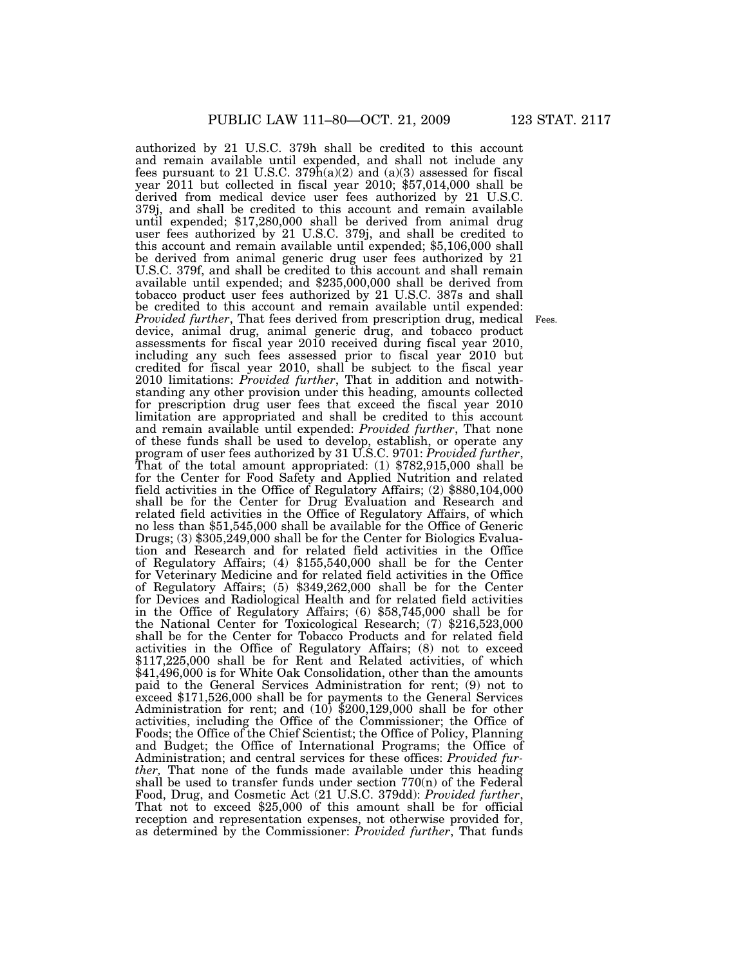authorized by 21 U.S.C. 379h shall be credited to this account and remain available until expended, and shall not include any fees pursuant to 21 U.S.C.  $379h(a)(2)$  and  $(a)(3)$  assessed for fiscal year 2011 but collected in fiscal year 2010; \$57,014,000 shall be derived from medical device user fees authorized by 21 U.S.C. 379j, and shall be credited to this account and remain available until expended; \$17,280,000 shall be derived from animal drug user fees authorized by 21 U.S.C. 379j, and shall be credited to this account and remain available until expended; \$5,106,000 shall be derived from animal generic drug user fees authorized by 21 U.S.C. 379f, and shall be credited to this account and shall remain available until expended; and \$235,000,000 shall be derived from tobacco product user fees authorized by 21 U.S.C. 387s and shall be credited to this account and remain available until expended: *Provided further*, That fees derived from prescription drug, medical device, animal drug, animal generic drug, and tobacco product assessments for fiscal year 2010 received during fiscal year 2010, including any such fees assessed prior to fiscal year 2010 but credited for fiscal year 2010, shall be subject to the fiscal year 2010 limitations: *Provided further*, That in addition and notwithstanding any other provision under this heading, amounts collected for prescription drug user fees that exceed the fiscal year 2010 limitation are appropriated and shall be credited to this account and remain available until expended: *Provided further*, That none of these funds shall be used to develop, establish, or operate any program of user fees authorized by 31 U.S.C. 9701: *Provided further*, That of the total amount appropriated: (1) \$782,915,000 shall be for the Center for Food Safety and Applied Nutrition and related field activities in the Office of Regulatory Affairs; (2) \$880,104,000 shall be for the Center for Drug Evaluation and Research and related field activities in the Office of Regulatory Affairs, of which no less than \$51,545,000 shall be available for the Office of Generic Drugs; (3) \$305,249,000 shall be for the Center for Biologics Evaluation and Research and for related field activities in the Office of Regulatory Affairs; (4) \$155,540,000 shall be for the Center for Veterinary Medicine and for related field activities in the Office of Regulatory Affairs; (5) \$349,262,000 shall be for the Center for Devices and Radiological Health and for related field activities in the Office of Regulatory Affairs; (6) \$58,745,000 shall be for the National Center for Toxicological Research; (7) \$216,523,000 shall be for the Center for Tobacco Products and for related field activities in the Office of Regulatory Affairs; (8) not to exceed \$117,225,000 shall be for Rent and Related activities, of which \$41,496,000 is for White Oak Consolidation, other than the amounts paid to the General Services Administration for rent; (9) not to exceed \$171,526,000 shall be for payments to the General Services Administration for rent; and (10) \$200,129,000 shall be for other activities, including the Office of the Commissioner; the Office of Foods; the Office of the Chief Scientist; the Office of Policy, Planning and Budget; the Office of International Programs; the Office of Administration; and central services for these offices: *Provided further,* That none of the funds made available under this heading shall be used to transfer funds under section 770(n) of the Federal Food, Drug, and Cosmetic Act (21 U.S.C. 379dd): *Provided further*, That not to exceed \$25,000 of this amount shall be for official reception and representation expenses, not otherwise provided for, as determined by the Commissioner: *Provided further*, That funds

Fees.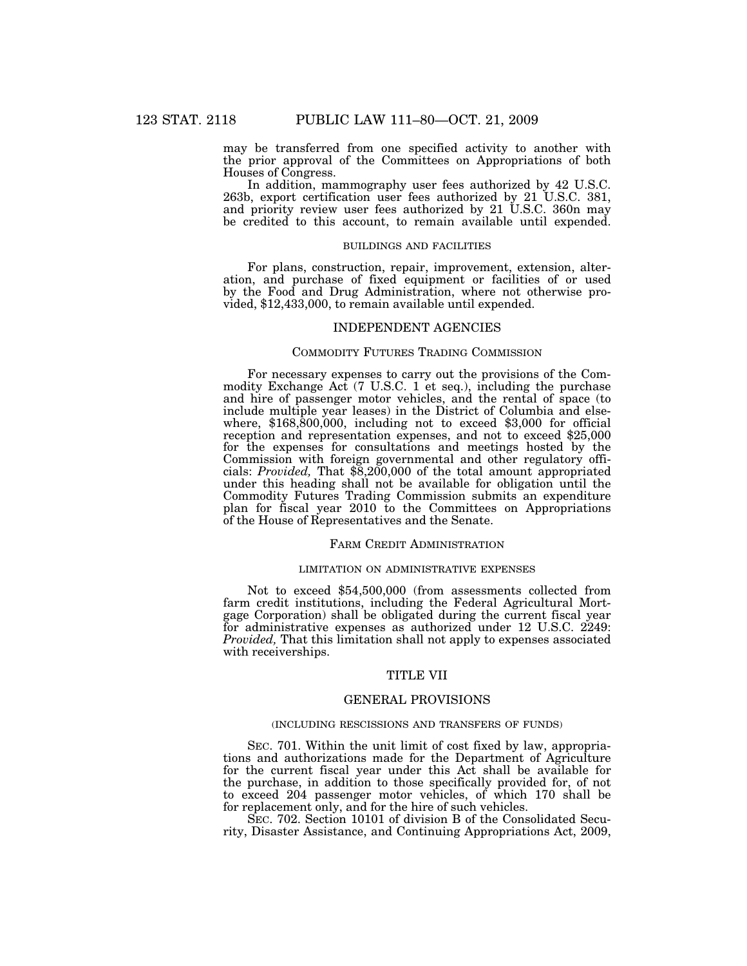may be transferred from one specified activity to another with the prior approval of the Committees on Appropriations of both Houses of Congress.

In addition, mammography user fees authorized by 42 U.S.C. 263b, export certification user fees authorized by 21 U.S.C. 381, and priority review user fees authorized by 21 U.S.C. 360n may be credited to this account, to remain available until expended.

#### BUILDINGS AND FACILITIES

For plans, construction, repair, improvement, extension, alteration, and purchase of fixed equipment or facilities of or used by the Food and Drug Administration, where not otherwise provided, \$12,433,000, to remain available until expended.

# INDEPENDENT AGENCIES

## COMMODITY FUTURES TRADING COMMISSION

For necessary expenses to carry out the provisions of the Commodity Exchange Act (7 U.S.C. 1 et seq.), including the purchase and hire of passenger motor vehicles, and the rental of space (to include multiple year leases) in the District of Columbia and elsewhere, \$168,800,000, including not to exceed \$3,000 for official reception and representation expenses, and not to exceed \$25,000 for the expenses for consultations and meetings hosted by the Commission with foreign governmental and other regulatory officials: *Provided,* That \$8,200,000 of the total amount appropriated under this heading shall not be available for obligation until the Commodity Futures Trading Commission submits an expenditure plan for fiscal year 2010 to the Committees on Appropriations of the House of Representatives and the Senate.

## FARM CREDIT ADMINISTRATION

#### LIMITATION ON ADMINISTRATIVE EXPENSES

Not to exceed \$54,500,000 (from assessments collected from farm credit institutions, including the Federal Agricultural Mortgage Corporation) shall be obligated during the current fiscal year for administrative expenses as authorized under 12 U.S.C. 2249: *Provided,* That this limitation shall not apply to expenses associated with receiverships.

## TITLE VII

#### GENERAL PROVISIONS

## (INCLUDING RESCISSIONS AND TRANSFERS OF FUNDS)

SEC. 701. Within the unit limit of cost fixed by law, appropriations and authorizations made for the Department of Agriculture for the current fiscal year under this Act shall be available for the purchase, in addition to those specifically provided for, of not to exceed 204 passenger motor vehicles, of which 170 shall be for replacement only, and for the hire of such vehicles.

SEC. 702. Section 10101 of division B of the Consolidated Security, Disaster Assistance, and Continuing Appropriations Act, 2009,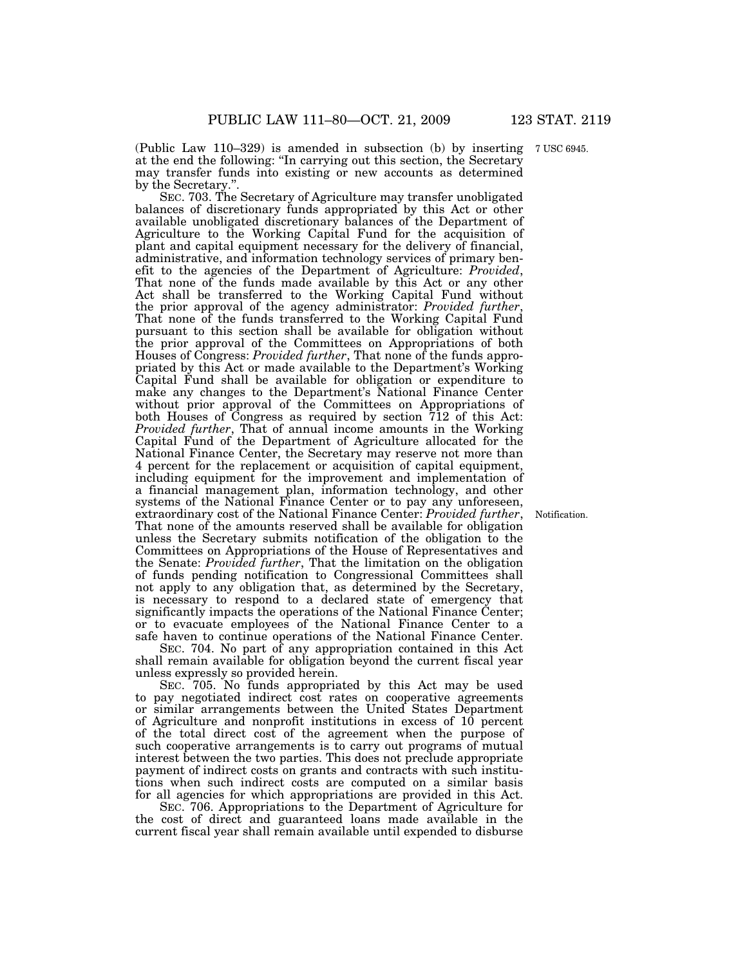(Public Law 110–329) is amended in subsection (b) by inserting at the end the following: ''In carrying out this section, the Secretary may transfer funds into existing or new accounts as determined by the Secretary.''.

SEC. 703. The Secretary of Agriculture may transfer unobligated balances of discretionary funds appropriated by this Act or other available unobligated discretionary balances of the Department of Agriculture to the Working Capital Fund for the acquisition of plant and capital equipment necessary for the delivery of financial, administrative, and information technology services of primary benefit to the agencies of the Department of Agriculture: *Provided*, That none of the funds made available by this Act or any other Act shall be transferred to the Working Capital Fund without the prior approval of the agency administrator: *Provided further*, That none of the funds transferred to the Working Capital Fund pursuant to this section shall be available for obligation without the prior approval of the Committees on Appropriations of both Houses of Congress: *Provided further*, That none of the funds appropriated by this Act or made available to the Department's Working Capital Fund shall be available for obligation or expenditure to make any changes to the Department's National Finance Center without prior approval of the Committees on Appropriations of both Houses of Congress as required by section 712 of this Act: *Provided further*, That of annual income amounts in the Working Capital Fund of the Department of Agriculture allocated for the National Finance Center, the Secretary may reserve not more than 4 percent for the replacement or acquisition of capital equipment, including equipment for the improvement and implementation of a financial management plan, information technology, and other systems of the National Finance Center or to pay any unforeseen, extraordinary cost of the National Finance Center: *Provided further*, That none of the amounts reserved shall be available for obligation unless the Secretary submits notification of the obligation to the Committees on Appropriations of the House of Representatives and the Senate: *Provided further*, That the limitation on the obligation of funds pending notification to Congressional Committees shall not apply to any obligation that, as determined by the Secretary, is necessary to respond to a declared state of emergency that significantly impacts the operations of the National Finance Center; or to evacuate employees of the National Finance Center to a safe haven to continue operations of the National Finance Center.

SEC. 704. No part of any appropriation contained in this Act shall remain available for obligation beyond the current fiscal year unless expressly so provided herein.

SEC. 705. No funds appropriated by this Act may be used to pay negotiated indirect cost rates on cooperative agreements or similar arrangements between the United States Department of Agriculture and nonprofit institutions in excess of 10 percent of the total direct cost of the agreement when the purpose of such cooperative arrangements is to carry out programs of mutual interest between the two parties. This does not preclude appropriate payment of indirect costs on grants and contracts with such institutions when such indirect costs are computed on a similar basis for all agencies for which appropriations are provided in this Act.

SEC. 706. Appropriations to the Department of Agriculture for the cost of direct and guaranteed loans made available in the current fiscal year shall remain available until expended to disburse

Notification.

7 USC 6945.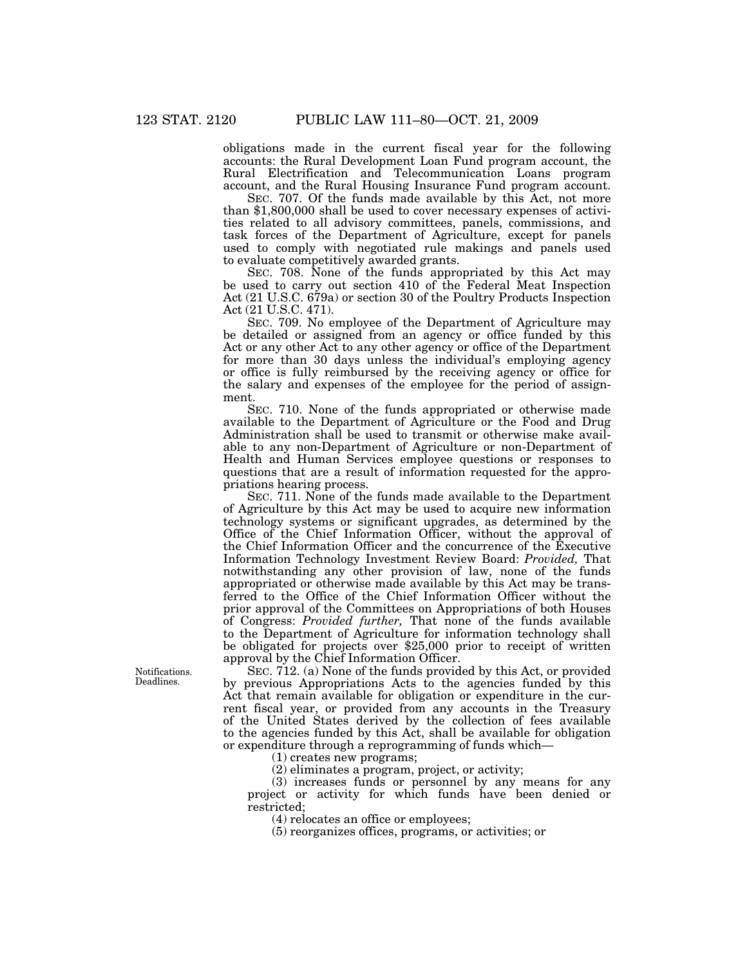obligations made in the current fiscal year for the following accounts: the Rural Development Loan Fund program account, the Rural Electrification and Telecommunication Loans program account, and the Rural Housing Insurance Fund program account.

SEC. 707. Of the funds made available by this Act, not more than \$1,800,000 shall be used to cover necessary expenses of activities related to all advisory committees, panels, commissions, and task forces of the Department of Agriculture, except for panels used to comply with negotiated rule makings and panels used to evaluate competitively awarded grants.

SEC. 708. None of the funds appropriated by this Act may be used to carry out section 410 of the Federal Meat Inspection Act (21 U.S.C. 679a) or section 30 of the Poultry Products Inspection Act (21 U.S.C. 471).

SEC. 709. No employee of the Department of Agriculture may be detailed or assigned from an agency or office funded by this Act or any other Act to any other agency or office of the Department for more than 30 days unless the individual's employing agency or office is fully reimbursed by the receiving agency or office for the salary and expenses of the employee for the period of assignment.

SEC. 710. None of the funds appropriated or otherwise made available to the Department of Agriculture or the Food and Drug Administration shall be used to transmit or otherwise make available to any non-Department of Agriculture or non-Department of Health and Human Services employee questions or responses to questions that are a result of information requested for the appropriations hearing process.

SEC. 711. None of the funds made available to the Department of Agriculture by this Act may be used to acquire new information technology systems or significant upgrades, as determined by the Office of the Chief Information Officer, without the approval of the Chief Information Officer and the concurrence of the Executive Information Technology Investment Review Board: *Provided,* That notwithstanding any other provision of law, none of the funds appropriated or otherwise made available by this Act may be transferred to the Office of the Chief Information Officer without the prior approval of the Committees on Appropriations of both Houses of Congress: *Provided further,* That none of the funds available to the Department of Agriculture for information technology shall be obligated for projects over \$25,000 prior to receipt of written approval by the Chief Information Officer.

SEC. 712. (a) None of the funds provided by this Act, or provided by previous Appropriations Acts to the agencies funded by this Act that remain available for obligation or expenditure in the current fiscal year, or provided from any accounts in the Treasury of the United States derived by the collection of fees available to the agencies funded by this Act, shall be available for obligation or expenditure through a reprogramming of funds which—

(1) creates new programs;

(2) eliminates a program, project, or activity;

(3) increases funds or personnel by any means for any project or activity for which funds have been denied or restricted;

(4) relocates an office or employees;

(5) reorganizes offices, programs, or activities; or

Notifications. Deadlines.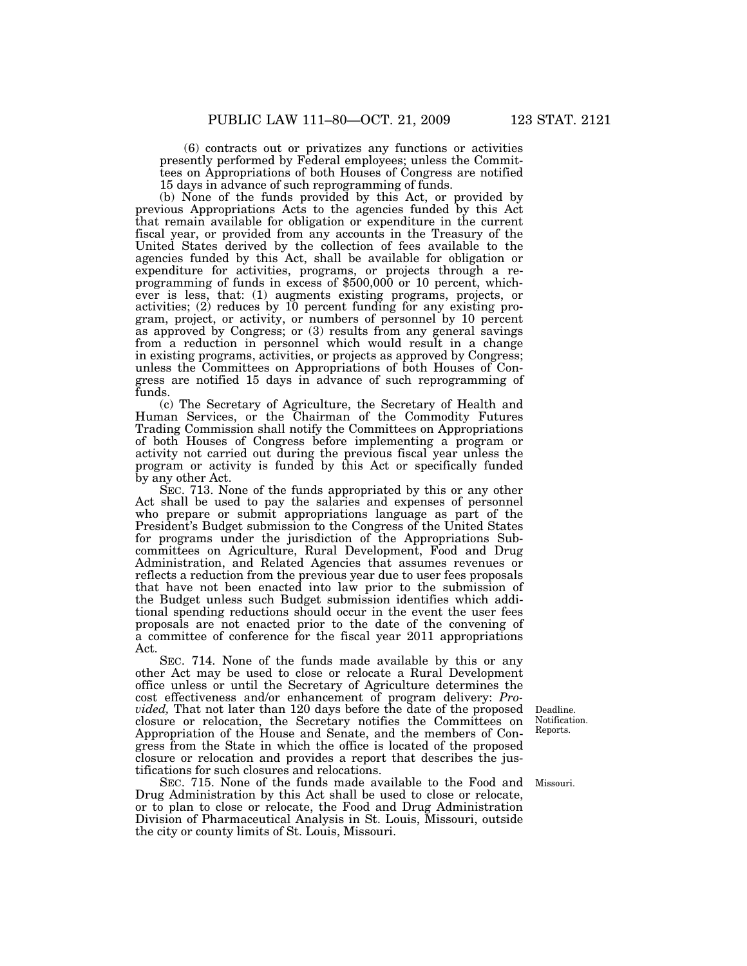(6) contracts out or privatizes any functions or activities presently performed by Federal employees; unless the Committees on Appropriations of both Houses of Congress are notified 15 days in advance of such reprogramming of funds.

(b) None of the funds provided by this Act, or provided by previous Appropriations Acts to the agencies funded by this Act that remain available for obligation or expenditure in the current fiscal year, or provided from any accounts in the Treasury of the United States derived by the collection of fees available to the agencies funded by this Act, shall be available for obligation or expenditure for activities, programs, or projects through a reprogramming of funds in excess of \$500,000 or 10 percent, whichever is less, that: (1) augments existing programs, projects, or activities; (2) reduces by 10 percent funding for any existing program, project, or activity, or numbers of personnel by 10 percent as approved by Congress; or (3) results from any general savings from a reduction in personnel which would result in a change in existing programs, activities, or projects as approved by Congress; unless the Committees on Appropriations of both Houses of Congress are notified 15 days in advance of such reprogramming of funds.

(c) The Secretary of Agriculture, the Secretary of Health and Human Services, or the Chairman of the Commodity Futures Trading Commission shall notify the Committees on Appropriations of both Houses of Congress before implementing a program or activity not carried out during the previous fiscal year unless the program or activity is funded by this Act or specifically funded by any other Act.

SEC. 713. None of the funds appropriated by this or any other Act shall be used to pay the salaries and expenses of personnel who prepare or submit appropriations language as part of the President's Budget submission to the Congress of the United States for programs under the jurisdiction of the Appropriations Subcommittees on Agriculture, Rural Development, Food and Drug Administration, and Related Agencies that assumes revenues or reflects a reduction from the previous year due to user fees proposals that have not been enacted into law prior to the submission of the Budget unless such Budget submission identifies which additional spending reductions should occur in the event the user fees proposals are not enacted prior to the date of the convening of a committee of conference for the fiscal year 2011 appropriations Act.

SEC. 714. None of the funds made available by this or any other Act may be used to close or relocate a Rural Development office unless or until the Secretary of Agriculture determines the cost effectiveness and/or enhancement of program delivery: *Provided,* That not later than 120 days before the date of the proposed closure or relocation, the Secretary notifies the Committees on Appropriation of the House and Senate, and the members of Congress from the State in which the office is located of the proposed closure or relocation and provides a report that describes the justifications for such closures and relocations.

SEC. 715. None of the funds made available to the Food and Missouri. Drug Administration by this Act shall be used to close or relocate, or to plan to close or relocate, the Food and Drug Administration Division of Pharmaceutical Analysis in St. Louis, Missouri, outside the city or county limits of St. Louis, Missouri.

Notification. Reports.

Deadline.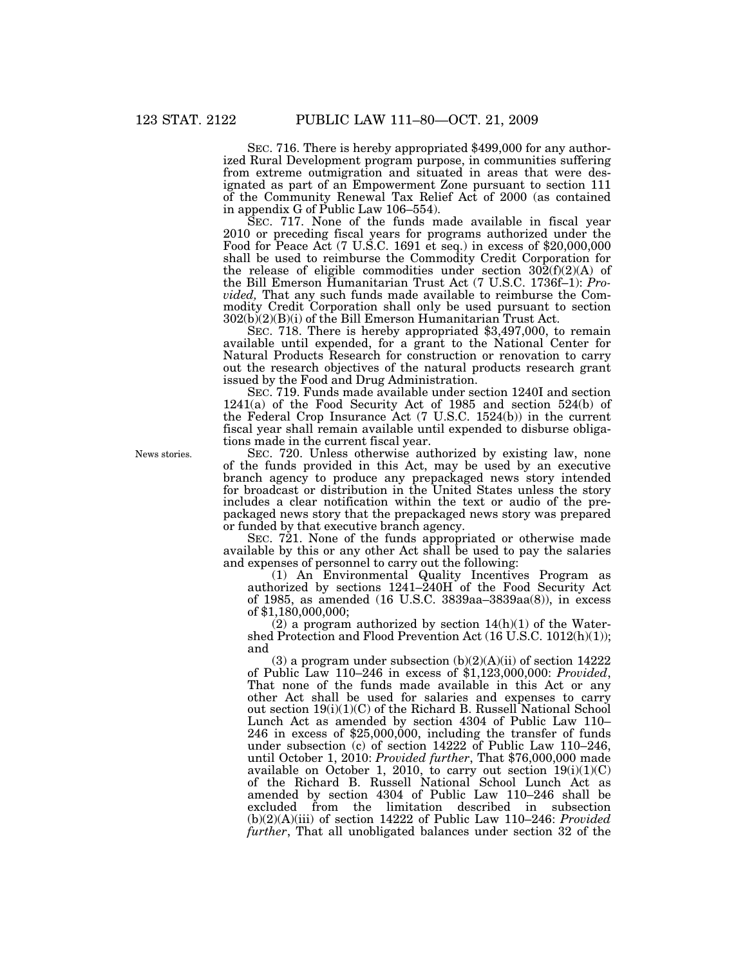SEC. 716. There is hereby appropriated \$499,000 for any authorized Rural Development program purpose, in communities suffering from extreme outmigration and situated in areas that were designated as part of an Empowerment Zone pursuant to section 111 of the Community Renewal Tax Relief Act of 2000 (as contained in appendix G of Public Law 106–554).

SEC. 717. None of the funds made available in fiscal year 2010 or preceding fiscal years for programs authorized under the Food for Peace Act (7 U.S.C. 1691 et seq.) in excess of \$20,000,000 shall be used to reimburse the Commodity Credit Corporation for the release of eligible commodities under section 302(f)(2)(A) of the Bill Emerson Humanitarian Trust Act (7 U.S.C. 1736f–1): *Provided,* That any such funds made available to reimburse the Commodity Credit Corporation shall only be used pursuant to section  $302(b)(2)(B)(i)$  of the Bill Emerson Humanitarian Trust Act.

SEC. 718. There is hereby appropriated \$3,497,000, to remain available until expended, for a grant to the National Center for Natural Products Research for construction or renovation to carry out the research objectives of the natural products research grant issued by the Food and Drug Administration.

SEC. 719. Funds made available under section 1240I and section 1241(a) of the Food Security Act of 1985 and section 524(b) of the Federal Crop Insurance Act (7 U.S.C. 1524(b)) in the current fiscal year shall remain available until expended to disburse obligations made in the current fiscal year.

SEC. 720. Unless otherwise authorized by existing law, none of the funds provided in this Act, may be used by an executive branch agency to produce any prepackaged news story intended for broadcast or distribution in the United States unless the story includes a clear notification within the text or audio of the prepackaged news story that the prepackaged news story was prepared or funded by that executive branch agency.

SEC. 721. None of the funds appropriated or otherwise made available by this or any other Act shall be used to pay the salaries and expenses of personnel to carry out the following:

(1) An Environmental Quality Incentives Program as authorized by sections 1241–240H of the Food Security Act of 1985, as amended (16 U.S.C. 3839aa–3839aa(8)), in excess of \$1,180,000,000;

(2) a program authorized by section  $14(h)(1)$  of the Watershed Protection and Flood Prevention Act (16 U.S.C. 1012(h)(1)); and

(3) a program under subsection  $(b)(2)(A)(ii)$  of section 14222 of Public Law 110–246 in excess of \$1,123,000,000: *Provided*, That none of the funds made available in this Act or any other Act shall be used for salaries and expenses to carry out section  $19(i)(1)(C)$  of the Richard B. Russell National School Lunch Act as amended by section 4304 of Public Law 110– 246 in excess of \$25,000,000, including the transfer of funds under subsection (c) of section 14222 of Public Law 110–246, until October 1, 2010: *Provided further*, That \$76,000,000 made available on October 1, 2010, to carry out section  $19(i)(1)(C)$ of the Richard B. Russell National School Lunch Act as amended by section 4304 of Public Law 110–246 shall be excluded from the limitation described in subsection (b)(2)(A)(iii) of section 14222 of Public Law 110–246: *Provided further*, That all unobligated balances under section 32 of the

News stories.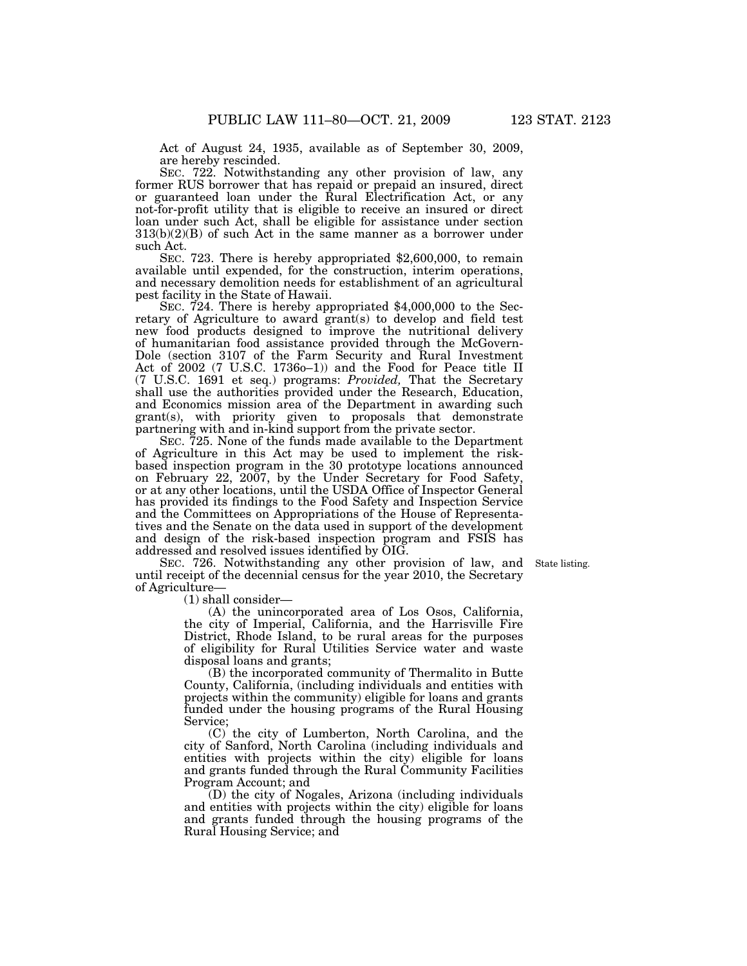Act of August 24, 1935, available as of September 30, 2009, are hereby rescinded.

SEC. 722. Notwithstanding any other provision of law, any former RUS borrower that has repaid or prepaid an insured, direct or guaranteed loan under the Rural Electrification Act, or any not-for-profit utility that is eligible to receive an insured or direct loan under such Act, shall be eligible for assistance under section  $313(b)(2)(B)$  of such Act in the same manner as a borrower under such Act.

SEC. 723. There is hereby appropriated \$2,600,000, to remain available until expended, for the construction, interim operations, and necessary demolition needs for establishment of an agricultural pest facility in the State of Hawaii.

SEC. 724. There is hereby appropriated \$4,000,000 to the Secretary of Agriculture to award grant(s) to develop and field test new food products designed to improve the nutritional delivery of humanitarian food assistance provided through the McGovern-Dole (section 3107 of the Farm Security and Rural Investment Act of 2002 (7 U.S.C. 1736o–1)) and the Food for Peace title II (7 U.S.C. 1691 et seq.) programs: *Provided,* That the Secretary shall use the authorities provided under the Research, Education, and Economics mission area of the Department in awarding such grant(s), with priority given to proposals that demonstrate partnering with and in-kind support from the private sector.

SEC. 725. None of the funds made available to the Department of Agriculture in this Act may be used to implement the riskbased inspection program in the 30 prototype locations announced on February 22, 2007, by the Under Secretary for Food Safety, or at any other locations, until the USDA Office of Inspector General has provided its findings to the Food Safety and Inspection Service and the Committees on Appropriations of the House of Representatives and the Senate on the data used in support of the development and design of the risk-based inspection program and FSIS has addressed and resolved issues identified by OIG.

SEC. 726. Notwithstanding any other provision of law, and until receipt of the decennial census for the year 2010, the Secretary of Agriculture—

State listing.

(1) shall consider—

(A) the unincorporated area of Los Osos, California, the city of Imperial, California, and the Harrisville Fire District, Rhode Island, to be rural areas for the purposes of eligibility for Rural Utilities Service water and waste disposal loans and grants;

(B) the incorporated community of Thermalito in Butte County, California, (including individuals and entities with projects within the community) eligible for loans and grants funded under the housing programs of the Rural Housing Service;

(C) the city of Lumberton, North Carolina, and the city of Sanford, North Carolina (including individuals and entities with projects within the city) eligible for loans and grants funded through the Rural Community Facilities Program Account; and

(D) the city of Nogales, Arizona (including individuals and entities with projects within the city) eligible for loans and grants funded through the housing programs of the Rural Housing Service; and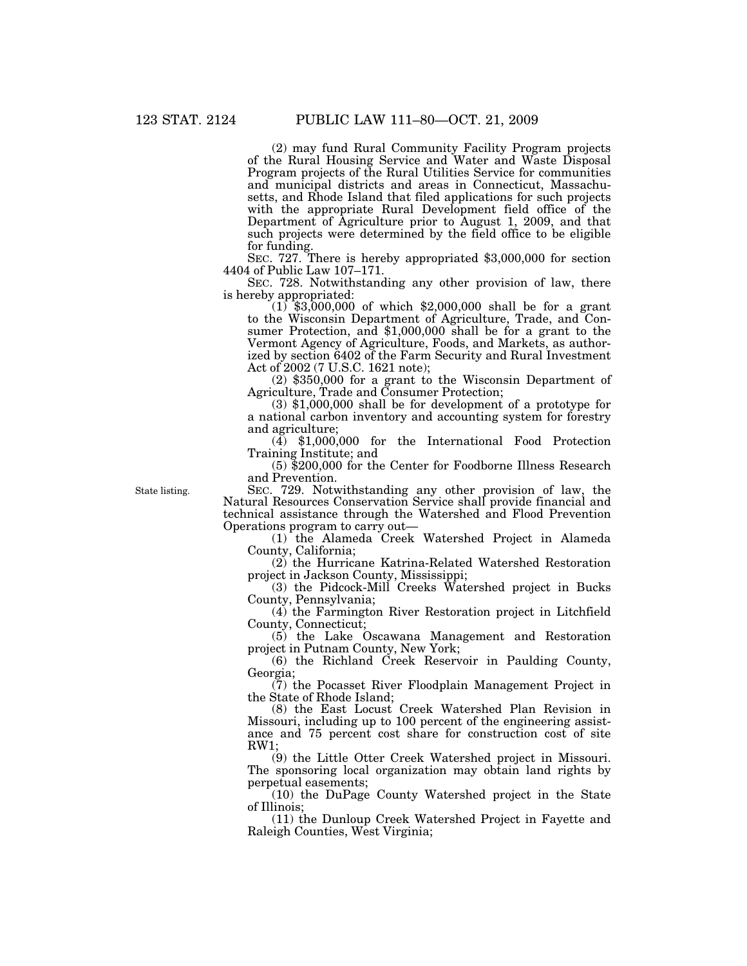(2) may fund Rural Community Facility Program projects of the Rural Housing Service and Water and Waste Disposal Program projects of the Rural Utilities Service for communities and municipal districts and areas in Connecticut, Massachusetts, and Rhode Island that filed applications for such projects with the appropriate Rural Development field office of the Department of Agriculture prior to August 1, 2009, and that such projects were determined by the field office to be eligible for funding.

SEC. 727. There is hereby appropriated \$3,000,000 for section 4404 of Public Law 107–171.

SEC. 728. Notwithstanding any other provision of law, there is hereby appropriated:

 $(1)$  \$3,000,000 of which \$2,000,000 shall be for a grant to the Wisconsin Department of Agriculture, Trade, and Consumer Protection, and \$1,000,000 shall be for a grant to the Vermont Agency of Agriculture, Foods, and Markets, as authorized by section 6402 of the Farm Security and Rural Investment Act of 2002 (7 U.S.C. 1621 note);

(2) \$350,000 for a grant to the Wisconsin Department of

Agriculture, Trade and Consumer Protection; (3) \$1,000,000 shall be for development of a prototype for a national carbon inventory and accounting system for forestry

 $(4)$  \$1,000,000 for the International Food Protection Training Institute; and (5) \$200,000 for the Center for Foodborne Illness Research

and Prevention.

State listing.

SEC. 729. Notwithstanding any other provision of law, the Natural Resources Conservation Service shall provide financial and technical assistance through the Watershed and Flood Prevention Operations program to carry out—

(1) the Alameda Creek Watershed Project in Alameda County, California;

(2) the Hurricane Katrina-Related Watershed Restoration project in Jackson County, Mississippi;

(3) the Pidcock-Mill Creeks Watershed project in Bucks County, Pennsylvania;

(4) the Farmington River Restoration project in Litchfield County, Connecticut;

(5) the Lake Oscawana Management and Restoration project in Putnam County, New York;

(6) the Richland Creek Reservoir in Paulding County, Georgia;

(7) the Pocasset River Floodplain Management Project in the State of Rhode Island;

(8) the East Locust Creek Watershed Plan Revision in Missouri, including up to 100 percent of the engineering assistance and 75 percent cost share for construction cost of site RW1;

(9) the Little Otter Creek Watershed project in Missouri. The sponsoring local organization may obtain land rights by perpetual easements;

(10) the DuPage County Watershed project in the State of Illinois;

(11) the Dunloup Creek Watershed Project in Fayette and Raleigh Counties, West Virginia;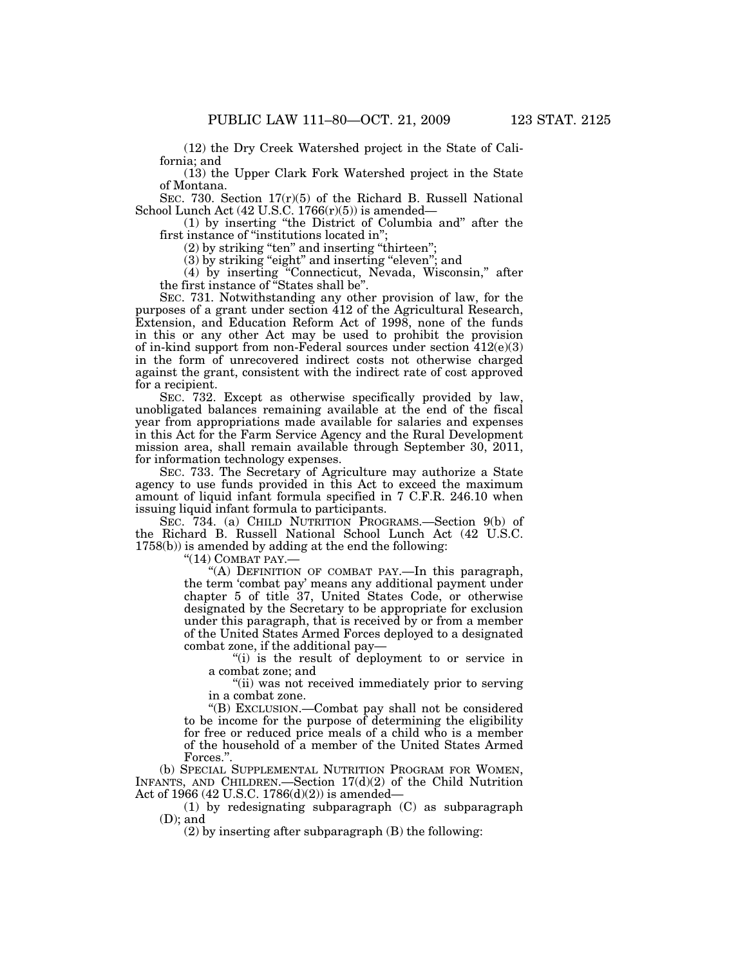(12) the Dry Creek Watershed project in the State of California; and

(13) the Upper Clark Fork Watershed project in the State of Montana.

SEC. 730. Section 17(r)(5) of the Richard B. Russell National School Lunch Act (42 U.S.C. 1766(r)(5)) is amended—

(1) by inserting ''the District of Columbia and'' after the first instance of "institutions located in";

(2) by striking ''ten'' and inserting ''thirteen'';

 $(3)$  by striking "eight" and inserting "eleven"; and

(4) by inserting ''Connecticut, Nevada, Wisconsin,'' after the first instance of ''States shall be''.

SEC. 731. Notwithstanding any other provision of law, for the purposes of a grant under section 412 of the Agricultural Research, Extension, and Education Reform Act of 1998, none of the funds in this or any other Act may be used to prohibit the provision of in-kind support from non-Federal sources under section 412(e)(3) in the form of unrecovered indirect costs not otherwise charged against the grant, consistent with the indirect rate of cost approved for a recipient.

SEC. 732. Except as otherwise specifically provided by law, unobligated balances remaining available at the end of the fiscal year from appropriations made available for salaries and expenses in this Act for the Farm Service Agency and the Rural Development mission area, shall remain available through September 30, 2011, for information technology expenses.

SEC. 733. The Secretary of Agriculture may authorize a State agency to use funds provided in this Act to exceed the maximum amount of liquid infant formula specified in 7 C.F.R. 246.10 when issuing liquid infant formula to participants.

SEC. 734. (a) CHILD NUTRITION PROGRAMS.—Section 9(b) of the Richard B. Russell National School Lunch Act (42 U.S.C. 1758(b)) is amended by adding at the end the following:

"(14) COMBAT PAY .-

"(A) DEFINITION OF COMBAT PAY.—In this paragraph, the term 'combat pay' means any additional payment under chapter 5 of title 37, United States Code, or otherwise designated by the Secretary to be appropriate for exclusion under this paragraph, that is received by or from a member of the United States Armed Forces deployed to a designated combat zone, if the additional pay—

"(i) is the result of deployment to or service in a combat zone; and

"(ii) was not received immediately prior to serving in a combat zone.

''(B) EXCLUSION.—Combat pay shall not be considered to be income for the purpose of determining the eligibility for free or reduced price meals of a child who is a member of the household of a member of the United States Armed Forces.''.

(b) SPECIAL SUPPLEMENTAL NUTRITION PROGRAM FOR WOMEN, INFANTS, AND CHILDREN.—Section  $17(d)(2)$  of the Child Nutrition Act of 1966 (42 U.S.C. 1786(d)(2)) is amended–

(1) by redesignating subparagraph (C) as subparagraph (D); and

(2) by inserting after subparagraph (B) the following: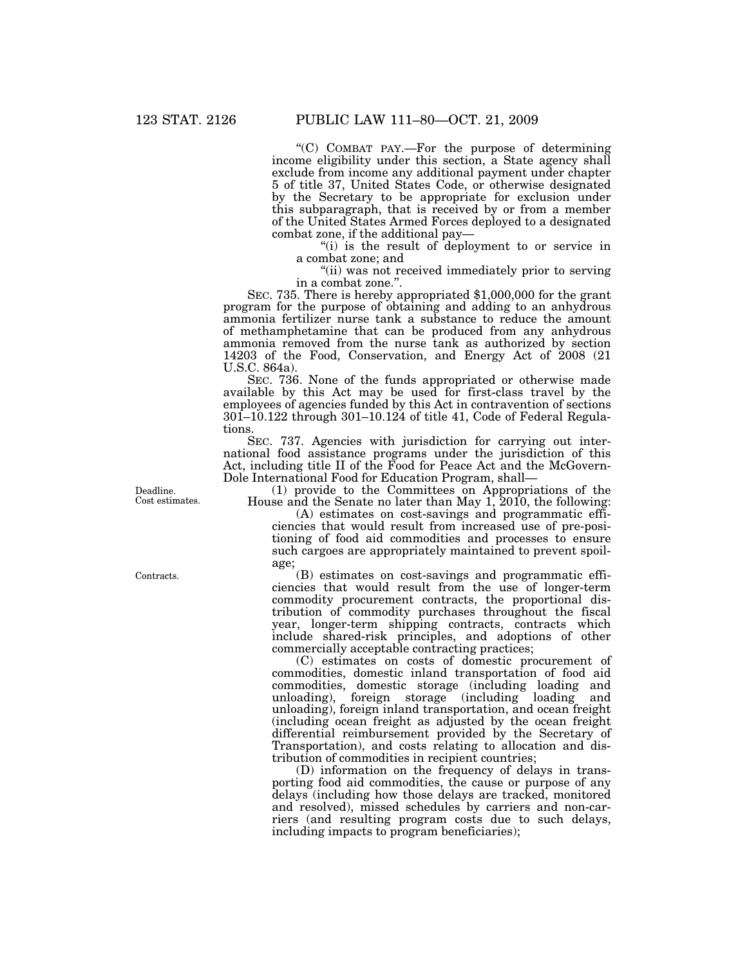''(C) COMBAT PAY.—For the purpose of determining income eligibility under this section, a State agency shall exclude from income any additional payment under chapter 5 of title 37, United States Code, or otherwise designated by the Secretary to be appropriate for exclusion under this subparagraph, that is received by or from a member of the United States Armed Forces deployed to a designated combat zone, if the additional pay—

''(i) is the result of deployment to or service in a combat zone; and

''(ii) was not received immediately prior to serving in a combat zone.''.

SEC. 735. There is hereby appropriated \$1,000,000 for the grant program for the purpose of obtaining and adding to an anhydrous ammonia fertilizer nurse tank a substance to reduce the amount of methamphetamine that can be produced from any anhydrous ammonia removed from the nurse tank as authorized by section 14203 of the Food, Conservation, and Energy Act of 2008 (21 U.S.C. 864a).

SEC. 736. None of the funds appropriated or otherwise made available by this Act may be used for first-class travel by the employees of agencies funded by this Act in contravention of sections 301–10.122 through 301–10.124 of title 41, Code of Federal Regulations.

SEC. 737. Agencies with jurisdiction for carrying out international food assistance programs under the jurisdiction of this Act, including title II of the Food for Peace Act and the McGovern-Dole International Food for Education Program, shall—

(1) provide to the Committees on Appropriations of the House and the Senate no later than May 1, 2010, the following:

(A) estimates on cost-savings and programmatic efficiencies that would result from increased use of pre-positioning of food aid commodities and processes to ensure such cargoes are appropriately maintained to prevent spoilage;

(B) estimates on cost-savings and programmatic efficiencies that would result from the use of longer-term commodity procurement contracts, the proportional distribution of commodity purchases throughout the fiscal year, longer-term shipping contracts, contracts which include shared-risk principles, and adoptions of other commercially acceptable contracting practices;

(C) estimates on costs of domestic procurement of commodities, domestic inland transportation of food aid commodities, domestic storage (including loading and foreign storage (including loading and unloading), foreign inland transportation, and ocean freight (including ocean freight as adjusted by the ocean freight differential reimbursement provided by the Secretary of Transportation), and costs relating to allocation and distribution of commodities in recipient countries;

(D) information on the frequency of delays in transporting food aid commodities, the cause or purpose of any delays (including how those delays are tracked, monitored and resolved), missed schedules by carriers and non-carriers (and resulting program costs due to such delays, including impacts to program beneficiaries);

Deadline. Cost estimates.

Contracts.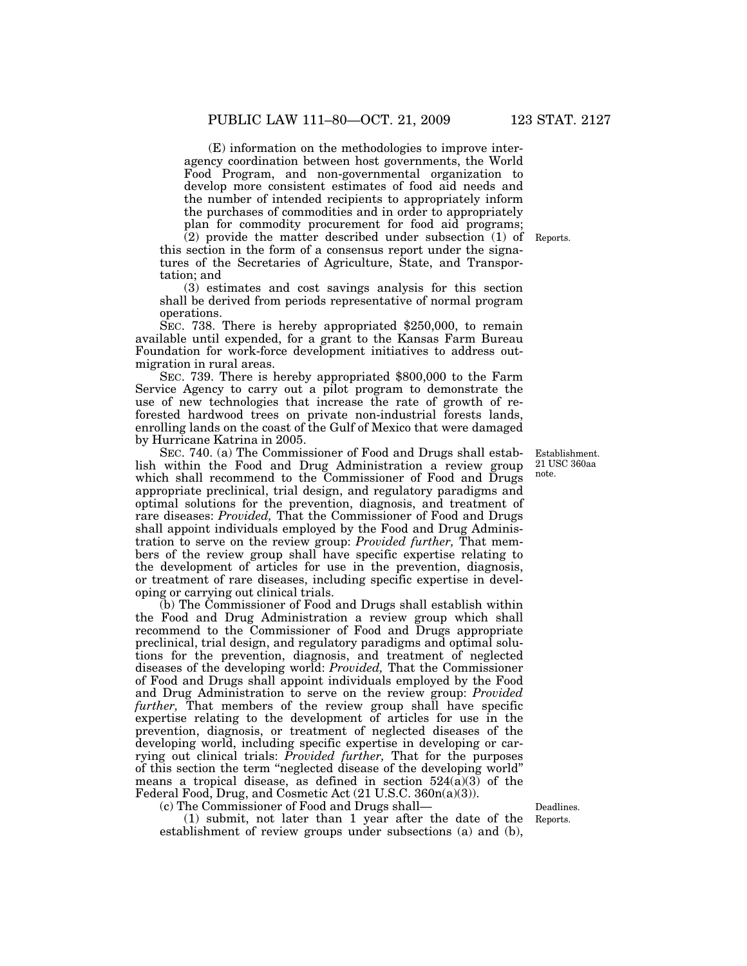(E) information on the methodologies to improve interagency coordination between host governments, the World Food Program, and non-governmental organization to develop more consistent estimates of food aid needs and the number of intended recipients to appropriately inform the purchases of commodities and in order to appropriately plan for commodity procurement for food aid programs;

(2) provide the matter described under subsection (1) of Reports. this section in the form of a consensus report under the signatures of the Secretaries of Agriculture, State, and Transportation; and

(3) estimates and cost savings analysis for this section shall be derived from periods representative of normal program operations.

SEC. 738. There is hereby appropriated \$250,000, to remain available until expended, for a grant to the Kansas Farm Bureau Foundation for work-force development initiatives to address outmigration in rural areas.

SEC. 739. There is hereby appropriated \$800,000 to the Farm Service Agency to carry out a pilot program to demonstrate the use of new technologies that increase the rate of growth of reforested hardwood trees on private non-industrial forests lands, enrolling lands on the coast of the Gulf of Mexico that were damaged by Hurricane Katrina in 2005.

SEC. 740. (a) The Commissioner of Food and Drugs shall establish within the Food and Drug Administration a review group which shall recommend to the Commissioner of Food and Drugs appropriate preclinical, trial design, and regulatory paradigms and optimal solutions for the prevention, diagnosis, and treatment of rare diseases: *Provided,* That the Commissioner of Food and Drugs shall appoint individuals employed by the Food and Drug Administration to serve on the review group: *Provided further,* That members of the review group shall have specific expertise relating to the development of articles for use in the prevention, diagnosis, or treatment of rare diseases, including specific expertise in developing or carrying out clinical trials.

(b) The Commissioner of Food and Drugs shall establish within the Food and Drug Administration a review group which shall recommend to the Commissioner of Food and Drugs appropriate preclinical, trial design, and regulatory paradigms and optimal solutions for the prevention, diagnosis, and treatment of neglected diseases of the developing world: *Provided,* That the Commissioner of Food and Drugs shall appoint individuals employed by the Food and Drug Administration to serve on the review group: *Provided*  further, That members of the review group shall have specific expertise relating to the development of articles for use in the prevention, diagnosis, or treatment of neglected diseases of the developing world, including specific expertise in developing or carrying out clinical trials: *Provided further,* That for the purposes of this section the term ''neglected disease of the developing world'' means a tropical disease, as defined in section 524(a)(3) of the Federal Food, Drug, and Cosmetic Act (21 U.S.C. 360n(a)(3)).

(c) The Commissioner of Food and Drugs shall—

(1) submit, not later than 1 year after the date of the establishment of review groups under subsections (a) and (b),

Reports. Deadlines.

Establishment. 21 USC 360aa note.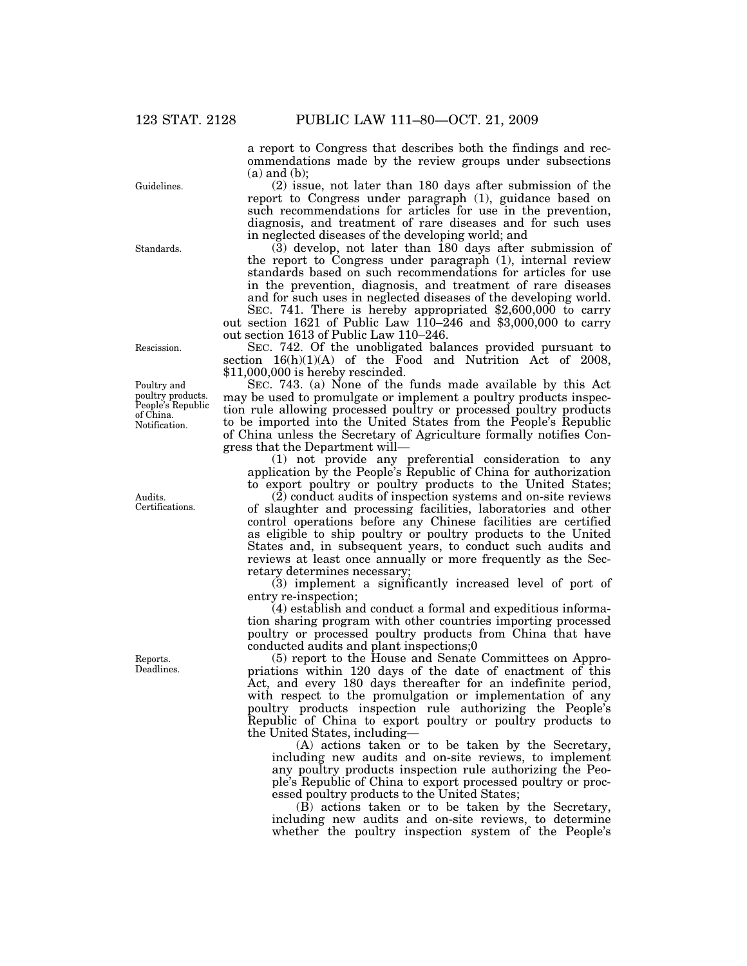a report to Congress that describes both the findings and recommendations made by the review groups under subsections (a) and (b);

(2) issue, not later than 180 days after submission of the report to Congress under paragraph (1), guidance based on such recommendations for articles for use in the prevention, diagnosis, and treatment of rare diseases and for such uses in neglected diseases of the developing world; and

 $(3)$  develop, not later than 180 days after submission of the report to Congress under paragraph (1), internal review standards based on such recommendations for articles for use in the prevention, diagnosis, and treatment of rare diseases and for such uses in neglected diseases of the developing world. SEC. 741. There is hereby appropriated \$2,600,000 to carry out section 1621 of Public Law  $110-246$  and \$3,000,000 to carry

out section 1613 of Public Law 110–246. SEC. 742. Of the unobligated balances provided pursuant to section 16(h)(1)(A) of the Food and Nutrition Act of 2008, \$11,000,000 is hereby rescinded.

SEC. 743. (a) None of the funds made available by this Act may be used to promulgate or implement a poultry products inspection rule allowing processed poultry or processed poultry products to be imported into the United States from the People's Republic of China unless the Secretary of Agriculture formally notifies Congress that the Department will—

(1) not provide any preferential consideration to any application by the People's Republic of China for authorization to export poultry or poultry products to the United States;

 $(2)$  conduct audits of inspection systems and on-site reviews of slaughter and processing facilities, laboratories and other control operations before any Chinese facilities are certified as eligible to ship poultry or poultry products to the United States and, in subsequent years, to conduct such audits and reviews at least once annually or more frequently as the Secretary determines necessary;

(3) implement a significantly increased level of port of entry re-inspection;

(4) establish and conduct a formal and expeditious information sharing program with other countries importing processed poultry or processed poultry products from China that have conducted audits and plant inspections;0

(5) report to the House and Senate Committees on Appropriations within 120 days of the date of enactment of this Act, and every 180 days thereafter for an indefinite period, with respect to the promulgation or implementation of any poultry products inspection rule authorizing the People's Republic of China to export poultry or poultry products to the United States, including—

(A) actions taken or to be taken by the Secretary, including new audits and on-site reviews, to implement any poultry products inspection rule authorizing the People's Republic of China to export processed poultry or processed poultry products to the United States;

(B) actions taken or to be taken by the Secretary, including new audits and on-site reviews, to determine whether the poultry inspection system of the People's

Guidelines.

Standards.

Rescission.

Poultry and poultry products. People's Republic of China. Notification.

Audits. Certifications.

Reports. Deadlines.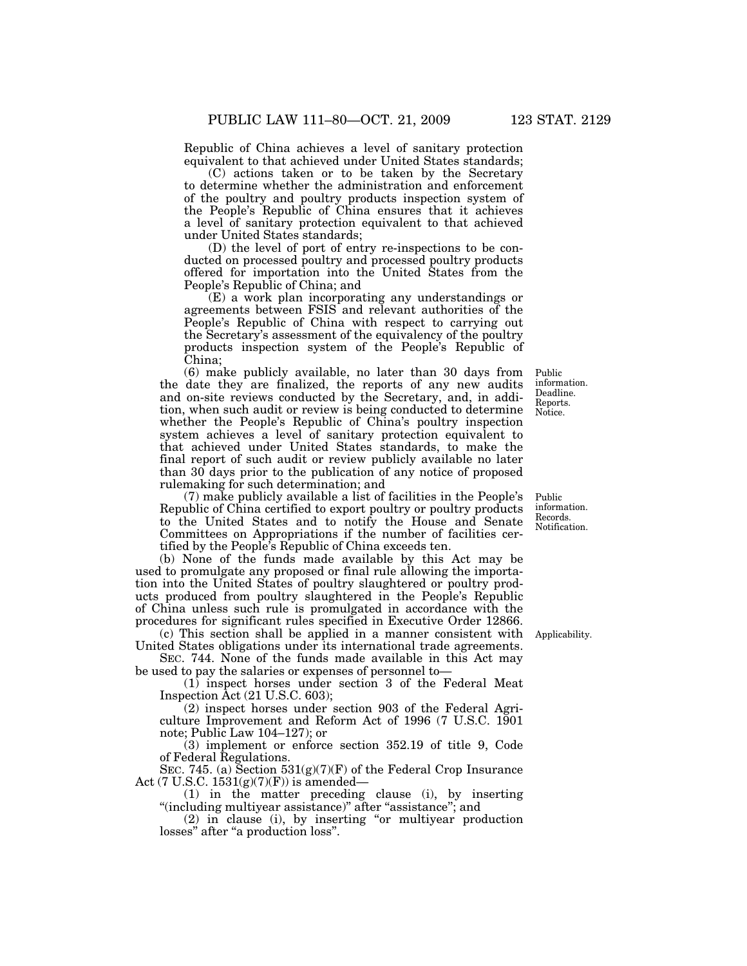Republic of China achieves a level of sanitary protection equivalent to that achieved under United States standards;

(C) actions taken or to be taken by the Secretary to determine whether the administration and enforcement of the poultry and poultry products inspection system of the People's Republic of China ensures that it achieves a level of sanitary protection equivalent to that achieved under United States standards;

(D) the level of port of entry re-inspections to be conducted on processed poultry and processed poultry products offered for importation into the United States from the People's Republic of China; and

(E) a work plan incorporating any understandings or agreements between FSIS and relevant authorities of the People's Republic of China with respect to carrying out the Secretary's assessment of the equivalency of the poultry products inspection system of the People's Republic of China;

(6) make publicly available, no later than 30 days from the date they are finalized, the reports of any new audits and on-site reviews conducted by the Secretary, and, in addition, when such audit or review is being conducted to determine whether the People's Republic of China's poultry inspection system achieves a level of sanitary protection equivalent to that achieved under United States standards, to make the final report of such audit or review publicly available no later than 30 days prior to the publication of any notice of proposed rulemaking for such determination; and

(7) make publicly available a list of facilities in the People's Republic of China certified to export poultry or poultry products to the United States and to notify the House and Senate Committees on Appropriations if the number of facilities certified by the People's Republic of China exceeds ten.

(b) None of the funds made available by this Act may be used to promulgate any proposed or final rule allowing the importation into the United States of poultry slaughtered or poultry products produced from poultry slaughtered in the People's Republic of China unless such rule is promulgated in accordance with the procedures for significant rules specified in Executive Order 12866.

(c) This section shall be applied in a manner consistent with Applicability. United States obligations under its international trade agreements.

SEC. 744. None of the funds made available in this Act may be used to pay the salaries or expenses of personnel to—

(1) inspect horses under section 3 of the Federal Meat Inspection Act (21 U.S.C. 603);

(2) inspect horses under section 903 of the Federal Agriculture Improvement and Reform Act of 1996 (7 U.S.C. 1901 note; Public Law 104–127); or

(3) implement or enforce section 352.19 of title 9, Code of Federal Regulations.

SEC. 745. (a) Section  $531(g)(7)(F)$  of the Federal Crop Insurance Act (7 U.S.C.  $1531(g)(7)(F)$ ) is amended—

(1) in the matter preceding clause (i), by inserting "(including multiyear assistance)" after "assistance"; and

(2) in clause (i), by inserting ''or multiyear production losses" after "a production loss".

Public information.

Records. Notification.

Public information. Deadline. Reports. Notice.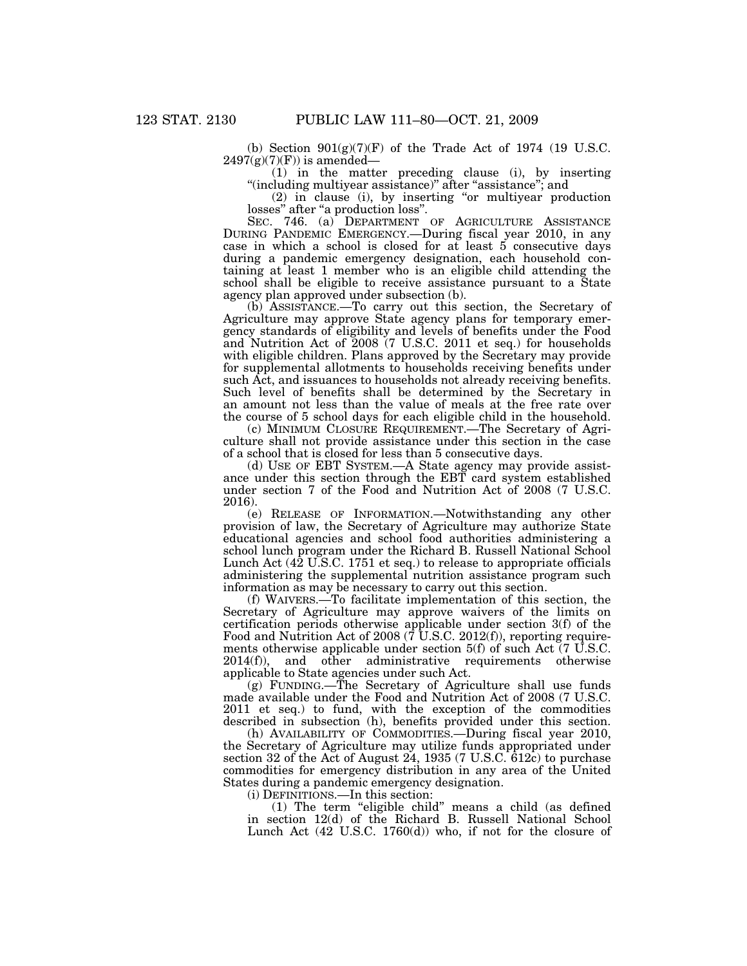(b) Section  $901(g)(7)(F)$  of the Trade Act of 1974 (19 U.S.C.  $2497(g)(7)(F)$ ) is amended—

(1) in the matter preceding clause (i), by inserting "(including multiyear assistance)" after "assistance"; and

(2) in clause (i), by inserting "or multiyear production losses" after "a production loss".

SEC. 746. (a) DEPARTMENT OF AGRICULTURE ASSISTANCE DURING PANDEMIC EMERGENCY.—During fiscal year 2010, in any case in which a school is closed for at least 5 consecutive days during a pandemic emergency designation, each household containing at least 1 member who is an eligible child attending the school shall be eligible to receive assistance pursuant to a State agency plan approved under subsection (b).

(b) ASSISTANCE.—To carry out this section, the Secretary of Agriculture may approve State agency plans for temporary emergency standards of eligibility and levels of benefits under the Food and Nutrition Act of 2008 (7 U.S.C. 2011 et seq.) for households with eligible children. Plans approved by the Secretary may provide for supplemental allotments to households receiving benefits under such Act, and issuances to households not already receiving benefits. Such level of benefits shall be determined by the Secretary in an amount not less than the value of meals at the free rate over the course of 5 school days for each eligible child in the household.

(c) MINIMUM CLOSURE REQUIREMENT.—The Secretary of Agriculture shall not provide assistance under this section in the case of a school that is closed for less than 5 consecutive days.

(d) USE OF EBT SYSTEM.—A State agency may provide assistance under this section through the EBT card system established under section 7 of the Food and Nutrition Act of 2008 (7 U.S.C. 2016).

(e) RELEASE OF INFORMATION.—Notwithstanding any other provision of law, the Secretary of Agriculture may authorize State educational agencies and school food authorities administering a school lunch program under the Richard B. Russell National School Lunch Act (42 U.S.C. 1751 et seq.) to release to appropriate officials administering the supplemental nutrition assistance program such information as may be necessary to carry out this section.

(f) WAIVERS.—To facilitate implementation of this section, the Secretary of Agriculture may approve waivers of the limits on certification periods otherwise applicable under section 3(f) of the Food and Nutrition Act of 2008 (7 U.S.C. 2012(f)), reporting requirements otherwise applicable under section 5(f) of such Act  $(7 \text{ U.S.C.})$ 2014(f)), and other administrative requirements otherwise applicable to State agencies under such Act.

(g) FUNDING.—The Secretary of Agriculture shall use funds made available under the Food and Nutrition Act of 2008 (7 U.S.C. 2011 et seq.) to fund, with the exception of the commodities described in subsection (h), benefits provided under this section.

(h) AVAILABILITY OF COMMODITIES.—During fiscal year 2010, the Secretary of Agriculture may utilize funds appropriated under section 32 of the Act of August 24, 1935 (7 U.S.C. 612c) to purchase commodities for emergency distribution in any area of the United States during a pandemic emergency designation.

(i) DEFINITIONS.—In this section:

(1) The term ''eligible child'' means a child (as defined in section 12(d) of the Richard B. Russell National School Lunch Act (42 U.S.C. 1760(d)) who, if not for the closure of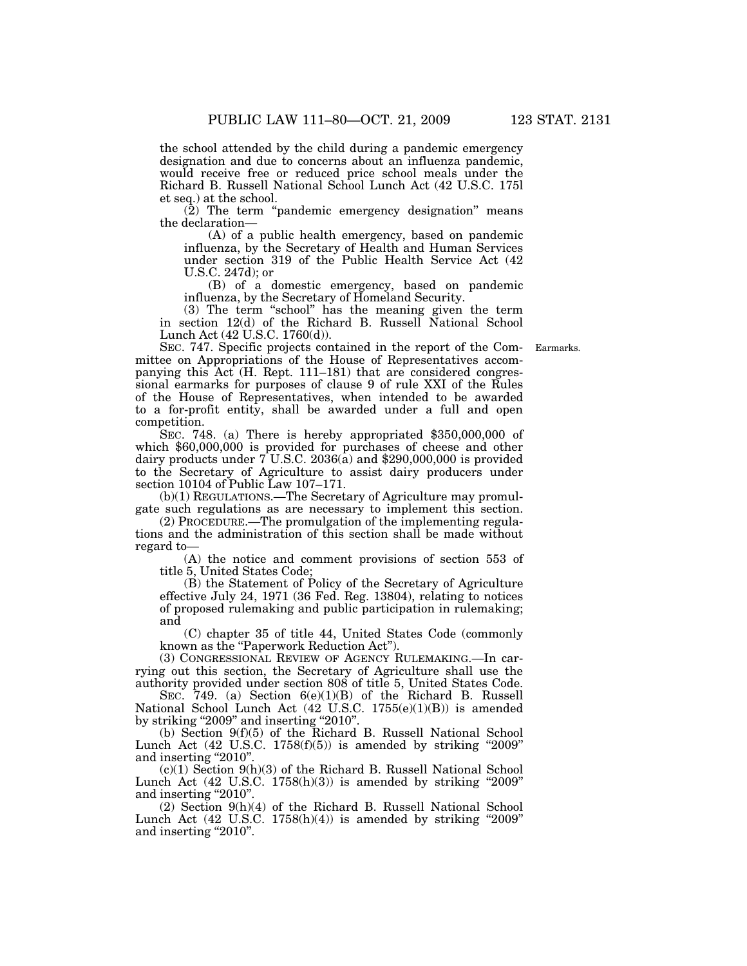the school attended by the child during a pandemic emergency designation and due to concerns about an influenza pandemic, would receive free or reduced price school meals under the Richard B. Russell National School Lunch Act (42 U.S.C. 175l et seq.) at the school.

 $(2)$  The term "pandemic emergency designation" means the declaration—

(A) of a public health emergency, based on pandemic influenza, by the Secretary of Health and Human Services under section 319 of the Public Health Service Act (42 U.S.C. 247d); or

(B) of a domestic emergency, based on pandemic influenza, by the Secretary of Homeland Security.

(3) The term ''school'' has the meaning given the term in section 12(d) of the Richard B. Russell National School Lunch Act (42 U.S.C. 1760(d)).

Earmarks.

SEC. 747. Specific projects contained in the report of the Committee on Appropriations of the House of Representatives accompanying this Act (H. Rept. 111–181) that are considered congressional earmarks for purposes of clause 9 of rule XXI of the Rules of the House of Representatives, when intended to be awarded to a for-profit entity, shall be awarded under a full and open competition.

SEC. 748. (a) There is hereby appropriated \$350,000,000 of which \$60,000,000 is provided for purchases of cheese and other dairy products under 7 U.S.C. 2036(a) and \$290,000,000 is provided to the Secretary of Agriculture to assist dairy producers under section 10104 of Public Law 107–171.

(b)(1) REGULATIONS.—The Secretary of Agriculture may promulgate such regulations as are necessary to implement this section.

(2) PROCEDURE.—The promulgation of the implementing regulations and the administration of this section shall be made without regard to—

(A) the notice and comment provisions of section 553 of title 5, United States Code;

(B) the Statement of Policy of the Secretary of Agriculture effective July 24, 1971 (36 Fed. Reg. 13804), relating to notices of proposed rulemaking and public participation in rulemaking; and

(C) chapter 35 of title 44, United States Code (commonly known as the ''Paperwork Reduction Act'').

(3) CONGRESSIONAL REVIEW OF AGENCY RULEMAKING.—In carrying out this section, the Secretary of Agriculture shall use the authority provided under section 808 of title 5, United States Code.

SEC. 749. (a) Section 6(e)(1)(B) of the Richard B. Russell National School Lunch Act (42 U.S.C. 1755(e)(1)(B)) is amended by striking "2009" and inserting "2010".

(b) Section 9(f)(5) of the Richard B. Russell National School Lunch Act  $(42 \text{ U.S.C. } 1758(f)(5))$  is amended by striking "2009" and inserting "2010".

(c)(1) Section 9(h)(3) of the Richard B. Russell National School Lunch Act  $(42 \text{ U.S.C. } 1758(h)(3))$  is amended by striking "2009" and inserting "2010".

(2) Section 9(h)(4) of the Richard B. Russell National School Lunch Act  $(42 \text{ U.S.C. } 1758(h)(4))$  is amended by striking "2009" and inserting "2010".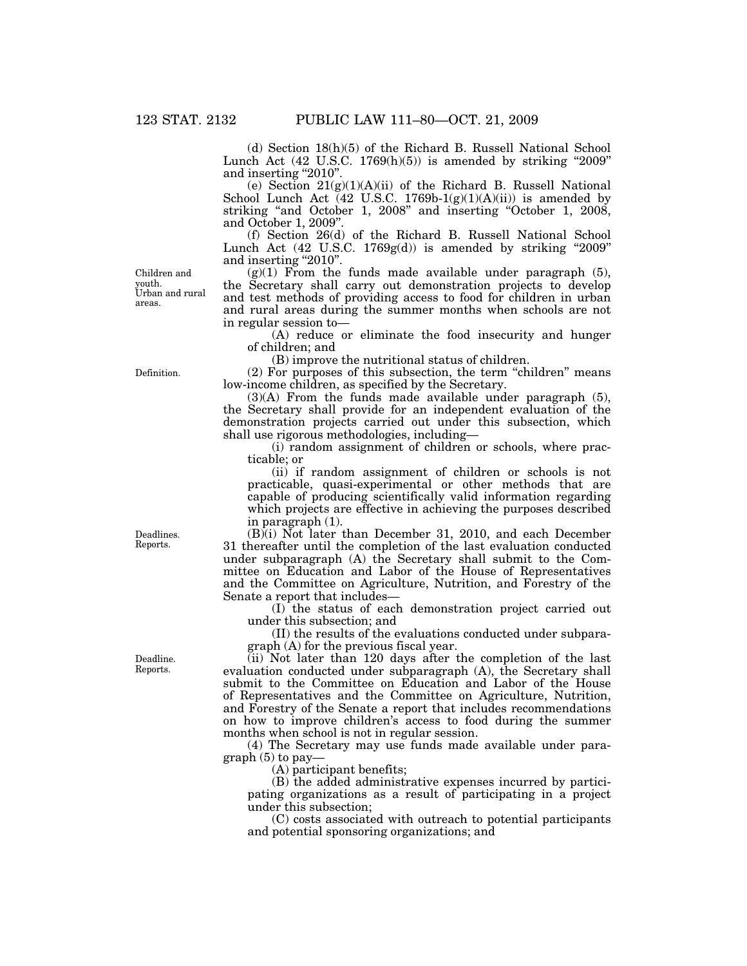(d) Section 18(h)(5) of the Richard B. Russell National School Lunch Act  $(42 \text{ U.S.C. } 1769(h)(5))$  is amended by striking "2009" and inserting "2010".

(e) Section  $21(g)(1)(A)(ii)$  of the Richard B. Russell National School Lunch Act  $(42 \text{ U.S.C. } 1769b-1(g)(1)(A)(ii))$  is amended by striking "and October 1, 2008" and inserting "October 1, 2008, and October 1, 2009''.

(f) Section 26(d) of the Richard B. Russell National School Lunch Act  $(42 \text{ U.S.C. } 1769g(d))$  is amended by striking "2009" and inserting "2010".

 $(g)(1)$  From the funds made available under paragraph  $(5)$ , the Secretary shall carry out demonstration projects to develop and test methods of providing access to food for children in urban and rural areas during the summer months when schools are not in regular session to—

(A) reduce or eliminate the food insecurity and hunger of children; and

(B) improve the nutritional status of children.

(2) For purposes of this subsection, the term ''children'' means low-income children, as specified by the Secretary.

(3)(A) From the funds made available under paragraph (5), the Secretary shall provide for an independent evaluation of the demonstration projects carried out under this subsection, which shall use rigorous methodologies, including—

(i) random assignment of children or schools, where practicable; or

(ii) if random assignment of children or schools is not practicable, quasi-experimental or other methods that are capable of producing scientifically valid information regarding which projects are effective in achieving the purposes described in paragraph (1).

 $(B)$ (i) Not later than December 31, 2010, and each December 31 thereafter until the completion of the last evaluation conducted under subparagraph (A) the Secretary shall submit to the Committee on Education and Labor of the House of Representatives and the Committee on Agriculture, Nutrition, and Forestry of the Senate a report that includes—

(I) the status of each demonstration project carried out under this subsection; and

(II) the results of the evaluations conducted under subparagraph (A) for the previous fiscal year.

(ii) Not later than 120 days after the completion of the last evaluation conducted under subparagraph (A), the Secretary shall submit to the Committee on Education and Labor of the House of Representatives and the Committee on Agriculture, Nutrition, and Forestry of the Senate a report that includes recommendations on how to improve children's access to food during the summer months when school is not in regular session.

(4) The Secretary may use funds made available under paragraph (5) to pay—

(A) participant benefits;

(B) the added administrative expenses incurred by participating organizations as a result of participating in a project under this subsection;

(C) costs associated with outreach to potential participants and potential sponsoring organizations; and

Definition.

Children and youth. Urban and rural

areas.

Deadlines. Reports.

Deadline. Reports.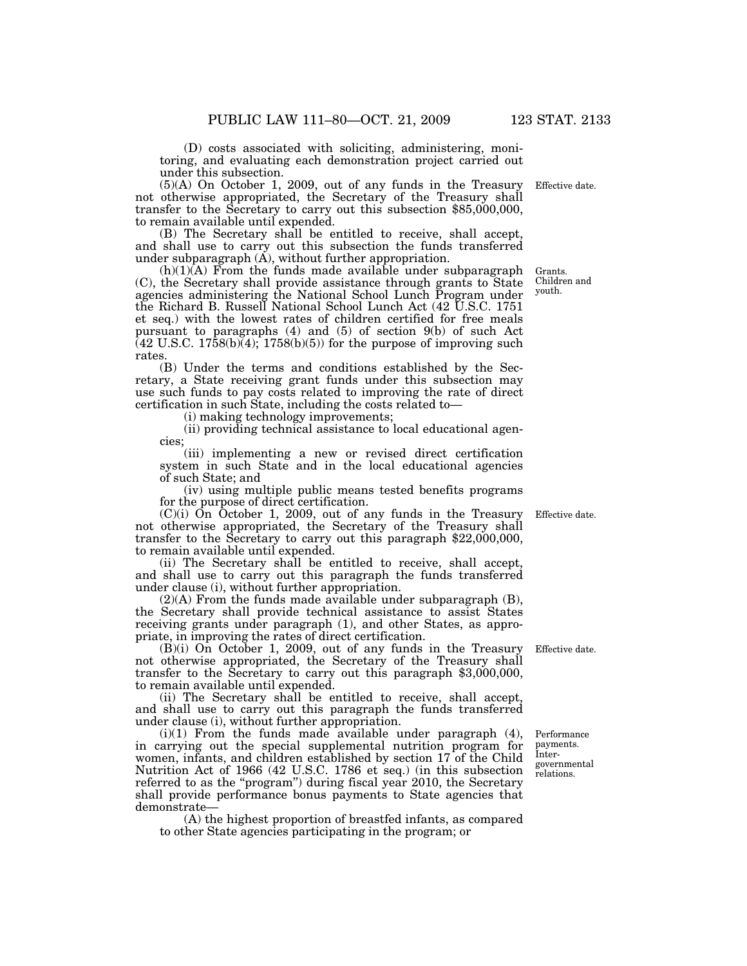(D) costs associated with soliciting, administering, monitoring, and evaluating each demonstration project carried out under this subsection.

(5)(A) On October 1, 2009, out of any funds in the Treasury not otherwise appropriated, the Secretary of the Treasury shall transfer to the Secretary to carry out this subsection \$85,000,000, to remain available until expended.

(B) The Secretary shall be entitled to receive, shall accept, and shall use to carry out this subsection the funds transferred under subparagraph (A), without further appropriation.

 $(h)(1)(\overline{A})$  From the funds made available under subparagraph (C), the Secretary shall provide assistance through grants to State agencies administering the National School Lunch Program under the Richard B. Russell National School Lunch Act (42 U.S.C. 1751 et seq.) with the lowest rates of children certified for free meals pursuant to paragraphs (4) and (5) of section 9(b) of such Act  $(42 \text{ U.S.C. } 1758(b)(4); 1758(b)(5))$  for the purpose of improving such rates.

(B) Under the terms and conditions established by the Secretary, a State receiving grant funds under this subsection may use such funds to pay costs related to improving the rate of direct certification in such State, including the costs related to—

(i) making technology improvements;

(ii) providing technical assistance to local educational agencies;

(iii) implementing a new or revised direct certification system in such State and in the local educational agencies of such State; and

(iv) using multiple public means tested benefits programs for the purpose of direct certification.

(C)(i) On October 1, 2009, out of any funds in the Treasury not otherwise appropriated, the Secretary of the Treasury shall transfer to the Secretary to carry out this paragraph \$22,000,000, to remain available until expended.

(ii) The Secretary shall be entitled to receive, shall accept, and shall use to carry out this paragraph the funds transferred under clause (i), without further appropriation.

(2)(A) From the funds made available under subparagraph (B), the Secretary shall provide technical assistance to assist States receiving grants under paragraph (1), and other States, as appropriate, in improving the rates of direct certification.

(B)(i) On October 1, 2009, out of any funds in the Treasury not otherwise appropriated, the Secretary of the Treasury shall transfer to the Secretary to carry out this paragraph \$3,000,000, to remain available until expended.

(ii) The Secretary shall be entitled to receive, shall accept, and shall use to carry out this paragraph the funds transferred under clause (i), without further appropriation.

 $(i)(1)$  From the funds made available under paragraph  $(4)$ , in carrying out the special supplemental nutrition program for women, infants, and children established by section 17 of the Child Nutrition Act of 1966 (42 U.S.C. 1786 et seq.) (in this subsection referred to as the "program") during fiscal year 2010, the Secretary shall provide performance bonus payments to State agencies that demonstrate—

(A) the highest proportion of breastfed infants, as compared to other State agencies participating in the program; or

Effective date.

Grants. Children and youth.

Effective date.

Effective date.

Performance payments. Intergovernmental relations.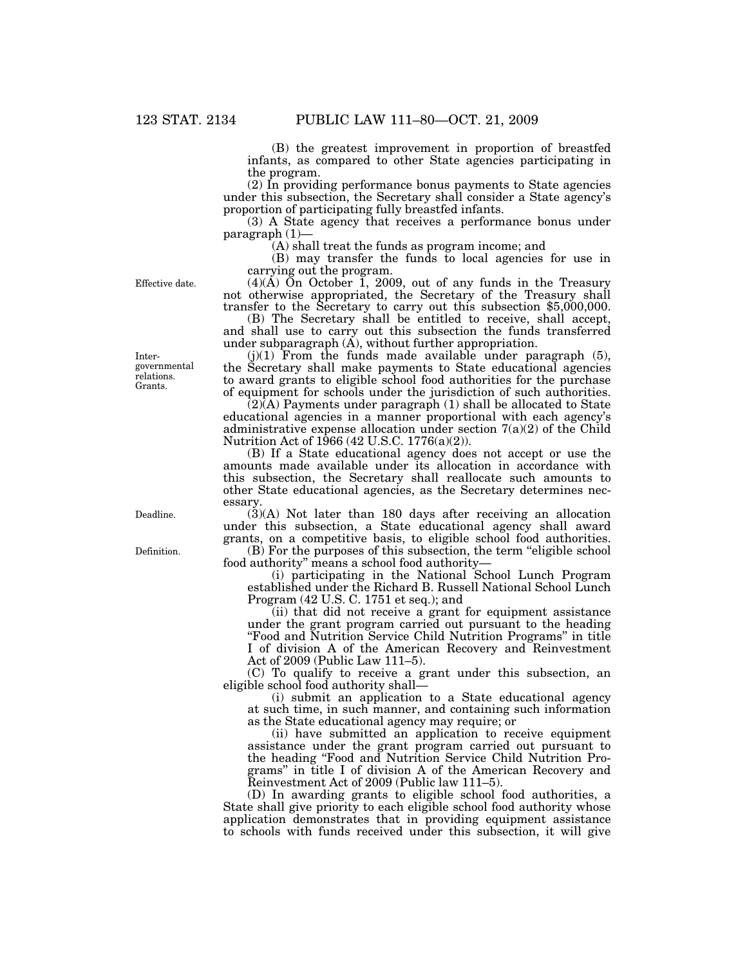(B) the greatest improvement in proportion of breastfed infants, as compared to other State agencies participating in the program.

(2) In providing performance bonus payments to State agencies under this subsection, the Secretary shall consider a State agency's proportion of participating fully breastfed infants.

(3) A State agency that receives a performance bonus under paragraph (1)—

(A) shall treat the funds as program income; and

(B) may transfer the funds to local agencies for use in carrying out the program.

 $(4)(\tilde{A})$  On October 1, 2009, out of any funds in the Treasury not otherwise appropriated, the Secretary of the Treasury shall transfer to the Secretary to carry out this subsection \$5,000,000.

(B) The Secretary shall be entitled to receive, shall accept, and shall use to carry out this subsection the funds transferred under subparagraph  $(\overline{A})$ , without further appropriation.

(j)(1) From the funds made available under paragraph (5), the Secretary shall make payments to State educational agencies to award grants to eligible school food authorities for the purchase of equipment for schools under the jurisdiction of such authorities.

(2)(A) Payments under paragraph (1) shall be allocated to State educational agencies in a manner proportional with each agency's administrative expense allocation under section 7(a)(2) of the Child Nutrition Act of 1966 (42 U.S.C. 1776(a)(2)).

(B) If a State educational agency does not accept or use the amounts made available under its allocation in accordance with this subsection, the Secretary shall reallocate such amounts to other State educational agencies, as the Secretary determines necessary.

(3)(A) Not later than 180 days after receiving an allocation under this subsection, a State educational agency shall award grants, on a competitive basis, to eligible school food authorities.

(B) For the purposes of this subsection, the term ''eligible school food authority'' means a school food authority—

(i) participating in the National School Lunch Program established under the Richard B. Russell National School Lunch Program (42 U.S. C. 1751 et seq.); and

(ii) that did not receive a grant for equipment assistance under the grant program carried out pursuant to the heading ''Food and Nutrition Service Child Nutrition Programs'' in title I of division A of the American Recovery and Reinvestment Act of 2009 (Public Law 111–5).

(C) To qualify to receive a grant under this subsection, an eligible school food authority shall—

(i) submit an application to a State educational agency at such time, in such manner, and containing such information as the State educational agency may require; or

(ii) have submitted an application to receive equipment assistance under the grant program carried out pursuant to the heading ''Food and Nutrition Service Child Nutrition Programs'' in title I of division A of the American Recovery and Reinvestment Act of 2009 (Public law 111–5).

(D) In awarding grants to eligible school food authorities, a State shall give priority to each eligible school food authority whose application demonstrates that in providing equipment assistance to schools with funds received under this subsection, it will give

Effective date.

Intergovernmental relations. Grants.

Deadline.

Definition.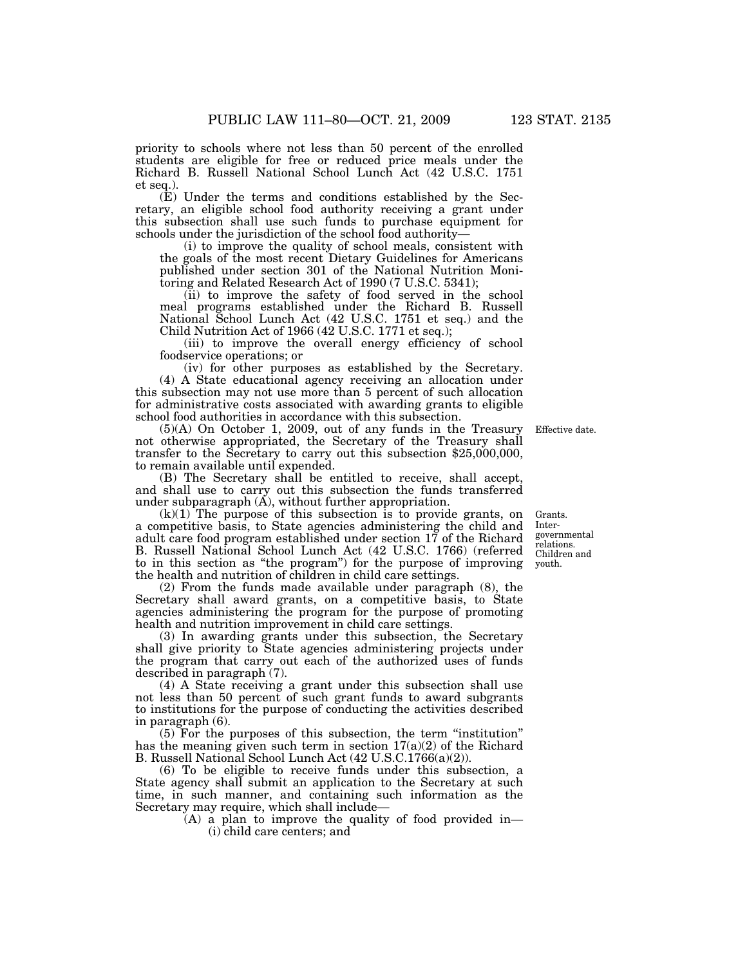priority to schools where not less than 50 percent of the enrolled students are eligible for free or reduced price meals under the Richard B. Russell National School Lunch Act (42 U.S.C. 1751 et seq.).

(E) Under the terms and conditions established by the Secretary, an eligible school food authority receiving a grant under this subsection shall use such funds to purchase equipment for schools under the jurisdiction of the school food authority—

(i) to improve the quality of school meals, consistent with the goals of the most recent Dietary Guidelines for Americans published under section 301 of the National Nutrition Monitoring and Related Research Act of 1990 (7 U.S.C. 5341);

(ii) to improve the safety of food served in the school meal programs established under the Richard B. Russell National School Lunch Act (42 U.S.C. 1751 et seq.) and the Child Nutrition Act of 1966 (42 U.S.C. 1771 et seq.);

(iii) to improve the overall energy efficiency of school foodservice operations; or

(iv) for other purposes as established by the Secretary. (4) A State educational agency receiving an allocation under this subsection may not use more than 5 percent of such allocation for administrative costs associated with awarding grants to eligible school food authorities in accordance with this subsection.

(5)(A) On October 1, 2009, out of any funds in the Treasury not otherwise appropriated, the Secretary of the Treasury shall transfer to the Secretary to carry out this subsection \$25,000,000, to remain available until expended.

(B) The Secretary shall be entitled to receive, shall accept, and shall use to carry out this subsection the funds transferred under subparagraph  $(A)$ , without further appropriation.

 $(k)(1)$  The purpose of this subsection is to provide grants, on a competitive basis, to State agencies administering the child and adult care food program established under section 17 of the Richard B. Russell National School Lunch Act (42 U.S.C. 1766) (referred to in this section as ''the program'') for the purpose of improving the health and nutrition of children in child care settings.

(2) From the funds made available under paragraph (8), the Secretary shall award grants, on a competitive basis, to State agencies administering the program for the purpose of promoting health and nutrition improvement in child care settings.

(3) In awarding grants under this subsection, the Secretary shall give priority to State agencies administering projects under the program that carry out each of the authorized uses of funds described in paragraph (7).

(4) A State receiving a grant under this subsection shall use not less than 50 percent of such grant funds to award subgrants to institutions for the purpose of conducting the activities described in paragraph (6).

(5) For the purposes of this subsection, the term ''institution'' has the meaning given such term in section  $17(a)(2)$  of the Richard B. Russell National School Lunch Act (42 U.S.C.1766(a)(2)).

(6) To be eligible to receive funds under this subsection, a State agency shall submit an application to the Secretary at such time, in such manner, and containing such information as the Secretary may require, which shall include—

(A) a plan to improve the quality of food provided in—

(i) child care centers; and

Grants. Intergovernmental relations. Children and youth.

Effective date.